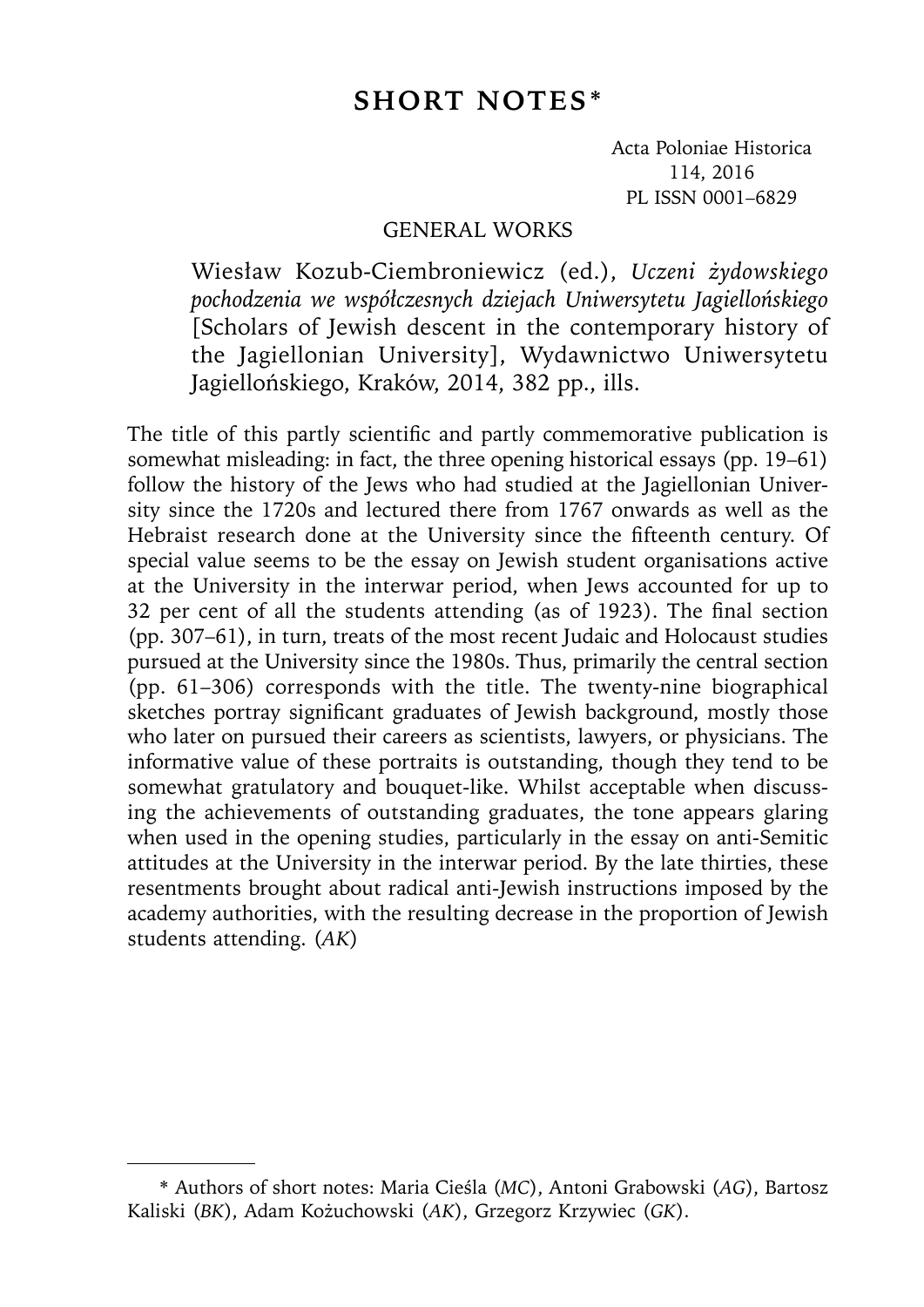# **SHORT NOTES\***

Acta Poloniae Historica 114, 2016 PL ISSN 0001–6829

## GENERAL WORKS

Wiesław Kozub-Ciembroniewicz (ed.), *Uczeni żydowskiego pochodzenia we współczesnych dziejach Uniwersytetu Jagiellońskiego*  [Scholars of Jewish descent in the contemporary history of the Jagiellonian University], Wydawnictwo Uniwersytetu Jagiellońskiego, Kraków, 2014, 382 pp., ills.**<sup>1</sup>**

The title of this partly scientific and partly commemorative publication is somewhat misleading: in fact, the three opening historical essays (pp. 19–61) follow the history of the Jews who had studied at the Jagiellonian University since the 1720s and lectured there from 1767 onwards as well as the Hebraist research done at the University since the fifteenth century. Of special value seems to be the essay on Jewish student organisations active at the University in the interwar period, when Jews accounted for up to 32 per cent of all the students attending (as of 1923). The final section (pp. 307–61), in turn, treats of the most recent Judaic and Holocaust studies pursued at the University since the 1980s. Thus, primarily the central section (pp. 61–306) corresponds with the title. The twenty-nine biographical sketches portray significant graduates of Jewish background, mostly those who later on pursued their careers as scientists, lawyers, or physicians. The informative value of these portraits is outstanding, though they tend to be somewhat gratulatory and bouquet-like. Whilst acceptable when discussing the achievements of outstanding graduates, the tone appears glaring when used in the opening studies, particularly in the essay on anti-Semitic attitudes at the University in the interwar period. By the late thirties, these resentments brought about radical anti-Jewish instructions imposed by the academy authorities, with the resulting decrease in the proportion of Jewish students attending. (*AK*)

<sup>\*</sup> Authors of short notes: Maria Cieśla (*MC*), Antoni Grabowski (*AG*), Bartosz Kaliski (*BK*), Adam Kożuchowski (*AK*), Grzegorz Krzywiec (*GK*).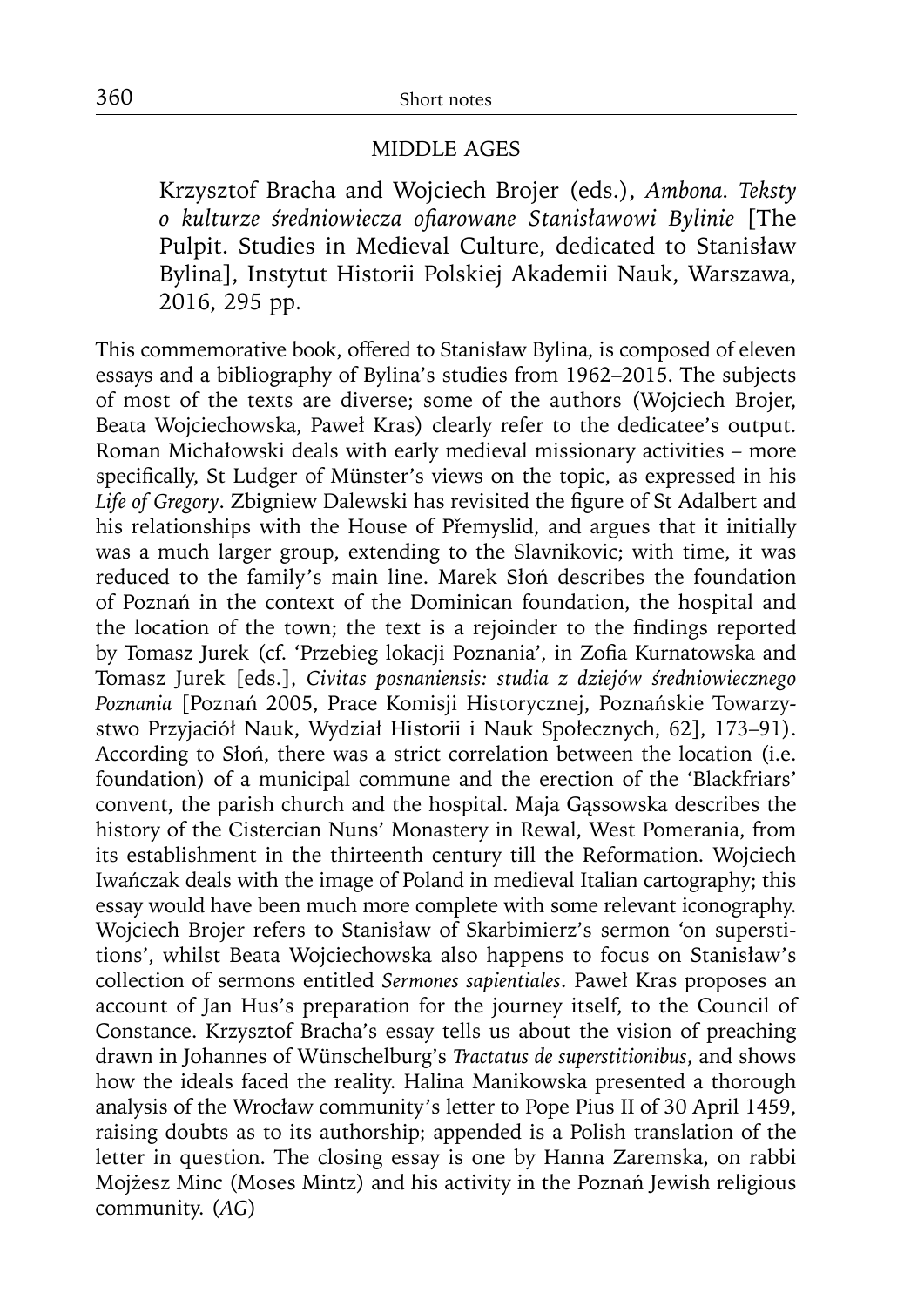# MIDDLE AGES

Krzysztof Bracha and Wojciech Brojer (eds.), *Ambona. Teksty o kulturze średniowiecza ofi arowane Stanisławowi Bylinie* [The Pulpit. Studies in Medieval Culture, dedicated to Stanisław Bylina], Instytut Historii Polskiej Akademii Nauk, Warszawa, 2016, 295 pp.

This commemorative book, offered to Stanisław Bylina, is composed of eleven essays and a bibliography of Bylina's studies from 1962–2015. The subjects of most of the texts are diverse; some of the authors (Wojciech Brojer, Beata Wojciechowska, Paweł Kras) clearly refer to the dedicatee's output. Roman Michałowski deals with early medieval missionary activities – more specifically, St Ludger of Münster's views on the topic, as expressed in his Life of Gregory. Zbigniew Dalewski has revisited the figure of St Adalbert and his relationships with the House of Přemyslid, and argues that it initially was a much larger group, extending to the Slavnikovic; with time, it was reduced to the family's main line. Marek Słoń describes the foundation of Poznań in the context of the Dominican foundation, the hospital and the location of the town; the text is a rejoinder to the findings reported by Tomasz Jurek (cf. 'Przebieg lokacji Poznania', in Zofia Kurnatowska and Tomasz Jurek [eds.], *Civitas posnaniensis: studia z dziejów średniowiecznego Poznania* [Poznań 2005, Prace Komisji Historycznej, Poznańskie Towarzystwo Przyjaciół Nauk, Wydział Historii i Nauk Społecznych, 62], 173–91). According to Słoń, there was a strict correlation between the location (i.e. foundation) of a municipal commune and the erection of the 'Blackfriars' convent, the parish church and the hospital. Maja Gąssowska describes the history of the Cistercian Nuns' Monastery in Rewal, West Pomerania, from its establishment in the thirteenth century till the Reformation. Wojciech Iwańczak deals with the image of Poland in medieval Italian cartography; this essay would have been much more complete with some relevant iconography. Wojciech Brojer refers to Stanisław of Skarbimierz's sermon 'on superstitions', whilst Beata Wojciechowska also happens to focus on Stanisław's collection of sermons entitled *Sermones sapientiales*. Paweł Kras proposes an account of Jan Hus's preparation for the journey itself, to the Council of Constance. Krzysztof Bracha's essay tells us about the vision of preaching drawn in Johannes of Wünschelburg's *Tractatus de superstitionibus*, and shows how the ideals faced the reality. Halina Manikowska presented a thorough analysis of the Wrocław community's letter to Pope Pius II of 30 April 1459, raising doubts as to its authorship; appended is a Polish translation of the letter in question. The closing essay is one by Hanna Zaremska, on rabbi Mojżesz Minc (Moses Mintz) and his activity in the Poznań Jewish religious community. (*AG*)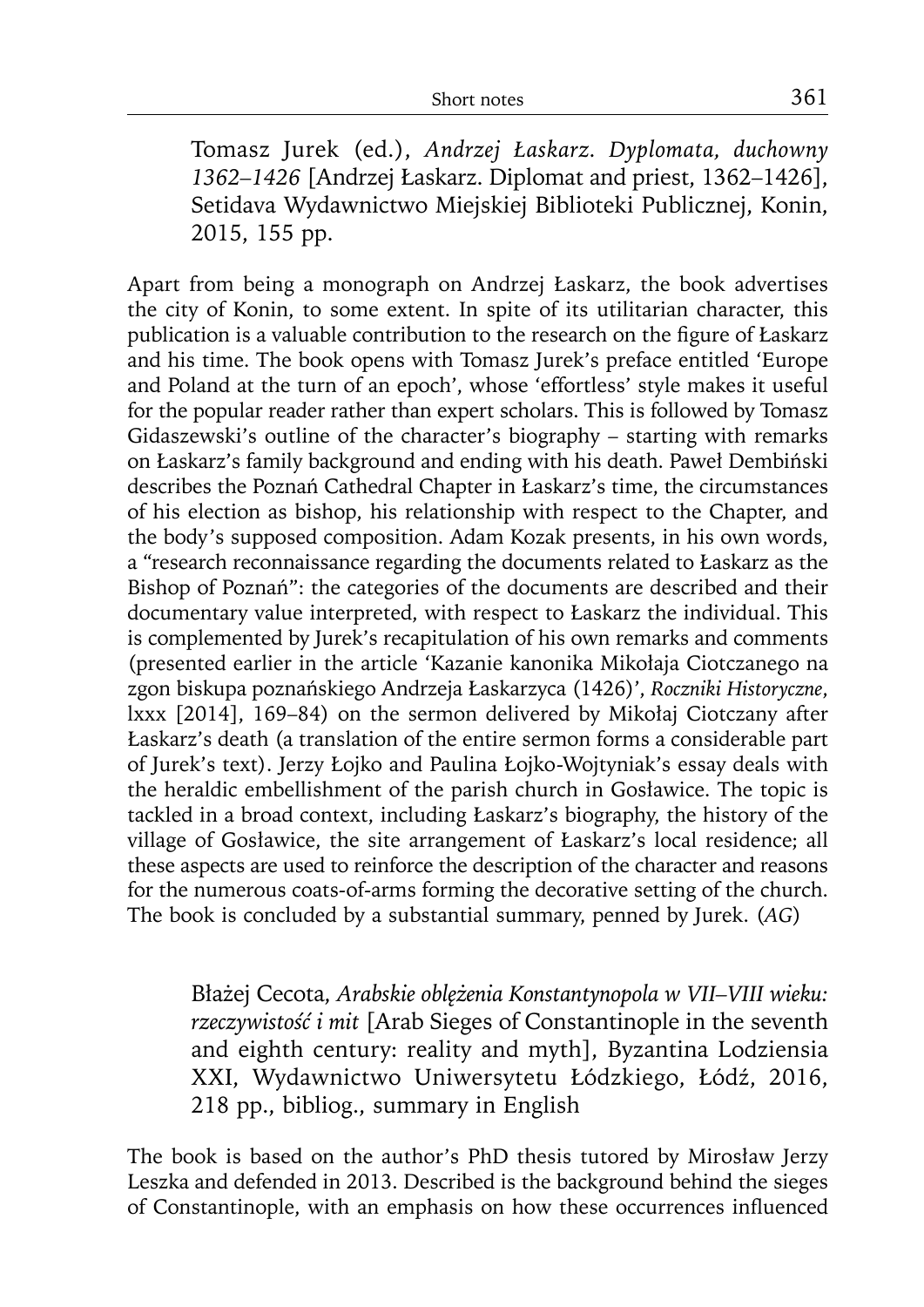Tomasz Jurek (ed.), *Andrzej Łaskarz. Dyplomata, duchowny 1362–1426* [Andrzej Łaskarz. Diplomat and priest, 1362–1426], Setidava Wydawnictwo Miejskiej Biblioteki Publicznej, Konin, 2015, 155 pp.

Apart from being a monograph on Andrzej Łaskarz, the book advertises the city of Konin, to some extent. In spite of its utilitarian character, this publication is a valuable contribution to the research on the figure of Łaskarz and his time. The book opens with Tomasz Jurek's preface entitled 'Europe and Poland at the turn of an epoch', whose 'effortless' style makes it useful for the popular reader rather than expert scholars. This is followed by Tomasz Gidaszewski's outline of the character's biography – starting with remarks on Łaskarz's family background and ending with his death. Paweł Dembiński describes the Poznań Cathedral Chapter in Łaskarz's time, the circumstances of his election as bishop, his relationship with respect to the Chapter, and the body's supposed composition. Adam Kozak presents, in his own words, a "research reconnaissance regarding the documents related to Łaskarz as the Bishop of Poznań": the categories of the documents are described and their documentary value interpreted, with respect to Łaskarz the individual. This is complemented by Jurek's recapitulation of his own remarks and comments (presented earlier in the article 'Kazanie kanonika Mikołaja Ciotczanego na zgon biskupa poznańskiego Andrzeja Łaskarzyca (1426)', *Roczniki Historyczne*, lxxx [2014], 169–84) on the sermon delivered by Mikołaj Ciotczany after Łaskarz's death (a translation of the entire sermon forms a considerable part of Jurek's text). Jerzy Łojko and Paulina Łojko-Wojtyniak's essay deals with the heraldic embellishment of the parish church in Gosławice. The topic is tackled in a broad context, including Łaskarz's biography, the history of the village of Gosławice, the site arrangement of Łaskarz's local residence; all these aspects are used to reinforce the description of the character and reasons for the numerous coats-of-arms forming the decorative setting of the church. The book is concluded by a substantial summary, penned by Jurek. (*AG*)

Błażej Cecota, *Arabskie oblężenia Konstantynopola w VII–VIII wieku: rzeczywistość i mit* [Arab Sieges of Constantinople in the seventh and eighth century: reality and myth], Byzantina Lodziensia XXI, Wydawnictwo Uniwersytetu Łódzkiego, Łódź, 2016, 218 pp., bibliog., summary in English

The book is based on the author's PhD thesis tutored by Mirosław Jerzy Leszka and defended in 2013. Described is the background behind the sieges of Constantinople, with an emphasis on how these occurrences influenced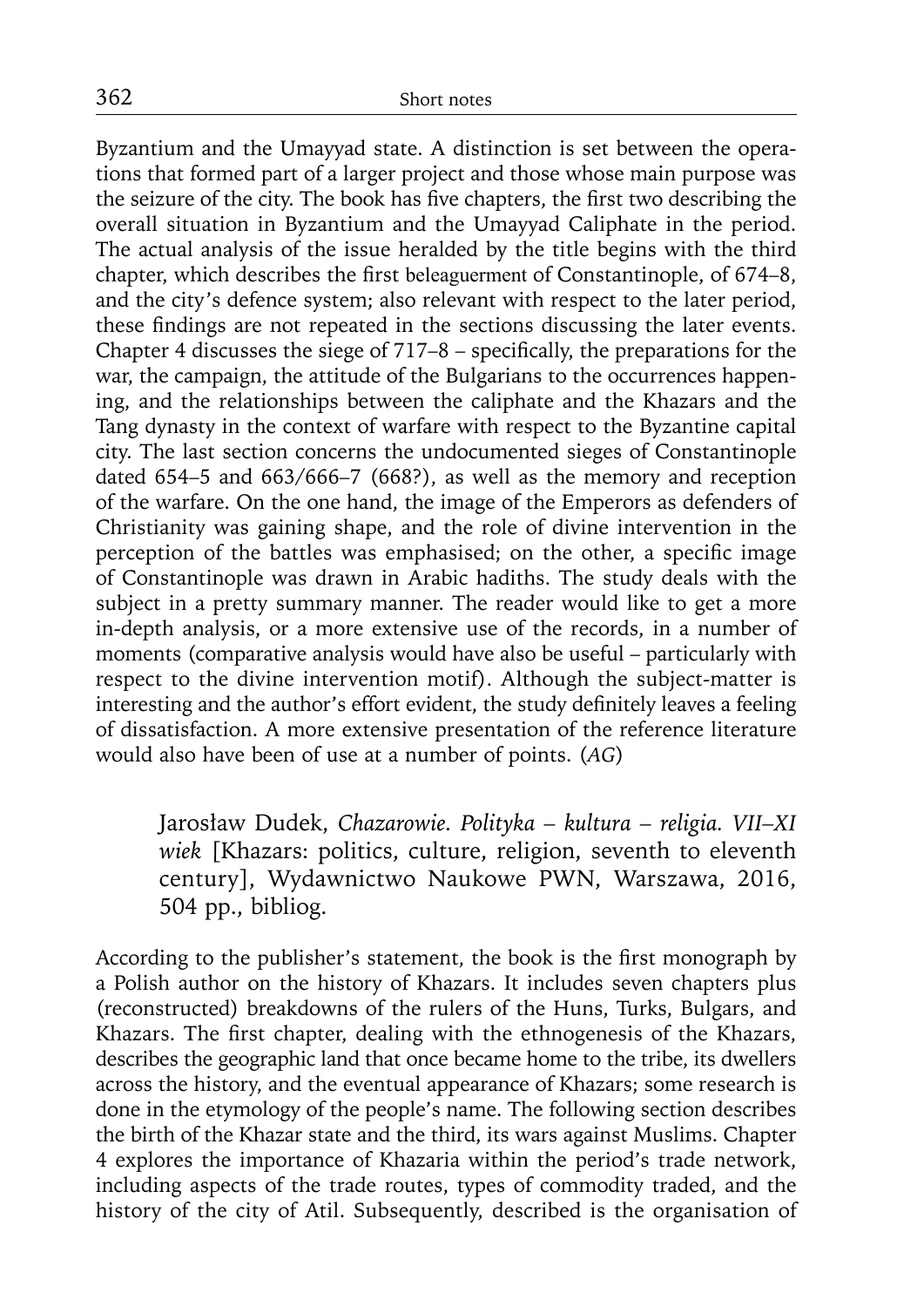Byzantium and the Umayyad state. A distinction is set between the operations that formed part of a larger project and those whose main purpose was the seizure of the city. The book has five chapters, the first two describing the overall situation in Byzantium and the Umayyad Caliphate in the period. The actual analysis of the issue heralded by the title begins with the third chapter, which describes the first beleaguerment of Constantinople, of 674–8, and the city's defence system; also relevant with respect to the later period, these findings are not repeated in the sections discussing the later events. Chapter 4 discusses the siege of  $717-8$  – specifically, the preparations for the war, the campaign, the attitude of the Bulgarians to the occurrences happening, and the relationships between the caliphate and the Khazars and the Tang dynasty in the context of warfare with respect to the Byzantine capital city. The last section concerns the undocumented sieges of Constantinople dated 654–5 and 663/666–7 (668?), as well as the memory and reception of the warfare. On the one hand, the image of the Emperors as defenders of Christianity was gaining shape, and the role of divine intervention in the perception of the battles was emphasised; on the other, a specific image of Constantinople was drawn in Arabic hadiths. The study deals with the subject in a pretty summary manner. The reader would like to get a more in-depth analysis, or a more extensive use of the records, in a number of moments (comparative analysis would have also be useful – particularly with respect to the divine intervention motif). Although the subject-matter is interesting and the author's effort evident, the study definitely leaves a feeling of dissatisfaction. A more extensive presentation of the reference literature would also have been of use at a number of points. (*AG*)

Jarosław Dudek, *Chazarowie. Polityka – kultura – religia. VII–XI wiek* [Khazars: politics, culture, religion, seventh to eleventh century], Wydawnictwo Naukowe PWN, Warszawa, 2016, 504 pp., bibliog.

According to the publisher's statement, the book is the first monograph by a Polish author on the history of Khazars. It includes seven chapters plus (reconstructed) breakdowns of the rulers of the Huns, Turks, Bulgars, and Khazars. The first chapter, dealing with the ethnogenesis of the Khazars, describes the geographic land that once became home to the tribe, its dwellers across the history, and the eventual appearance of Khazars; some research is done in the etymology of the people's name. The following section describes the birth of the Khazar state and the third, its wars against Muslims. Chapter 4 explores the importance of Khazaria within the period's trade network, including aspects of the trade routes, types of commodity traded, and the history of the city of Atil. Subsequently, described is the organisation of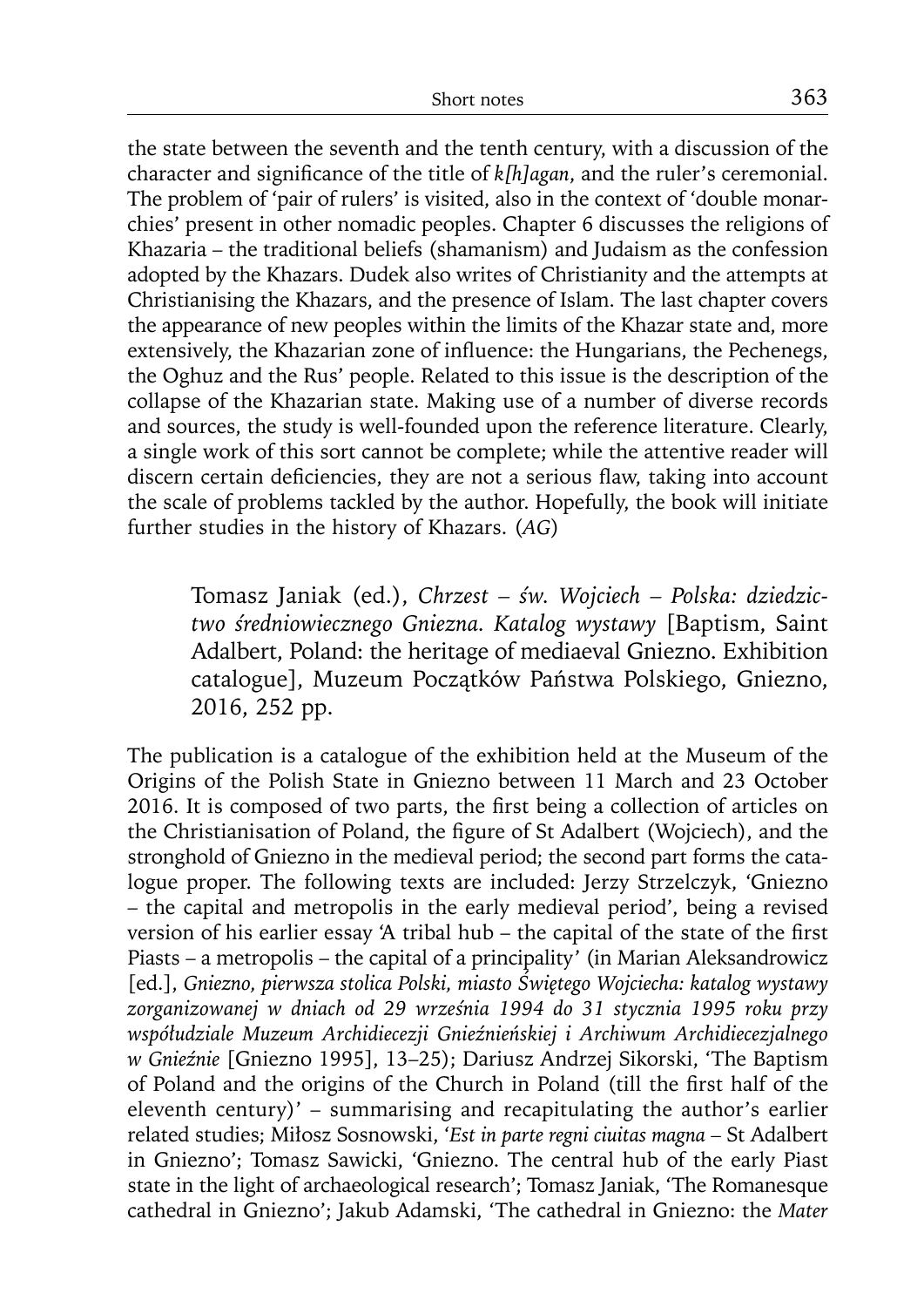the state between the seventh and the tenth century, with a discussion of the character and significance of the title of *k*[h]agan, and the ruler's ceremonial. The problem of 'pair of rulers' is visited, also in the context of 'double monarchies' present in other nomadic peoples. Chapter 6 discusses the religions of Khazaria – the traditional beliefs (shamanism) and Judaism as the confession adopted by the Khazars. Dudek also writes of Christianity and the attempts at Christianising the Khazars, and the presence of Islam. The last chapter covers the appearance of new peoples within the limits of the Khazar state and, more extensively, the Khazarian zone of influence: the Hungarians, the Pechenegs, the Oghuz and the Rus' people. Related to this issue is the description of the collapse of the Khazarian state. Making use of a number of diverse records and sources, the study is well-founded upon the reference literature. Clearly, a single work of this sort cannot be complete; while the attentive reader will discern certain deficiencies, they are not a serious flaw, taking into account the scale of problems tackled by the author. Hopefully, the book will initiate further studies in the history of Khazars. (*AG*)

Tomasz Janiak (ed.), *Chrzest – św. Wojciech – Polska: dziedzictwo średniowiecznego Gniezna. Katalog wystawy* [Baptism, Saint Adalbert, Poland: the heritage of mediaeval Gniezno. Exhibition catalogue], Muzeum Początków Państwa Polskiego, Gniezno, 2016, 252 pp.

The publication is a catalogue of the exhibition held at the Museum of the Origins of the Polish State in Gniezno between 11 March and 23 October 2016. It is composed of two parts, the first being a collection of articles on the Christianisation of Poland, the figure of St Adalbert (Wojciech), and the stronghold of Gniezno in the medieval period; the second part forms the catalogue proper. The following texts are included: Jerzy Strzelczyk, 'Gniezno – the capital and metropolis in the early medieval period', being a revised version of his earlier essay 'A tribal hub – the capital of the state of the first Piasts – a metropolis – the capital of a principality' (in Marian Aleksandrowicz [ed.], *Gniezno, pierwsza stolica Polski, miasto Świętego Wojciecha: katalog wystawy zorganizowanej w dniach od 29 września 1994 do 31 stycznia 1995 roku przy współudziale Muzeum Archidiecezji Gnieźnieńskiej i Archiwum Archidiecezjal nego w Gnieźnie* [Gniezno 1995], 13–25); Dariusz Andrzej Sikorski, 'The Baptism of Poland and the origins of the Church in Poland (till the first half of the eleventh century)' – summarising and recapitulating the author's earlier related studies; Miłosz Sosnowski, '*Est in parte regni ciuitas magna –* St Adalbert in Gniezno'; Tomasz Sawicki, 'Gniezno. The central hub of the early Piast state in the light of archaeological research'; Tomasz Janiak, 'The Romanesque cathedral in Gniezno'; Jakub Adamski, 'The cathedral in Gniezno: the *Mater*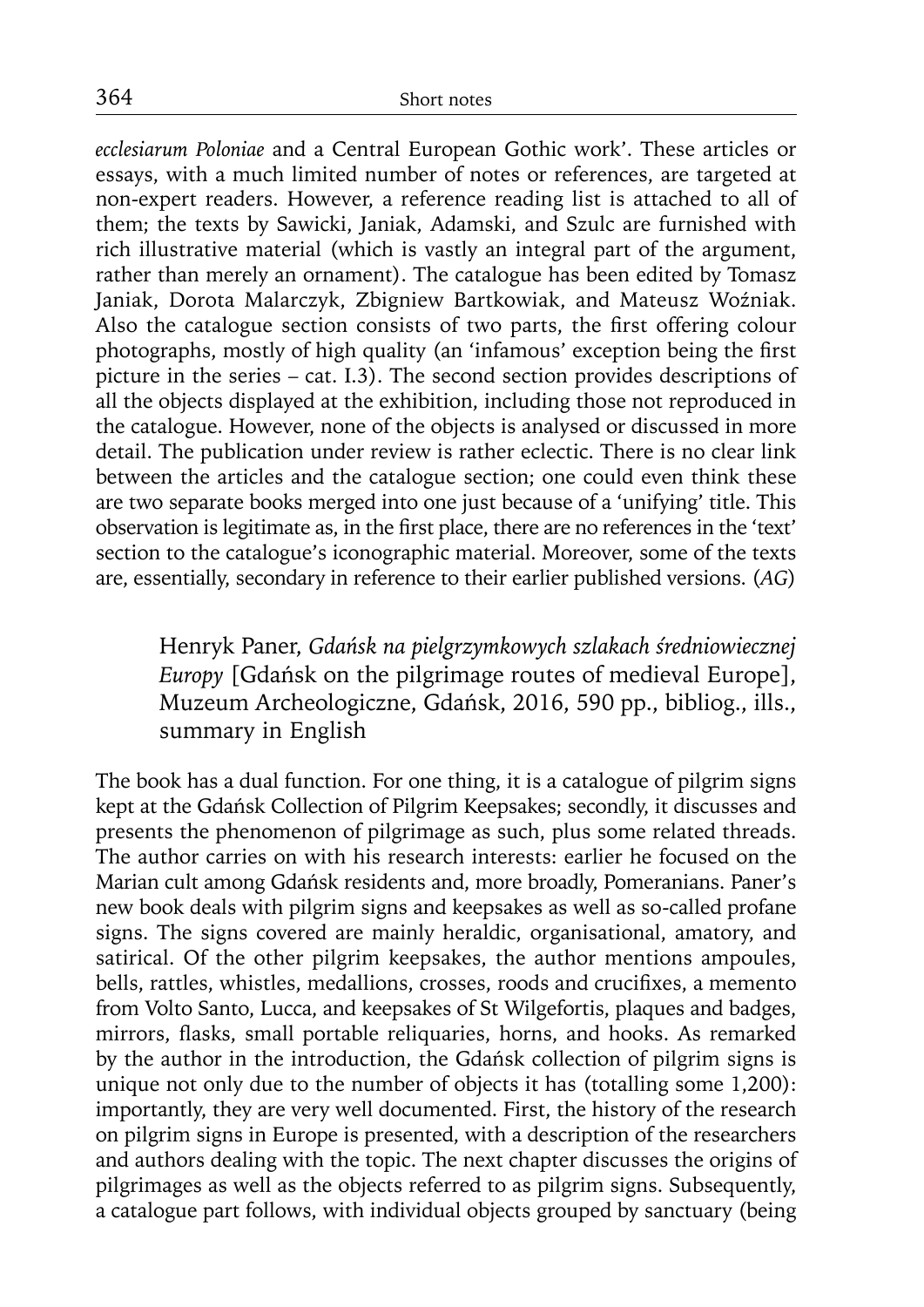*ecclesiarum Poloniae* and a Central European Gothic work'. These articles or essays, with a much limited number of notes or references, are targeted at non-expert readers. However, a reference reading list is attached to all of them; the texts by Sawicki, Janiak, Adamski, and Szulc are furnished with rich illustrative material (which is vastly an integral part of the argument, rather than merely an ornament). The catalogue has been edited by Tomasz Janiak, Dorota Malarczyk, Zbigniew Bartkowiak, and Mateusz Woźniak. Also the catalogue section consists of two parts, the first offering colour photographs, mostly of high quality (an 'infamous' exception being the first picture in the series – cat. I.3). The second section provides descriptions of all the objects displayed at the exhibition, including those not reproduced in the catalogue. However, none of the objects is analysed or discussed in more detail. The publication under review is rather eclectic. There is no clear link between the articles and the catalogue section; one could even think these are two separate books merged into one just because of a 'unifying' title. This observation is legitimate as, in the first place, there are no references in the 'text' section to the catalogue's iconographic material. Moreover, some of the texts are, essentially, secondary in reference to their earlier published versions. (*AG*)

Henryk Paner, *Gdańsk na pielgrzymkowych szlakach średniowiecznej Europy* [Gdańsk on the pilgrimage routes of medieval Europe], Muzeum Archeologiczne, Gdańsk, 2016, 590 pp., bibliog., ills., summary in English

The book has a dual function. For one thing, it is a catalogue of pilgrim signs kept at the Gdańsk Collection of Pilgrim Keepsakes; secondly, it discusses and presents the phenomenon of pilgrimage as such, plus some related threads. The author carries on with his research interests: earlier he focused on the Marian cult among Gdańsk residents and, more broadly, Pomeranians. Paner's new book deals with pilgrim signs and keepsakes as well as so-called profane signs. The signs covered are mainly heraldic, organisational, amatory, and satirical. Of the other pilgrim keepsakes, the author mentions ampoules, bells, rattles, whistles, medallions, crosses, roods and crucifixes, a memento from Volto Santo, Lucca, and keepsakes of St Wilgefortis, plaques and badges, mirrors, flasks, small portable reliquaries, horns, and hooks. As remarked by the author in the introduction, the Gdańsk collection of pilgrim signs is unique not only due to the number of objects it has (totalling some 1,200): importantly, they are very well documented. First, the history of the research on pilgrim signs in Europe is presented, with a description of the researchers and authors dealing with the topic. The next chapter discusses the origins of pilgrimages as well as the objects referred to as pilgrim signs. Subsequently, a catalogue part follows, with individual objects grouped by sanctuary (being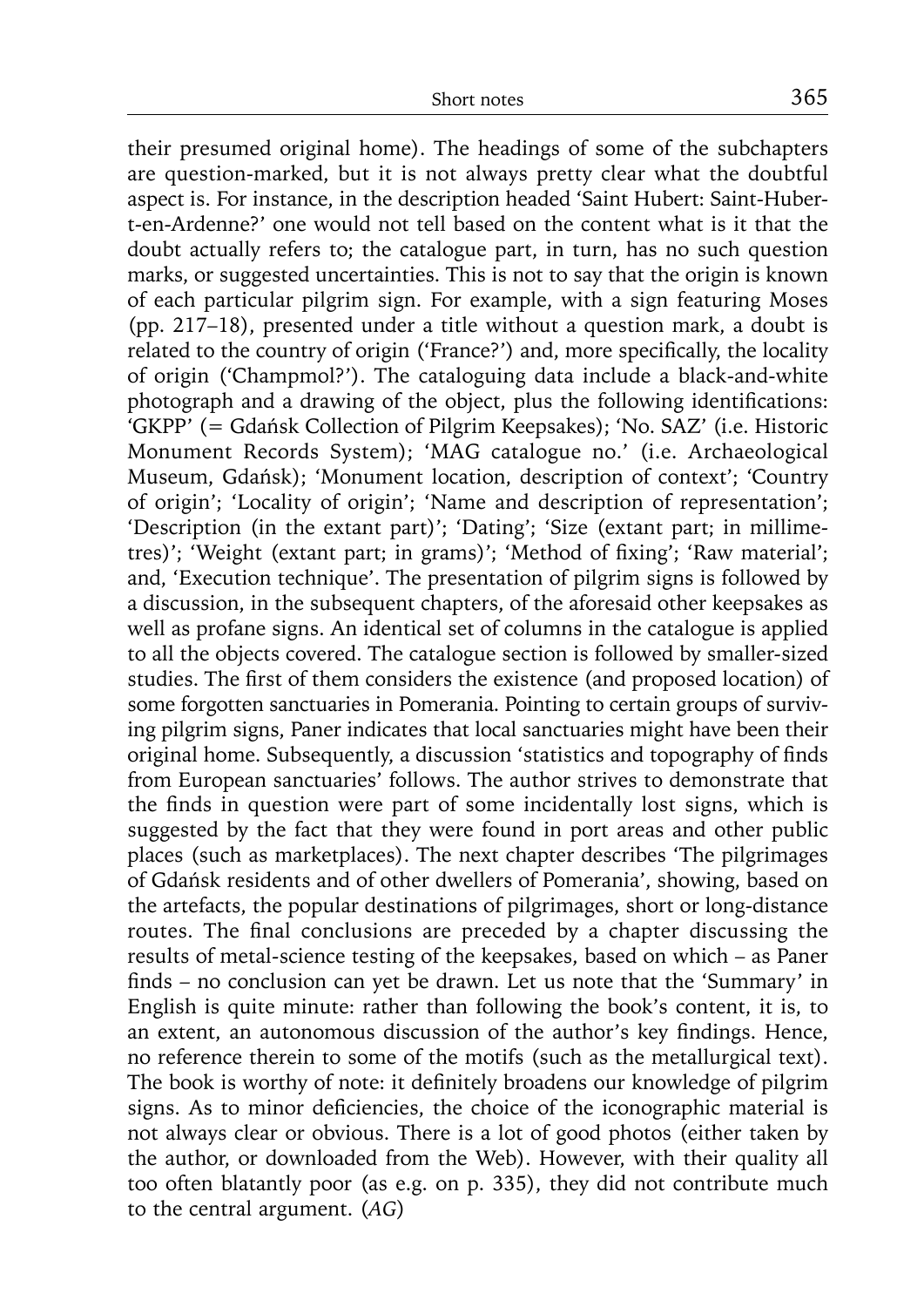their presumed original home). The headings of some of the subchapters are question-marked, but it is not always pretty clear what the doubtful aspect is. For instance, in the description headed 'Saint Hubert: Saint-Hubert-en-Ardenne?' one would not tell based on the content what is it that the doubt actually refers to; the catalogue part, in turn, has no such question marks, or suggested uncertainties. This is not to say that the origin is known of each particular pilgrim sign. For example, with a sign featuring Moses (pp. 217–18), presented under a title without a question mark, a doubt is related to the country of origin ('France?') and, more specifically, the locality of origin ('Champmol?'). The cataloguing data include a black-and-white photograph and a drawing of the object, plus the following identifications: 'GKPP' (= Gdańsk Collection of Pilgrim Keepsakes); 'No. SAZ' (i.e. Historic Monument Records System); 'MAG catalogue no.' (i.e. Archaeological Museum, Gdańsk); 'Monument location, description of context'; 'Country of origin'; 'Locality of origin'; 'Name and description of representation'; 'Description (in the extant part)'; 'Dating'; 'Size (extant part; in millimetres)'; 'Weight (extant part; in grams)'; 'Method of fixing'; 'Raw material'; and, 'Execution technique'. The presentation of pilgrim signs is followed by a discussion, in the subsequent chapters, of the aforesaid other keepsakes as well as profane signs. An identical set of columns in the catalogue is applied to all the objects covered. The catalogue section is followed by smaller-sized studies. The first of them considers the existence (and proposed location) of some forgotten sanctuaries in Pomerania. Pointing to certain groups of surviving pilgrim signs, Paner indicates that local sanctuaries might have been their original home. Subsequently, a discussion 'statistics and topography of finds from European sanctuaries' follows. The author strives to demonstrate that the finds in question were part of some incidentally lost signs, which is suggested by the fact that they were found in port areas and other public places (such as marketplaces). The next chapter describes 'The pilgrimages of Gdańsk residents and of other dwellers of Pomerania', showing, based on the artefacts, the popular destinations of pilgrimages, short or long-distance routes. The final conclusions are preceded by a chapter discussing the results of metal-science testing of the keepsakes, based on which – as Paner finds – no conclusion can yet be drawn. Let us note that the 'Summary' in English is quite minute: rather than following the book's content, it is, to an extent, an autonomous discussion of the author's key findings. Hence, no reference therein to some of the motifs (such as the metallurgical text). The book is worthy of note: it definitely broadens our knowledge of pilgrim signs. As to minor deficiencies, the choice of the iconographic material is not always clear or obvious. There is a lot of good photos (either taken by the author, or downloaded from the Web). However, with their quality all too often blatantly poor (as e.g. on p. 335), they did not contribute much to the central argument. (*AG*)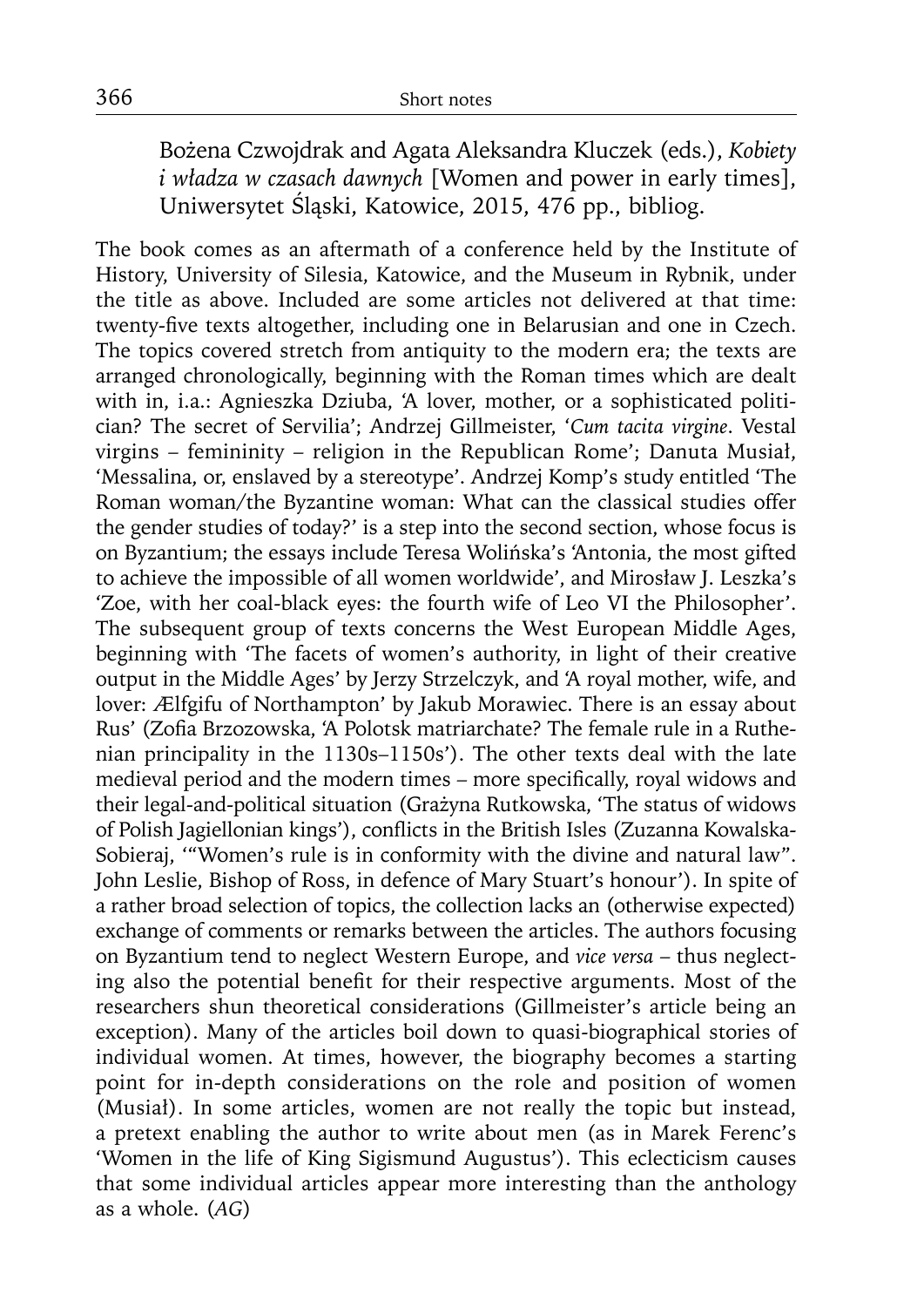Bożena Czwojdrak and Agata Aleksandra Kluczek (eds.), *Kobiety i władza w czasach dawnych* [Women and power in early times], Uniwersytet Śląski, Katowice, 2015, 476 pp., bibliog.

The book comes as an aftermath of a conference held by the Institute of History, University of Silesia, Katowice, and the Museum in Rybnik, under the title as above. Included are some articles not delivered at that time: twenty-five texts altogether, including one in Belarusian and one in Czech. The topics covered stretch from antiquity to the modern era; the texts are arranged chronologically, beginning with the Roman times which are dealt with in, i.a.: Agnieszka Dziuba, 'A lover, mother, or a sophisticated politician? The secret of Servilia'; Andrzej Gillmeister, '*Cum tacita virgine*. Vestal virgins – femininity – religion in the Republican Rome'; Danuta Musiał, 'Messalina, or, enslaved by a stereotype'. Andrzej Komp's study entitled 'The Roman woman/the Byzantine woman: What can the classical studies offer the gender studies of today?' is a step into the second section, whose focus is on Byzantium; the essays include Teresa Wolińska's 'Antonia, the most gifted to achieve the impossible of all women worldwide', and Mirosław J. Leszka's 'Zoe, with her coal-black eyes: the fourth wife of Leo VI the Philosopher'. The subsequent group of texts concerns the West European Middle Ages, beginning with 'The facets of women's authority, in light of their creative output in the Middle Ages' by Jerzy Strzelczyk, and 'A royal mother, wife, and lover: Ælfgifu of Northampton' by Jakub Morawiec. There is an essay about Rus' (Zofia Brzozowska, 'A Polotsk matriarchate? The female rule in a Ruthenian principality in the 1130s–1150s'). The other texts deal with the late medieval period and the modern times – more specifically, royal widows and their legal-and-political situation (Grażyna Rutkowska, 'The status of widows of Polish Jagiellonian kings'), conflicts in the British Isles (Zuzanna Kowalska-Sobieraj, '"Women's rule is in conformity with the divine and natural law". John Leslie, Bishop of Ross, in defence of Mary Stuart's honour'). In spite of a rather broad selection of topics, the collection lacks an (otherwise expected) exchange of comments or remarks between the articles. The authors focusing on Byzantium tend to neglect Western Europe, and *vice versa* – thus neglecting also the potential benefit for their respective arguments. Most of the researchers shun theoretical considerations (Gillmeister's article being an exception). Many of the articles boil down to quasi-biographical stories of individual women. At times, however, the biography becomes a starting point for in-depth considerations on the role and position of women (Musiał). In some articles, women are not really the topic but instead, a pretext enabling the author to write about men (as in Marek Ferenc's 'Women in the life of King Sigismund Augustus'). This eclecticism causes that some individual articles appear more interesting than the anthology as a whole. (*AG*)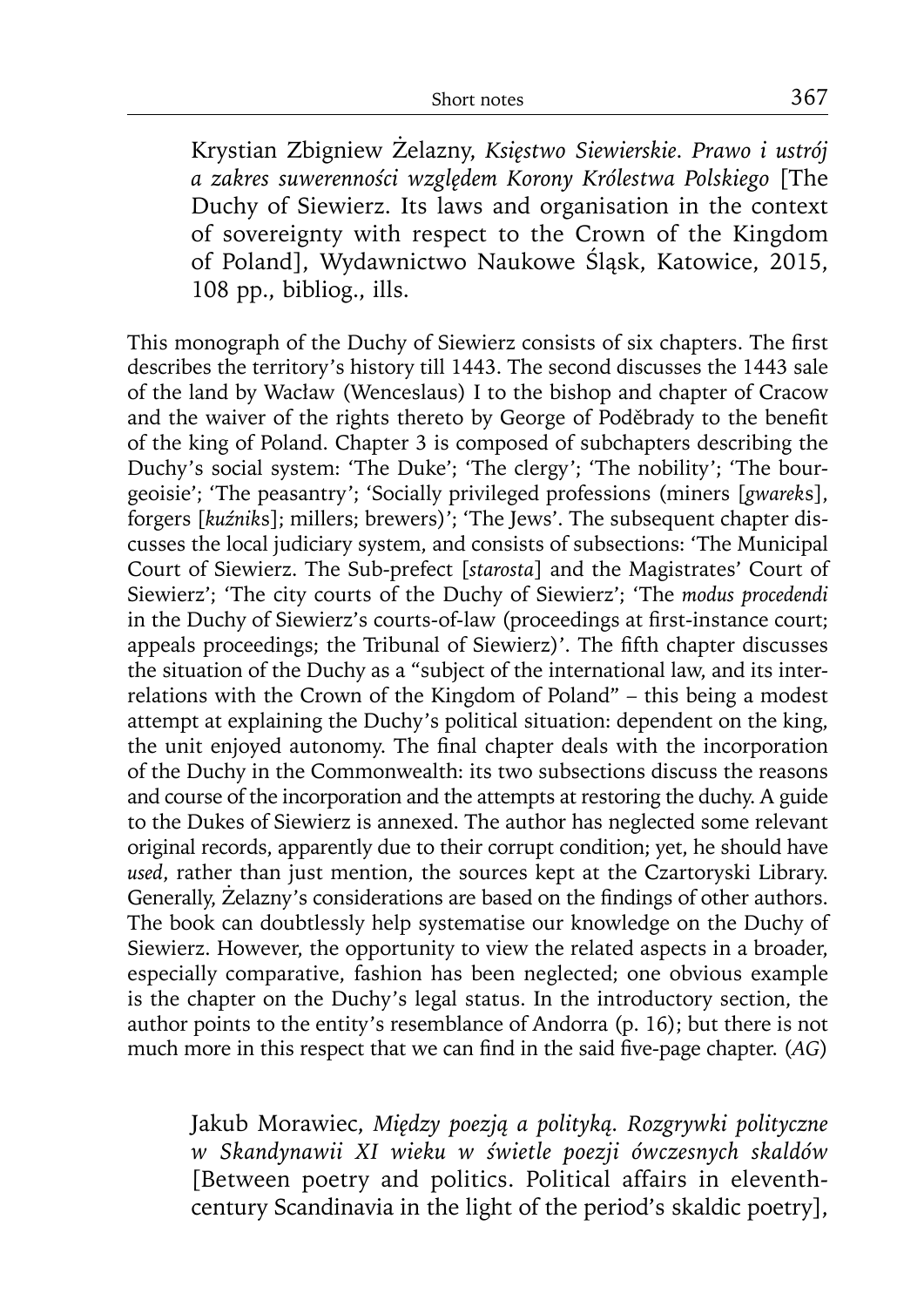Krystian Zbigniew Żelazny, *Księstwo Siewierskie. Prawo i ustrój a zakres suwerenności względem Korony Królestwa Polskiego* [The Duchy of Siewierz. Its laws and organisation in the context of sovereignty with respect to the Crown of the Kingdom of Poland], Wydawnictwo Naukowe Śląsk, Katowice, 2015, 108 pp., bibliog., ills.

This monograph of the Duchy of Siewierz consists of six chapters. The first describes the territory's history till 1443. The second discusses the 1443 sale of the land by Wacław (Wenceslaus) I to the bishop and chapter of Cracow and the waiver of the rights thereto by George of Poděbrady to the benefit of the king of Poland. Chapter 3 is composed of subchapters describing the Duchy's social system: 'The Duke'; 'The clergy'; 'The nobility'; 'The bourgeoisie'; 'The peasantry'; 'Socially privileged professions (miners [*gwarek*s], forgers [*kuźnik*s]; millers; brewers)'; 'The Jews'. The subsequent chapter discusses the local judiciary system, and consists of subsections: 'The Municipal Court of Siewierz. The Sub-prefect [*starosta*] and the Magistrates' Court of Siewierz'; 'The city courts of the Duchy of Siewierz'; 'The *modus procedendi* in the Duchy of Siewierz's courts-of-law (proceedings at first-instance court; appeals proceedings; the Tribunal of Siewierz)'. The fifth chapter discusses the situation of the Duchy as a "subject of the international law, and its interrelations with the Crown of the Kingdom of Poland" – this being a modest attempt at explaining the Duchy's political situation: dependent on the king, the unit enjoyed autonomy. The final chapter deals with the incorporation of the Duchy in the Commonwealth: its two subsections discuss the reasons and course of the incorporation and the attempts at restoring the duchy. A guide to the Dukes of Siewierz is annexed. The author has neglected some relevant original records, apparently due to their corrupt condition; yet, he should have *used*, rather than just mention, the sources kept at the Czartoryski Library. Generally, Zelazny's considerations are based on the findings of other authors. The book can doubtlessly help systematise our knowledge on the Duchy of Siewierz. However, the opportunity to view the related aspects in a broader, especially comparative, fashion has been neglected; one obvious example is the chapter on the Duchy's legal status. In the introductory section, the author points to the entity's resemblance of Andorra (p. 16); but there is not much more in this respect that we can find in the said five-page chapter. (AG)

Jakub Morawiec, *Między poezją a polityką. Rozgrywki polityczne w Skandynawii XI wieku w świetle poezji ówczesnych skaldów* [Between poetry and politics. Political affairs in eleventhcentury Scandinavia in the light of the period's skaldic poetry],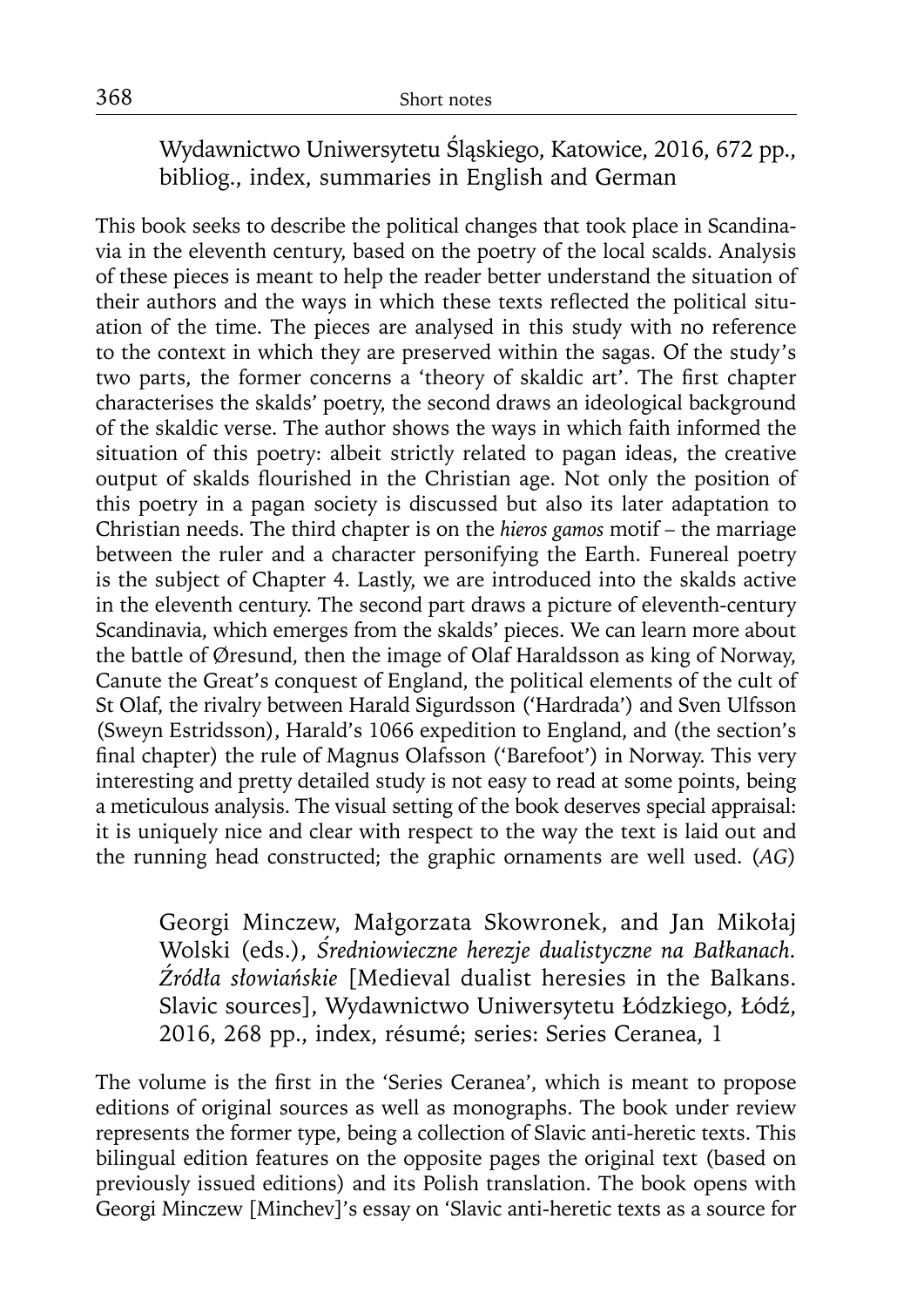Wydawnictwo Uniwersytetu Śląskiego, Katowice, 2016, 672 pp., bibliog., index, summaries in English and German

This book seeks to describe the political changes that took place in Scandinavia in the eleventh century, based on the poetry of the local scalds. Analysis of these pieces is meant to help the reader better understand the situation of their authors and the ways in which these texts reflected the political situation of the time. The pieces are analysed in this study with no reference to the context in which they are preserved within the sagas. Of the study's two parts, the former concerns a 'theory of skaldic art'. The first chapter characterises the skalds' poetry, the second draws an ideological background of the skaldic verse. The author shows the ways in which faith informed the situation of this poetry: albeit strictly related to pagan ideas, the creative output of skalds flourished in the Christian age. Not only the position of this poetry in a pagan society is discussed but also its later adaptation to Christian needs. The third chapter is on the *hieros gamos* motif – the marriage between the ruler and a character personifying the Earth. Funereal poetry is the subject of Chapter 4. Lastly, we are introduced into the skalds active in the eleventh century. The second part draws a picture of eleventh-century Scandinavia, which emerges from the skalds' pieces. We can learn more about the battle of Øresund, then the image of Olaf Haraldsson as king of Norway, Canute the Great's conquest of England, the political elements of the cult of St Olaf, the rivalry between Harald Sigurdsson ('Hardrada') and Sven Ulfsson (Sweyn Estridsson), Harald's 1066 expedition to England, and (the section's final chapter) the rule of Magnus Olafsson ('Barefoot') in Norway. This very interesting and pretty detailed study is not easy to read at some points, being a meticulous analysis. The visual setting of the book deserves special appraisal: it is uniquely nice and clear with respect to the way the text is laid out and the running head constructed; the graphic ornaments are well used. (*AG*)

Georgi Minczew, Małgorzata Skowronek, and Jan Mikołaj Wolski (eds.), *Średniowieczne herezje dualistyczne na Bałkanach. Źródła słowiańskie* [Medieval dualist heresies in the Balkans. Slavic sources], Wydawnictwo Uniwersytetu Łódzkiego, Łódź, 2016, 268 pp., index, résumé; series: Series Ceranea, 1

The volume is the first in the 'Series Ceranea', which is meant to propose editions of original sources as well as monographs. The book under review represents the former type, being a collection of Slavic anti-heretic texts. This bilingual edition features on the opposite pages the original text (based on previously issued editions) and its Polish translation. The book opens with Georgi Minczew [Minchev]'s essay on 'Slavic anti-heretic texts as a source for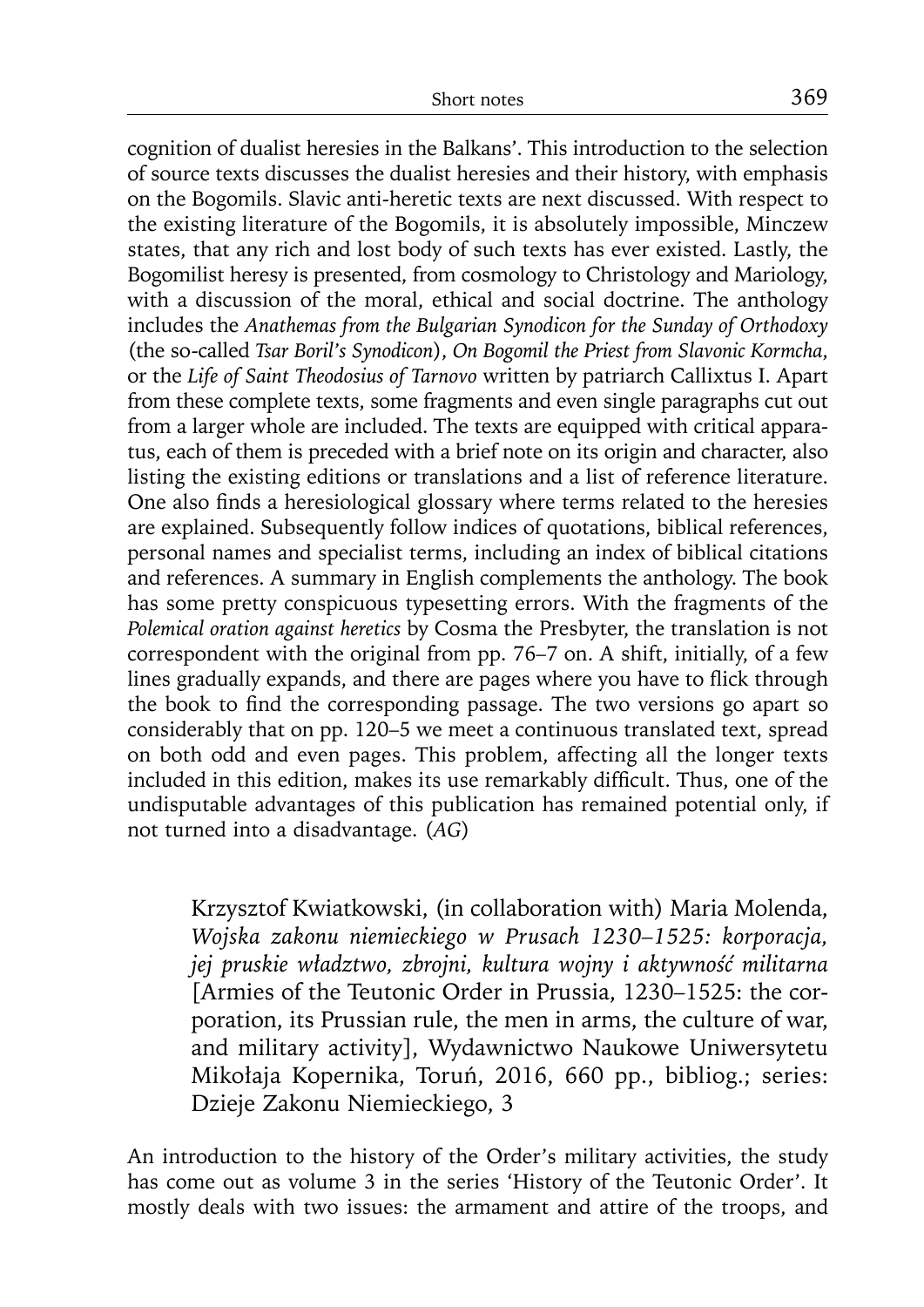cognition of dualist heresies in the Balkans'. This introduction to the selection of source texts discusses the dualist heresies and their history, with emphasis on the Bogomils. Slavic anti-heretic texts are next discussed. With respect to the existing literature of the Bogomils, it is absolutely impossible, Minczew states, that any rich and lost body of such texts has ever existed. Lastly, the Bogomilist heresy is presented, from cosmology to Christology and Mariology, with a discussion of the moral, ethical and social doctrine. The anthology includes the *Anathemas from the Bulgarian Synodicon for the Sunday of Orthodoxy* (the so-called *Tsar Boril's Synodicon*), *On Bogomil the Priest from Slavonic Kormcha*, or the *Life of Saint Theodosius of Tarnovo* written by patriarch Callixtus I. Apart from these complete texts, some fragments and even single paragraphs cut out from a larger whole are included. The texts are equipped with critical apparatus, each of them is preceded with a brief note on its origin and character, also listing the existing editions or translations and a list of reference literature. One also finds a heresiological glossary where terms related to the heresies are explained. Subsequently follow indices of quotations, biblical references, personal names and specialist terms, including an index of biblical citations and references. A summary in English complements the anthology. The book has some pretty conspicuous typesetting errors. With the fragments of the *Polemical oration against heretics* by Cosma the Presbyter, the translation is not correspondent with the original from pp. 76–7 on. A shift, initially, of a few lines gradually expands, and there are pages where you have to flick through the book to find the corresponding passage. The two versions go apart so considerably that on pp. 120–5 we meet a continuous translated text, spread on both odd and even pages. This problem, affecting all the longer texts included in this edition, makes its use remarkably difficult. Thus, one of the undisputable advantages of this publication has remained potential only, if not turned into a disadvantage. (*AG*)

Krzysztof Kwiatkowski, (in collaboration with) Maria Molenda, *Wojska zakonu niemieckiego w Prusach 1230–1525: korporacja, jej pruskie władztwo, zbrojni, kultura wojny i aktywność militarna* [Armies of the Teutonic Order in Prussia, 1230–1525: the corporation, its Prussian rule, the men in arms, the culture of war, and military activity], Wydawnictwo Naukowe Uniwersytetu Mikołaja Kopernika, Toruń, 2016, 660 pp., bibliog.; series: Dzieje Zakonu Niemieckiego, 3

An introduction to the history of the Order's military activities, the study has come out as volume 3 in the series 'History of the Teutonic Order'. It mostly deals with two issues: the armament and attire of the troops, and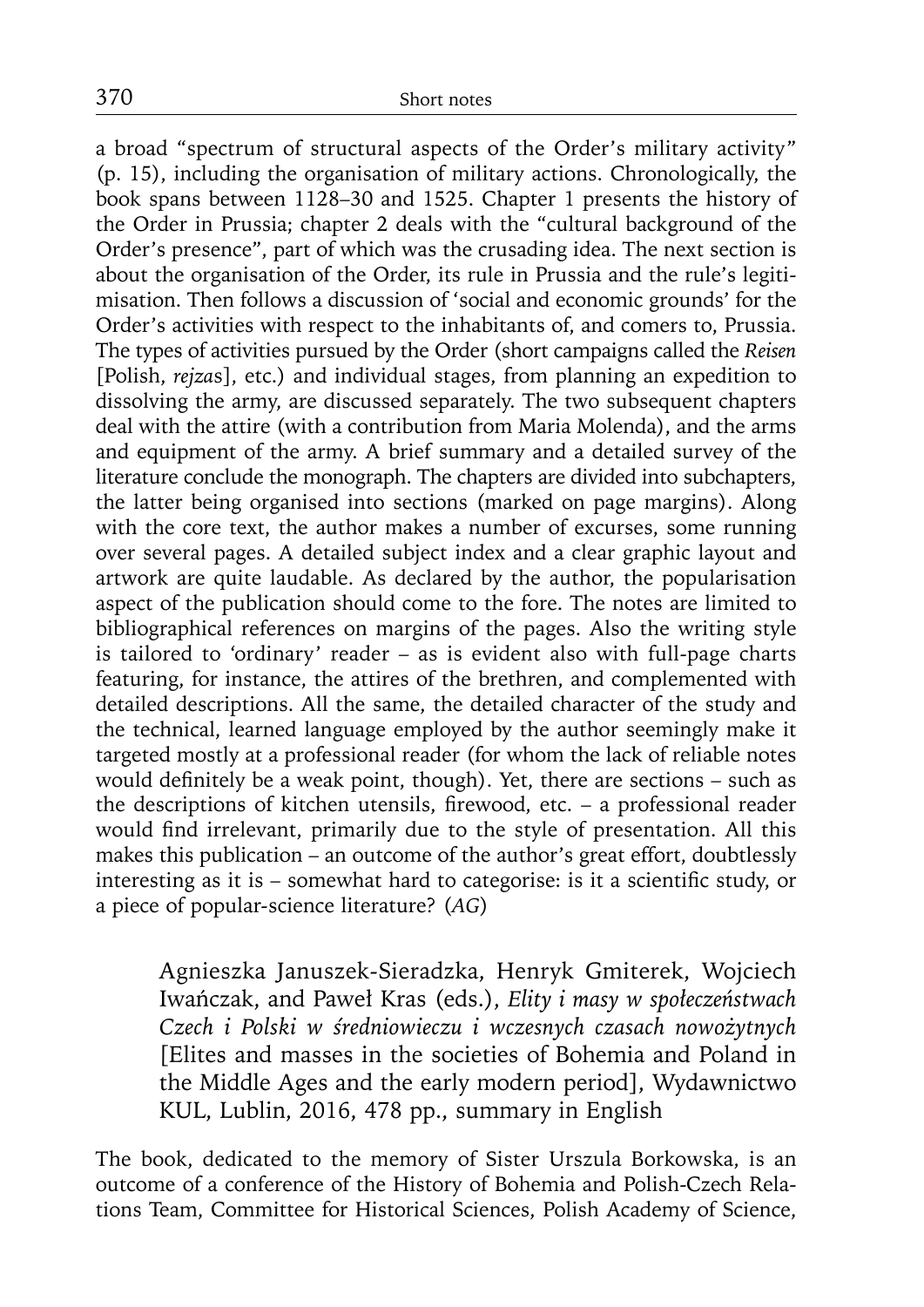a broad "spectrum of structural aspects of the Order's military activity" (p. 15), including the organisation of military actions. Chronologically, the book spans between 1128–30 and 1525. Chapter 1 presents the history of the Order in Prussia; chapter 2 deals with the "cultural background of the Order's presence", part of which was the crusading idea. The next section is about the organisation of the Order, its rule in Prussia and the rule's legitimisation. Then follows a discussion of 'social and economic grounds' for the Order's activities with respect to the inhabitants of, and comers to, Prussia. The types of activities pursued by the Order (short campaigns called the *Reisen*  [Polish, *rejza*s], etc.) and individual stages, from planning an expedition to dissolving the army, are discussed separately. The two subsequent chapters deal with the attire (with a contribution from Maria Molenda), and the arms and equipment of the army. A brief summary and a detailed survey of the literature conclude the monograph. The chapters are divided into subchapters, the latter being organised into sections (marked on page margins). Along with the core text, the author makes a number of excurses, some running over several pages. A detailed subject index and a clear graphic layout and artwork are quite laudable. As declared by the author, the popularisation aspect of the publication should come to the fore. The notes are limited to bibliographical references on margins of the pages. Also the writing style is tailored to 'ordinary' reader – as is evident also with full-page charts featuring, for instance, the attires of the brethren, and complemented with detailed descriptions. All the same, the detailed character of the study and the technical, learned language employed by the author seemingly make it targeted mostly at a professional reader (for whom the lack of reliable notes would definitely be a weak point, though). Yet, there are sections  $-$  such as the descriptions of kitchen utensils, firewood, etc.  $-$  a professional reader would find irrelevant, primarily due to the style of presentation. All this makes this publication – an outcome of the author's great effort, doubtlessly interesting as it is  $-$  somewhat hard to categorise: is it a scientific study, or a piece of popular-science literature? (*AG*)

Agnieszka Januszek-Sieradzka, Henryk Gmiterek, Wojciech Iwańczak, and Paweł Kras (eds.), *Elity i masy w społeczeństwach Czech i Polski w średniowieczu i wczesnych czasach nowożytnych*  [Elites and masses in the societies of Bohemia and Poland in the Middle Ages and the early modern period], Wydawnictwo KUL, Lublin, 2016, 478 pp., summary in English

The book, dedicated to the memory of Sister Urszula Borkowska, is an outcome of a conference of the History of Bohemia and Polish-Czech Relations Team, Committee for Historical Sciences, Polish Academy of Science,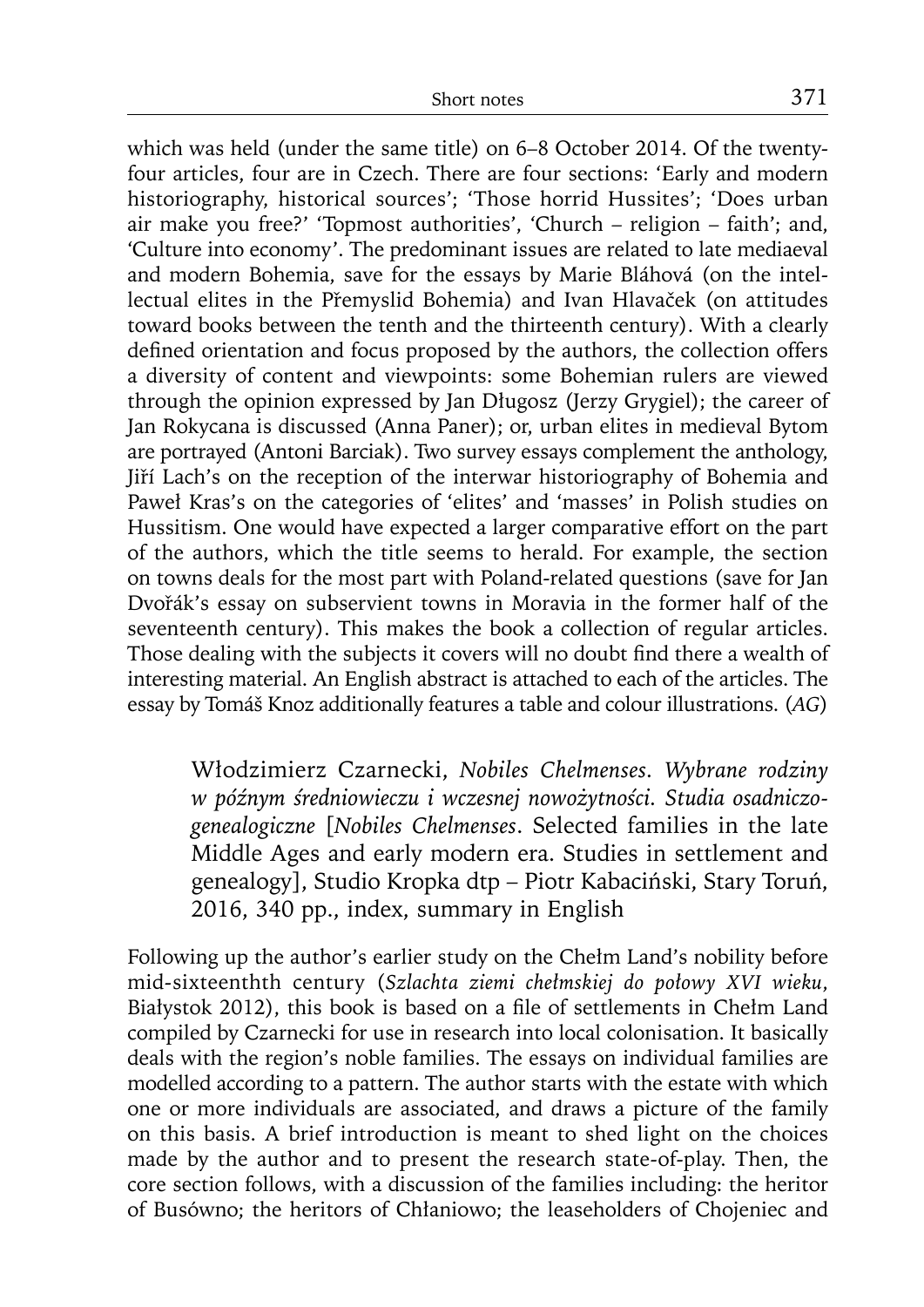which was held (under the same title) on 6–8 October 2014. Of the twentyfour articles, four are in Czech. There are four sections: 'Early and modern historiography, historical sources'; 'Those horrid Hussites'; 'Does urban air make you free?' 'Topmost authorities', 'Church – religion – faith'; and, 'Culture into economy'. The predominant issues are related to late mediaeval and modern Bohemia, save for the essays by Marie Bláhová (on the intellectual elites in the Přemyslid Bohemia) and Ivan Hlavaček (on attitudes toward books between the tenth and the thirteenth century). With a clearly defined orientation and focus proposed by the authors, the collection offers a diversity of content and viewpoints: some Bohemian rulers are viewed through the opinion expressed by Jan Długosz (Jerzy Grygiel); the career of Jan Rokycana is discussed (Anna Paner); or, urban elites in medieval Bytom are portrayed (Antoni Barciak). Two survey essays complement the anthology, Jiří Lach's on the reception of the interwar historiography of Bohemia and Paweł Kras's on the categories of 'elites' and 'masses' in Polish studies on Hussitism. One would have expected a larger comparative effort on the part of the authors, which the title seems to herald. For example, the section on towns deals for the most part with Poland-related questions (save for Jan Dvořák's essay on subservient towns in Moravia in the former half of the seventeenth century). This makes the book a collection of regular articles. Those dealing with the subjects it covers will no doubt find there a wealth of interesting material. An English abstract is attached to each of the articles. The essay by Tomáš Knoz additionally features a table and colour illustrations. (*AG*)

Włodzimierz Czarnecki, *Nobiles Chelmenses. Wybrane rodziny w późnym średniowieczu i wczesnej nowożytności. Studia osadniczogenealogiczne* [*Nobiles Chelmenses*. Selected families in the late Middle Ages and early modern era. Studies in settlement and genealogy], Studio Kropka dtp – Piotr Kabaciński, Stary Toruń, 2016, 340 pp., index, summary in English

Following up the author's earlier study on the Chełm Land's nobility before mid-sixteenthth century (*Szlachta ziemi chełmskiej do połowy XVI wieku*, Białystok 2012), this book is based on a file of settlements in Chełm Land compiled by Czarnecki for use in research into local colonisation. It basically deals with the region's noble families. The essays on individual families are modelled according to a pattern. The author starts with the estate with which one or more individuals are associated, and draws a picture of the family on this basis. A brief introduction is meant to shed light on the choices made by the author and to present the research state-of-play. Then, the core section follows, with a discussion of the families including: the heritor of Busówno; the heritors of Chłaniowo; the leaseholders of Chojeniec and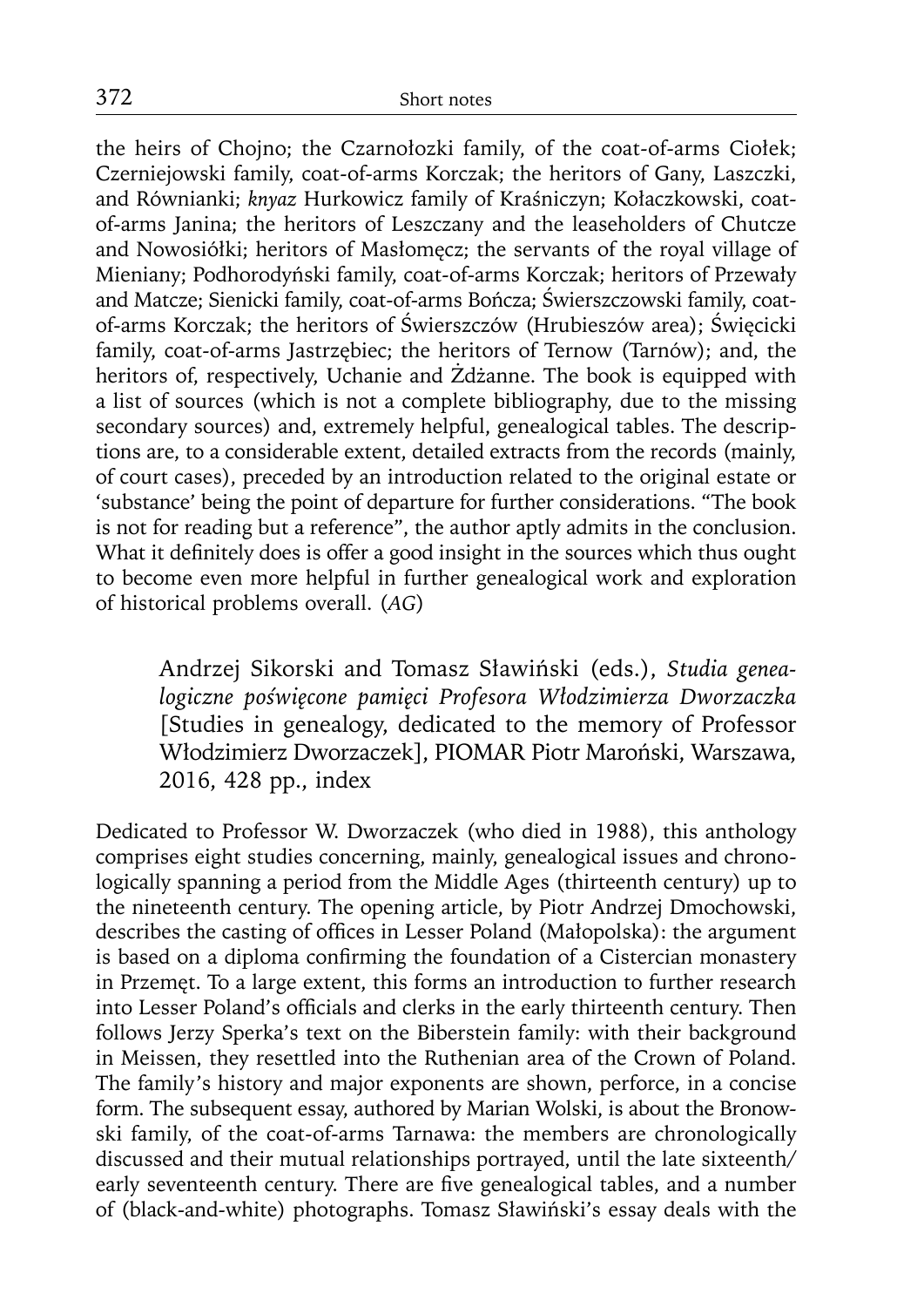the heirs of Chojno; the Czarnołozki family, of the coat-of-arms Ciołek; Czerniejowski family, coat-of-arms Korczak; the heritors of Gany, Laszczki, and Równianki; *knyaz* Hurkowicz family of Kraśniczyn; Kołaczkowski, coatof-arms Janina; the heritors of Leszczany and the leaseholders of Chutcze and Nowosiółki; heritors of Masłomęcz; the servants of the royal village of Mieniany; Podhorodyński family, coat-of-arms Korczak; heritors of Przewały and Matcze; Sienicki family, coat-of-arms Bończa; Świerszczowski family, coatof-arms Korczak; the heritors of Świerszczów (Hrubieszów area); Święcicki family, coat-of-arms Jastrzębiec; the heritors of Ternow (Tarnów); and, the heritors of, respectively, Uchanie and Żdżanne. The book is equipped with a list of sources (which is not a complete bibliography, due to the missing secondary sources) and, extremely helpful, genealogical tables. The descriptions are, to a considerable extent, detailed extracts from the records (mainly, of court cases), preceded by an introduction related to the original estate or 'substance' being the point of departure for further considerations. "The book is not for reading but a reference", the author aptly admits in the conclusion. What it definitely does is offer a good insight in the sources which thus ought to become even more helpful in further genealogical work and exploration of historical problems overall. (*AG*)

Andrzej Sikorski and Tomasz Sławiński (eds.), *Studia genealogiczne poświęcone pamięci Profesora Włodzimierza Dworzaczka*  [Studies in genealogy, dedicated to the memory of Professor Włodzimierz Dworzaczek], PIOMAR Piotr Maroński, Warszawa, 2016, 428 pp., index

Dedicated to Professor W. Dworzaczek (who died in 1988), this anthology comprises eight studies concerning, mainly, genealogical issues and chronologically spanning a period from the Middle Ages (thirteenth century) up to the nineteenth century. The opening article, by Piotr Andrzej Dmochowski, describes the casting of offices in Lesser Poland (Małopolska): the argument is based on a diploma confirming the foundation of a Cistercian monastery in Przemęt. To a large extent, this forms an introduction to further research into Lesser Poland's officials and clerks in the early thirteenth century. Then follows Jerzy Sperka's text on the Biberstein family: with their background in Meissen, they resettled into the Ruthenian area of the Crown of Poland. The family's history and major exponents are shown, perforce, in a concise form. The subsequent essay, authored by Marian Wolski, is about the Bronowski family, of the coat-of-arms Tarnawa: the members are chronologically discussed and their mutual relationships portrayed, until the late sixteenth/ early seventeenth century. There are five genealogical tables, and a number of (black-and-white) photographs. Tomasz Sławiński's essay deals with the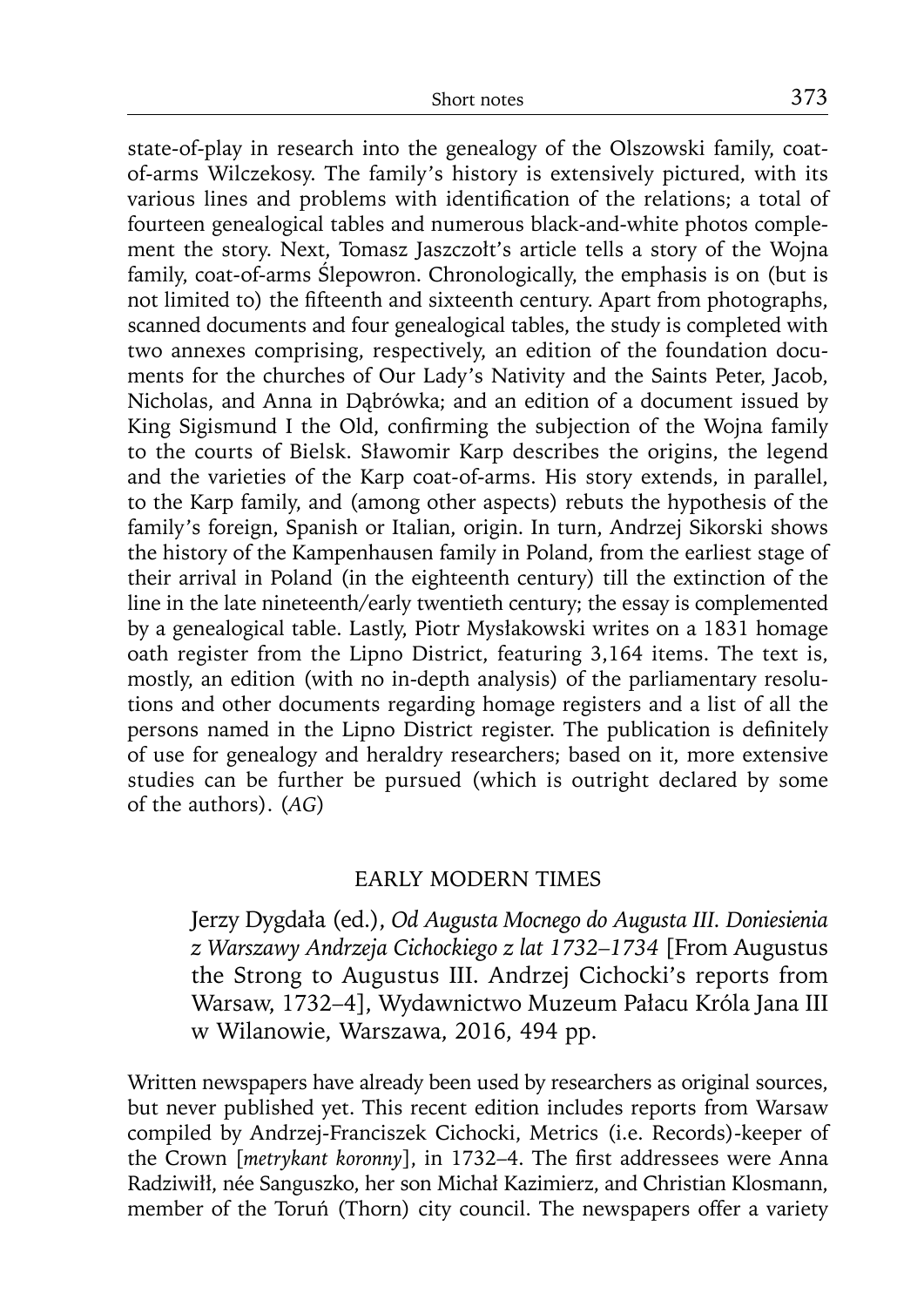state-of-play in research into the genealogy of the Olszowski family, coatof-arms Wilczekosy. The family's history is extensively pictured, with its various lines and problems with identification of the relations; a total of fourteen genealogical tables and numerous black-and-white photos complement the story. Next, Tomasz Jaszczołt's article tells a story of the Wojna family, coat-of-arms Ślepowron. Chronologically, the emphasis is on (but is not limited to) the fifteenth and sixteenth century. Apart from photographs, scanned documents and four genealogical tables, the study is completed with two annexes comprising, respectively, an edition of the foundation documents for the churches of Our Lady's Nativity and the Saints Peter, Jacob, Nicholas, and Anna in Dąbrówka; and an edition of a document issued by King Sigismund I the Old, confirming the subjection of the Wojna family to the courts of Bielsk. Sławomir Karp describes the origins, the legend and the varieties of the Karp coat-of-arms. His story extends, in parallel, to the Karp family, and (among other aspects) rebuts the hypothesis of the family's foreign, Spanish or Italian, origin. In turn, Andrzej Sikorski shows the history of the Kampenhausen family in Poland, from the earliest stage of their arrival in Poland (in the eighteenth century) till the extinction of the line in the late nineteenth/early twentieth century; the essay is complemented by a genealogical table. Lastly, Piotr Mysłakowski writes on a 1831 homage oath register from the Lipno District, featuring 3,164 items. The text is, mostly, an edition (with no in-depth analysis) of the parliamentary resolutions and other documents regarding homage registers and a list of all the persons named in the Lipno District register. The publication is definitely of use for genealogy and heraldry researchers; based on it, more extensive studies can be further be pursued (which is outright declared by some of the authors). (*AG*)

# EARLY MODERN TIMES

Jerzy Dygdała (ed.), *Od Augusta Mocnego do Augusta III. Doniesienia z Warszawy Andrzeja Cichockiego z lat 1732–1734* [From Augustus the Strong to Augustus III. Andrzej Cichocki's reports from Warsaw, 1732–4], Wydawnictwo Muzeum Pałacu Króla Jana III w Wilanowie, Warszawa, 2016, 494 pp.

Written newspapers have already been used by researchers as original sources, but never published yet. This recent edition includes reports from Warsaw compiled by Andrzej-Franciszek Cichocki, Metrics (i.e. Records)-keeper of the Crown [metrykant koronny], in 1732–4. The first addressees were Anna Radziwiłł, née Sanguszko, her son Michał Kazimierz, and Christian Klosmann, member of the Toruń (Thorn) city council. The newspapers offer a variety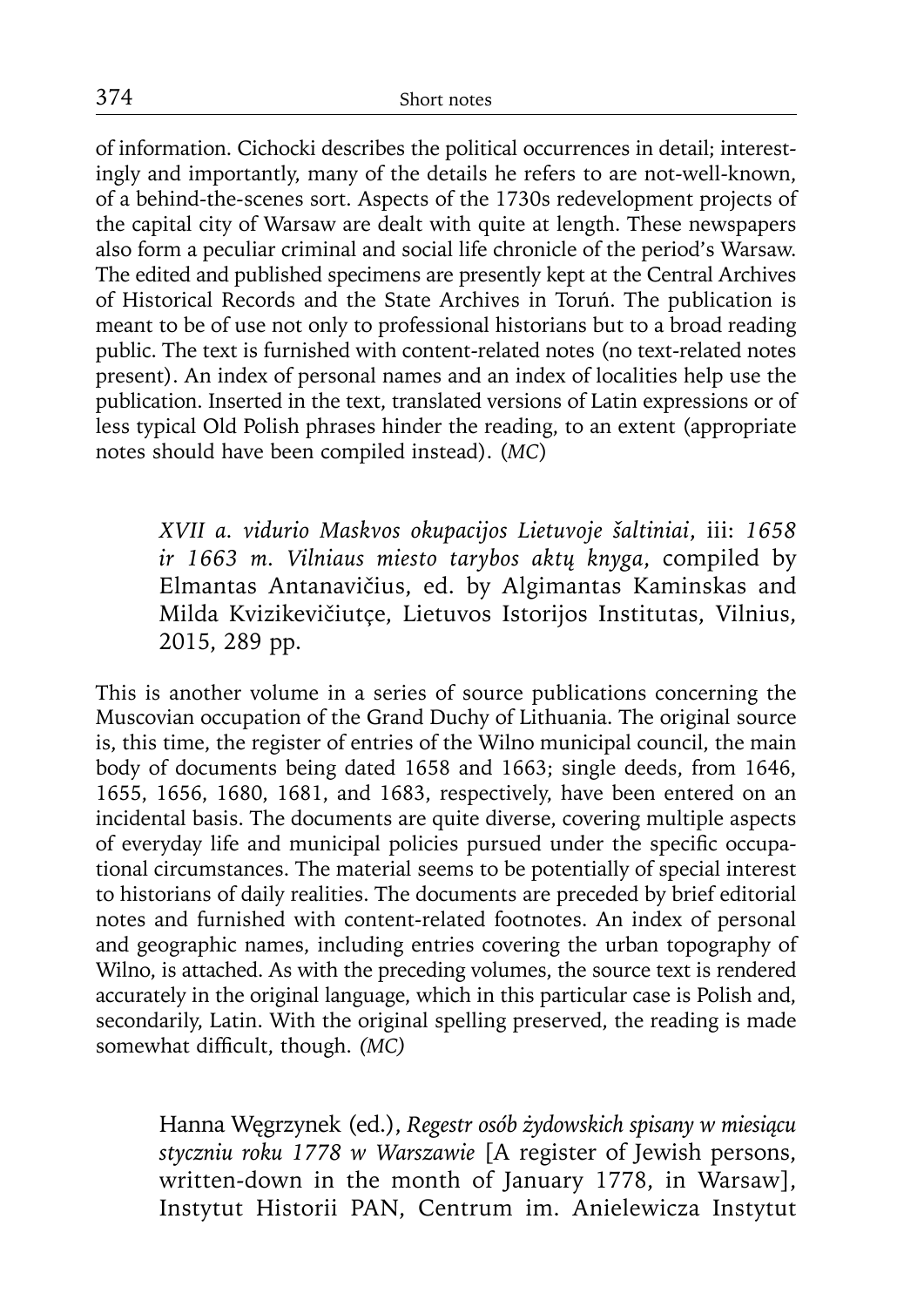of information. Cichocki describes the political occurrences in detail; interestingly and importantly, many of the details he refers to are not-well-known, of a behind-the-scenes sort. Aspects of the 1730s redevelopment projects of the capital city of Warsaw are dealt with quite at length. These newspapers also form a peculiar criminal and social life chronicle of the period's Warsaw. The edited and published specimens are presently kept at the Central Archives of Historical Records and the State Archives in Toruń. The publication is meant to be of use not only to professional historians but to a broad reading public. The text is furnished with content-related notes (no text-related notes present). An index of personal names and an index of localities help use the publication. Inserted in the text, translated versions of Latin expressions or of less typical Old Polish phrases hinder the reading, to an extent (appropriate notes should have been compiled instead). (*MC*)

*XVII a. vidurio Maskvos okupacijos Lietuvoje šaltiniai*, iii: *1658 ir 1663 m. Vilniaus miesto tarybos aktų knyga*, compiled by Elmantas Antanavičius, ed. by Algimantas Kaminskas and Milda Kvizikevičiutçe, Lietuvos Istorijos Institutas, Vilnius, 2015, 289 pp.

This is another volume in a series of source publications concerning the Muscovian occupation of the Grand Duchy of Lithuania. The original source is, this time, the register of entries of the Wilno municipal council, the main body of documents being dated 1658 and 1663; single deeds, from 1646, 1655, 1656, 1680, 1681, and 1683, respectively, have been entered on an incidental basis. The documents are quite diverse, covering multiple aspects of everyday life and municipal policies pursued under the specific occupational circumstances. The material seems to be potentially of special interest to historians of daily realities. The documents are preceded by brief editorial notes and furnished with content-related footnotes. An index of personal and geographic names, including entries covering the urban topography of Wilno, is attached. As with the preceding volumes, the source text is rendered accurately in the original language, which in this particular case is Polish and, secondarily, Latin. With the original spelling preserved, the reading is made somewhat difficult, though. *(MC)* 

Hanna Węgrzynek (ed.), *Regestr osób żydowskich spisany w miesiącu styczniu roku 1778 w Warszawie* [A register of Jewish persons, written-down in the month of January 1778, in Warsaw], Instytut Historii PAN, Centrum im. Anielewicza Instytut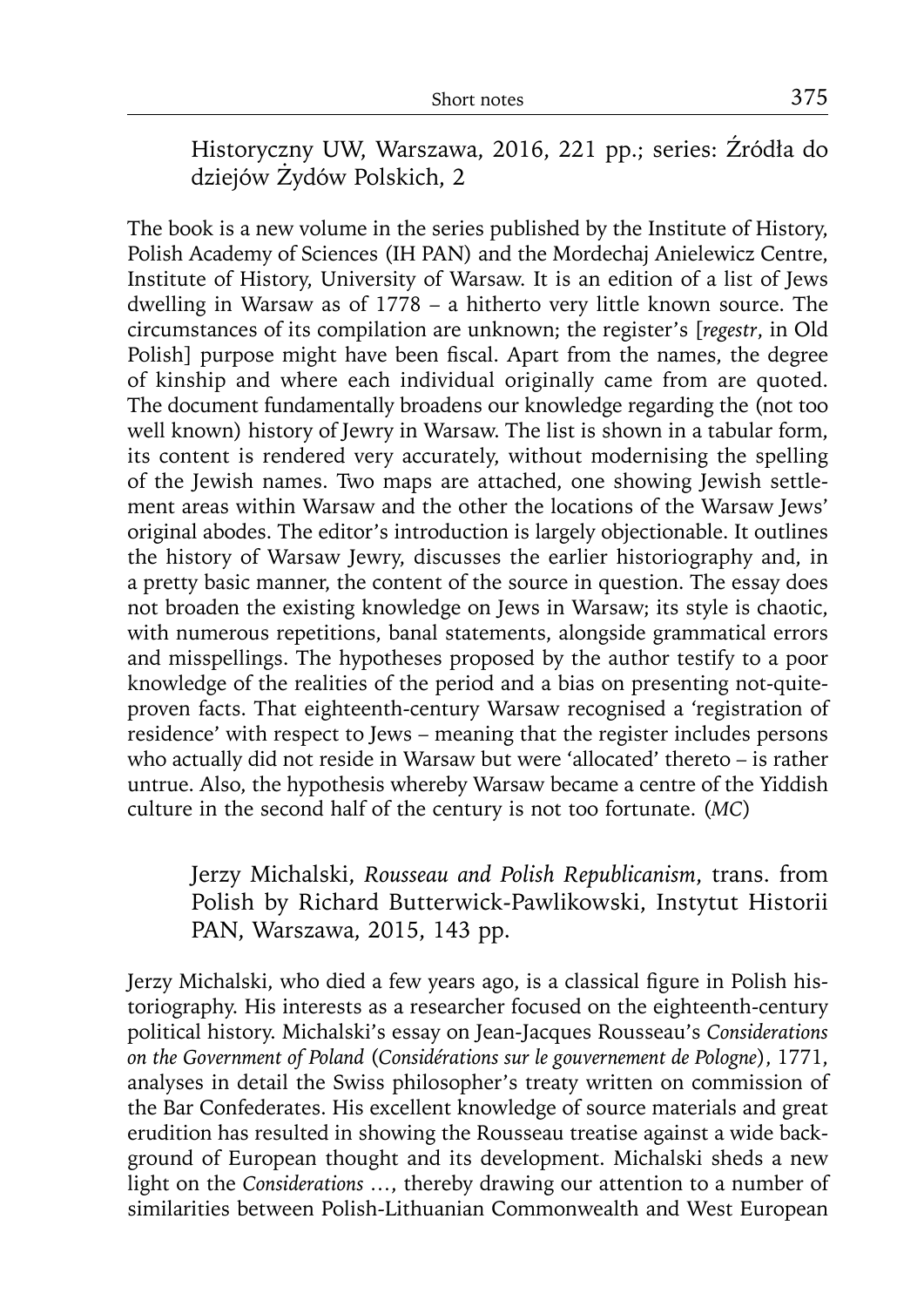Historyczny UW, Warszawa, 2016, 221 pp.; series: Źródła do dziejów Żydów Polskich, 2

The book is a new volume in the series published by the Institute of History, Polish Academy of Sciences (IH PAN) and the Mordechaj Anielewicz Centre, Institute of History, University of Warsaw. It is an edition of a list of Jews dwelling in Warsaw as of 1778 – a hitherto very little known source. The circumstances of its compilation are unknown; the register's [*regestr*, in Old Polish] purpose might have been fiscal. Apart from the names, the degree of kinship and where each individual originally came from are quoted. The document fundamentally broadens our knowledge regarding the (not too well known) history of Jewry in Warsaw. The list is shown in a tabular form, its content is rendered very accurately, without modernising the spelling of the Jewish names. Two maps are attached, one showing Jewish settlement areas within Warsaw and the other the locations of the Warsaw Jews' original abodes. The editor's introduction is largely objectionable. It outlines the history of Warsaw Jewry, discusses the earlier historiography and, in a pretty basic manner, the content of the source in question. The essay does not broaden the existing knowledge on Jews in Warsaw; its style is chaotic, with numerous repetitions, banal statements, alongside grammatical errors and misspellings. The hypotheses proposed by the author testify to a poor knowledge of the realities of the period and a bias on presenting not-quiteproven facts. That eighteenth-century Warsaw recognised a 'registration of residence' with respect to Jews – meaning that the register includes persons who actually did not reside in Warsaw but were 'allocated' thereto – is rather untrue. Also, the hypothesis whereby Warsaw became a centre of the Yiddish culture in the second half of the century is not too fortunate. (*MC*)

Jerzy Michalski, *Rousseau and Polish Republicanism*, trans. from Polish by Richard Butterwick-Pawlikowski, Instytut Historii PAN, Warszawa, 2015, 143 pp.

Jerzy Michalski, who died a few years ago, is a classical figure in Polish historiography. His interests as a researcher focused on the eighteenth-century political history. Michalski's essay on Jean-Jacques Rousseau's *Considerations on the Government of Poland* (*Considérations sur le gouvernement de Pologne*), 1771, analyses in detail the Swiss philosopher's treaty written on commission of the Bar Confederates. His excellent knowledge of source materials and great erudition has resulted in showing the Rousseau treatise against a wide background of European thought and its development. Michalski sheds a new light on the *Considerations …*, thereby drawing our attention to a number of similarities between Polish-Lithuanian Commonwealth and West European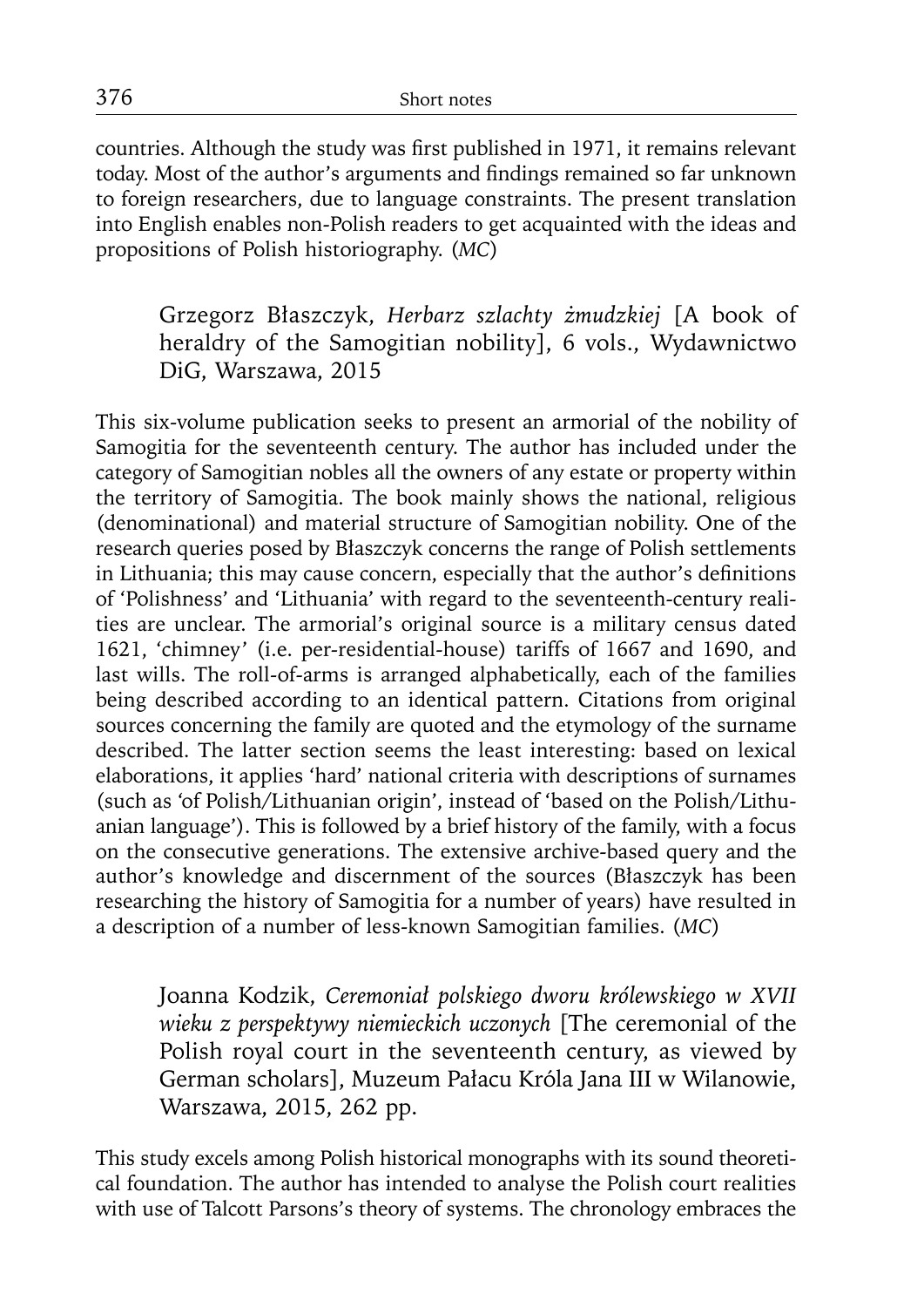countries. Although the study was first published in 1971, it remains relevant today. Most of the author's arguments and findings remained so far unknown to foreign researchers, due to language constraints. The present translation into English enables non-Polish readers to get acquainted with the ideas and propositions of Polish historiography. (*MC*)

Grzegorz Błaszczyk, *Herbarz szlachty żmudzkiej* [A book of heraldry of the Samogitian nobility], 6 vols., Wydawnictwo DiG, Warszawa, 2015

This six-volume publication seeks to present an armorial of the nobility of Samogitia for the seventeenth century. The author has included under the category of Samogitian nobles all the owners of any estate or property within the territory of Samogitia. The book mainly shows the national, religious (denominational) and material structure of Samogitian nobility. One of the research queries posed by Błaszczyk concerns the range of Polish settlements in Lithuania; this may cause concern, especially that the author's definitions of 'Polishness' and 'Lithuania' with regard to the seventeenth-century realities are unclear. The armorial's original source is a military census dated 1621, 'chimney' (i.e. per-residential-house) tariffs of 1667 and 1690, and last wills. The roll-of-arms is arranged alphabetically, each of the families being described according to an identical pattern. Citations from original sources concerning the family are quoted and the etymology of the surname described. The latter section seems the least interesting: based on lexical elaborations, it applies 'hard' national criteria with descriptions of surnames (such as 'of Polish/Lithuanian origin', instead of 'based on the Polish/Lithuanian language'). This is followed by a brief history of the family, with a focus on the consecutive generations. The extensive archive-based query and the author's knowledge and discernment of the sources (Błaszczyk has been researching the history of Samogitia for a number of years) have resulted in a description of a number of less-known Samogitian families. (*MC*)

Joanna Kodzik, *Ceremoniał polskiego dworu królewskiego w XVII wieku z perspektywy niemieckich uczonych* [The ceremonial of the Polish royal court in the seventeenth century, as viewed by German scholars], Muzeum Pałacu Króla Jana III w Wilanowie, Warszawa, 2015, 262 pp.

This study excels among Polish historical monographs with its sound theoretical foundation. The author has intended to analyse the Polish court realities with use of Talcott Parsons's theory of systems. The chronology embraces the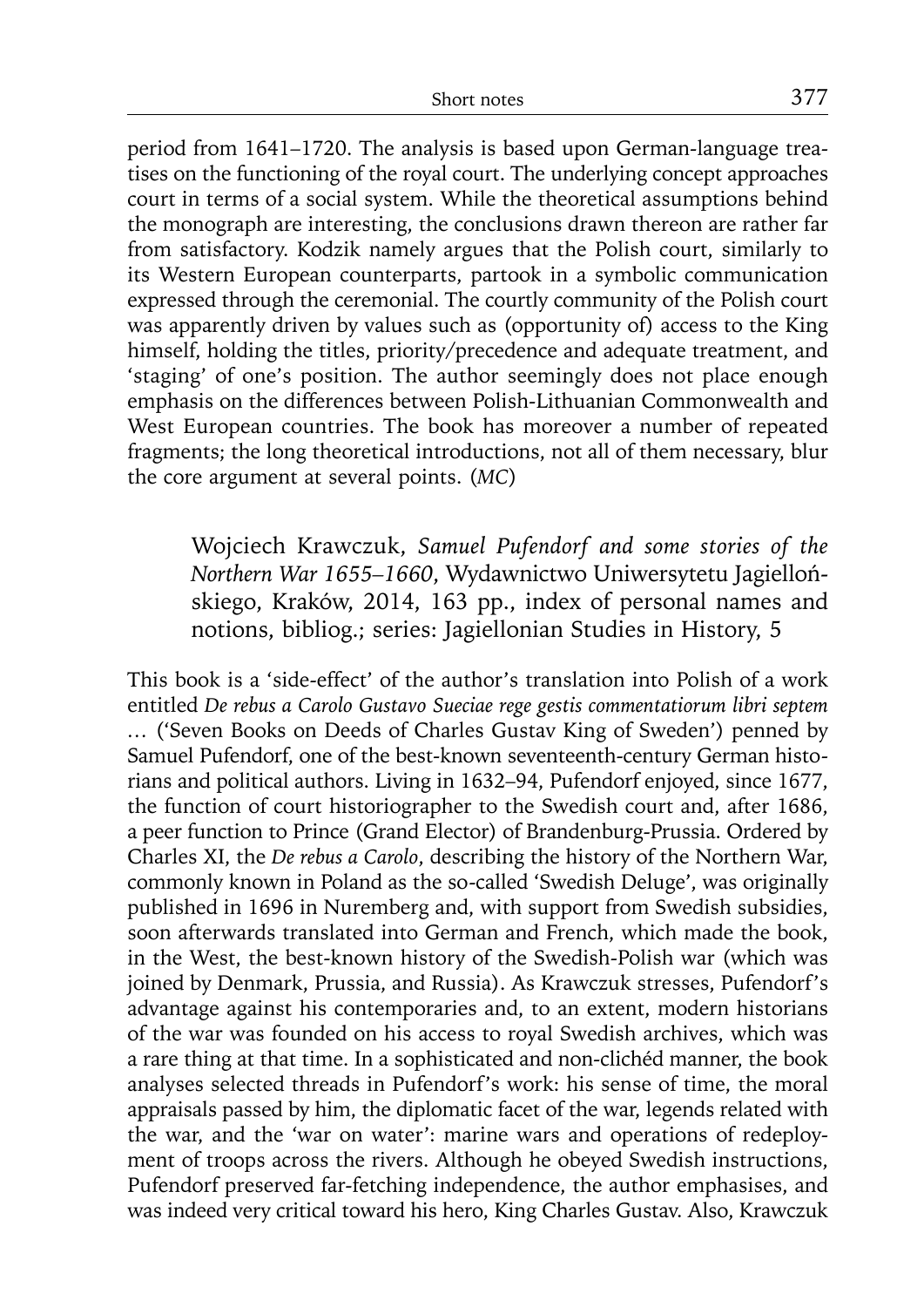period from 1641–1720. The analysis is based upon German-language treatises on the functioning of the royal court. The underlying concept approaches court in terms of a social system. While the theoretical assumptions behind the monograph are interesting, the conclusions drawn thereon are rather far from satisfactory. Kodzik namely argues that the Polish court, similarly to its Western European counterparts, partook in a symbolic communication expressed through the ceremonial. The courtly community of the Polish court was apparently driven by values such as (opportunity of) access to the King himself, holding the titles, priority/precedence and adequate treatment, and 'staging' of one's position. The author seemingly does not place enough emphasis on the differences between Polish-Lithuanian Commonwealth and West European countries. The book has moreover a number of repeated fragments; the long theoretical introductions, not all of them necessary, blur the core argument at several points. (*MC*)

Wojciech Krawczuk, *Samuel Pufendorf and some stories of the Northern War 1655–1660*, Wydawnictwo Uniwersytetu Jagiellońskiego, Kraków, 2014, 163 pp., index of personal names and notions, bibliog.; series: Jagiellonian Studies in History, 5

This book is a 'side-effect' of the author's translation into Polish of a work entitled *De rebus a Carolo Gustavo Sueciae rege gestis commentatiorum libri septem …* ('Seven Books on Deeds of Charles Gustav King of Sweden') penned by Samuel Pufendorf, one of the best-known seventeenth-century German historians and political authors. Living in 1632–94, Pufendorf enjoyed, since 1677, the function of court historiographer to the Swedish court and, after 1686, a peer function to Prince (Grand Elector) of Brandenburg-Prussia. Ordered by Charles XI, the *De rebus a Carolo*, describing the history of the Northern War, commonly known in Poland as the so-called 'Swedish Deluge', was originally published in 1696 in Nuremberg and, with support from Swedish subsidies, soon afterwards translated into German and French, which made the book, in the West, the best-known history of the Swedish-Polish war (which was joined by Denmark, Prussia, and Russia). As Krawczuk stresses, Pufendorf's advantage against his contemporaries and, to an extent, modern historians of the war was founded on his access to royal Swedish archives, which was a rare thing at that time. In a sophisticated and non-clichéd manner, the book analyses selected threads in Pufendorf's work: his sense of time, the moral appraisals passed by him, the diplomatic facet of the war, legends related with the war, and the 'war on water': marine wars and operations of redeployment of troops across the rivers. Although he obeyed Swedish instructions, Pufendorf preserved far-fetching independence, the author emphasises, and was indeed very critical toward his hero, King Charles Gustav. Also, Krawczuk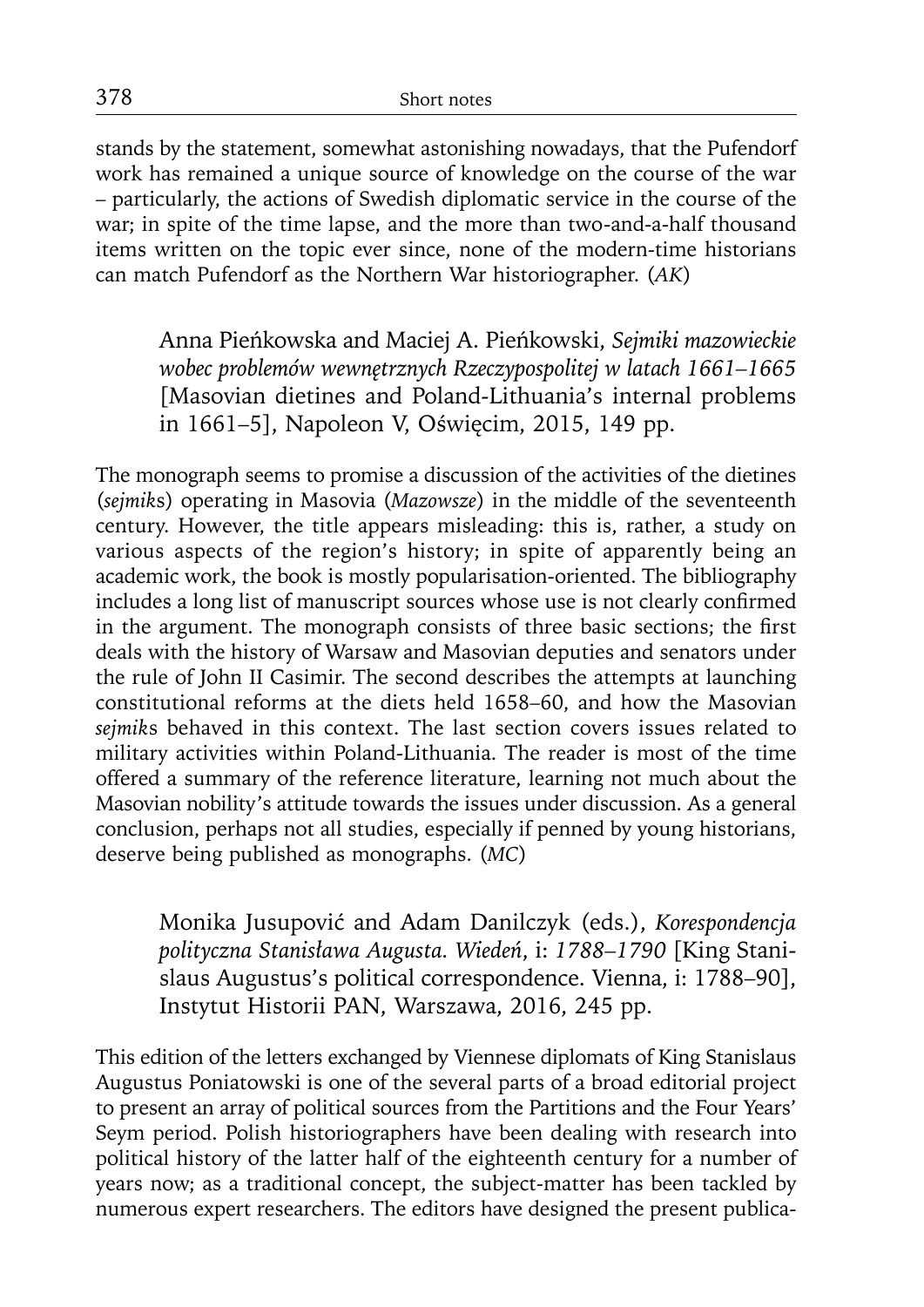stands by the statement, somewhat astonishing nowadays, that the Pufendorf work has remained a unique source of knowledge on the course of the war – particularly, the actions of Swedish diplomatic service in the course of the war; in spite of the time lapse, and the more than two-and-a-half thousand items written on the topic ever since, none of the modern-time historians can match Pufendorf as the Northern War historiographer. (*AK*)

Anna Pieńkowska and Maciej A. Pieńkowski, *Sejmiki mazowieckie wobec problemów wewnętrznych Rzeczypospolitej w latach 1661–1665*  [Masovian dietines and Poland-Lithuania's internal problems in 1661–5], Napoleon V, Oświęcim, 2015, 149 pp.

The monograph seems to promise a discussion of the activities of the dietines (*sejmik*s) operating in Masovia (*Mazowsze*) in the middle of the seventeenth century. However, the title appears misleading: this is, rather, a study on various aspects of the region's history; in spite of apparently being an academic work, the book is mostly popularisation-oriented. The bibliography includes a long list of manuscript sources whose use is not clearly confirmed in the argument. The monograph consists of three basic sections; the first deals with the history of Warsaw and Masovian deputies and senators under the rule of John II Casimir. The second describes the attempts at launching constitutional reforms at the diets held 1658–60, and how the Masovian *sejmik*s behaved in this context. The last section covers issues related to military activities within Poland-Lithuania. The reader is most of the time offered a summary of the reference literature, learning not much about the Masovian nobility's attitude towards the issues under discussion. As a general conclusion, perhaps not all studies, especially if penned by young historians, deserve being published as monographs. (*MC*)

Monika Jusupović and Adam Danilczyk (eds.), *Korespondencja polityczna Stanisława Augusta. Wiedeń*, i: *1788–1790* [King Stanislaus Augustus's political correspondence. Vienna, i: 1788–90], Instytut Historii PAN, Warszawa, 2016, 245 pp.

This edition of the letters exchanged by Viennese diplomats of King Stanislaus Augustus Poniatowski is one of the several parts of a broad editorial project to present an array of political sources from the Partitions and the Four Years' Seym period. Polish historiographers have been dealing with research into political history of the latter half of the eighteenth century for a number of years now; as a traditional concept, the subject-matter has been tackled by numerous expert researchers. The editors have designed the present publica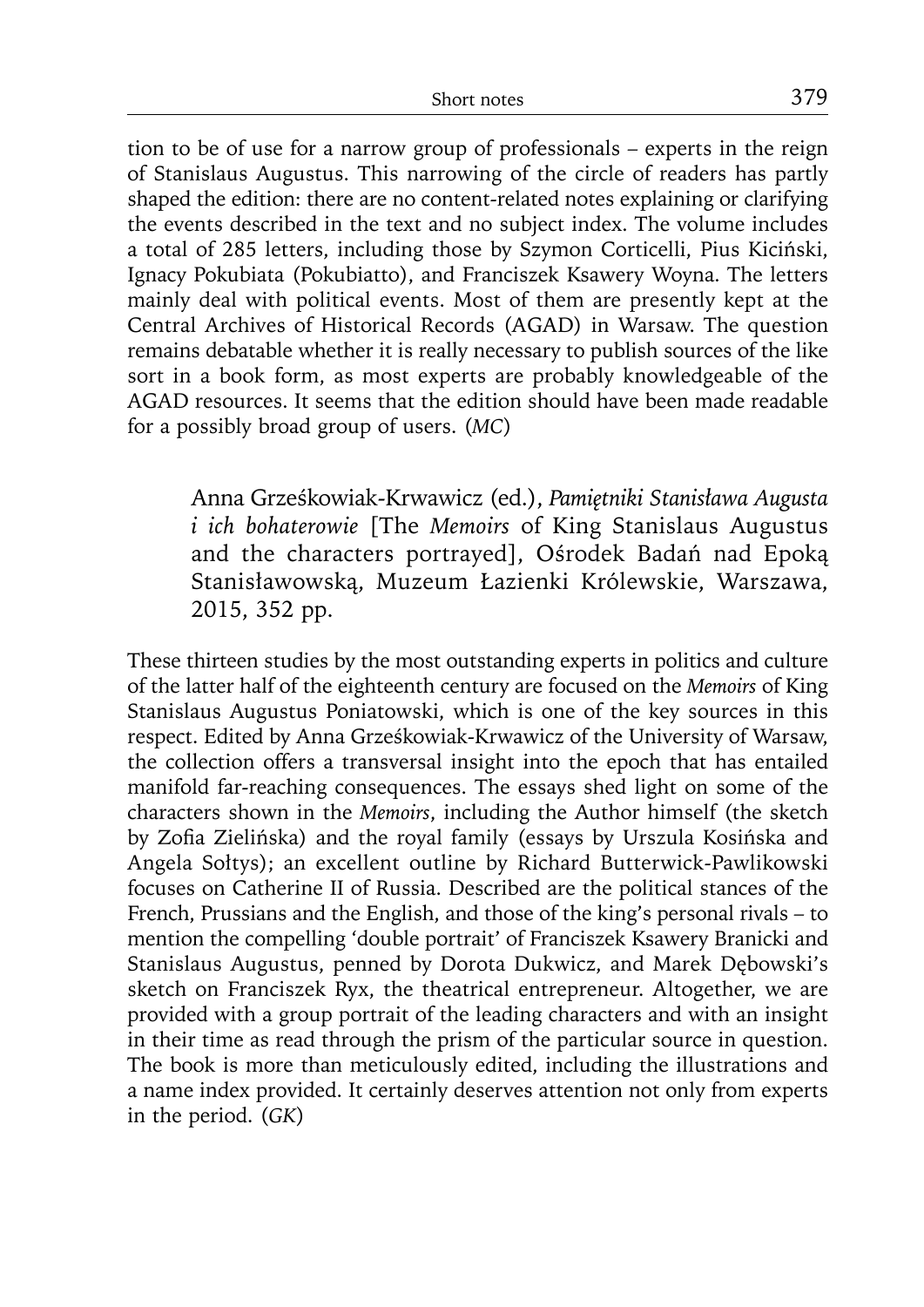tion to be of use for a narrow group of professionals – experts in the reign of Stanislaus Augustus. This narrowing of the circle of readers has partly shaped the edition: there are no content-related notes explaining or clarifying the events described in the text and no subject index. The volume includes a total of 285 letters, including those by Szymon Corticelli, Pius Kiciński, Ignacy Pokubiata (Pokubiatto), and Franciszek Ksawery Woyna. The letters mainly deal with political events. Most of them are presently kept at the Central Archives of Historical Records (AGAD) in Warsaw. The question remains debatable whether it is really necessary to publish sources of the like sort in a book form, as most experts are probably knowledgeable of the AGAD resources. It seems that the edition should have been made readable for a possibly broad group of users. (*MC*)

Anna Grześkowiak-Krwawicz (ed.), *Pamiętniki Stanisława Augusta i ich bohaterowie* [The *Memoirs* of King Stanislaus Augustus and the characters portrayed], Ośrodek Badań nad Epoką Stanisławowską, Muzeum Łazienki Królewskie, Warszawa, 2015, 352 pp.

These thirteen studies by the most outstanding experts in politics and culture of the latter half of the eighteenth century are focused on the *Memoirs* of King Stanislaus Augustus Poniatowski, which is one of the key sources in this respect. Edited by Anna Grześkowiak-Krwawicz of the University of Warsaw, the collection offers a transversal insight into the epoch that has entailed manifold far-reaching consequences. The essays shed light on some of the characters shown in the *Memoirs*, including the Author himself (the sketch by Zofia Zielińska) and the royal family (essays by Urszula Kosińska and Angela Sołtys); an excellent outline by Richard Butterwick-Pawlikowski focuses on Catherine II of Russia. Described are the political stances of the French, Prussians and the English, and those of the king's personal rivals – to mention the compelling 'double portrait' of Franciszek Ksawery Branicki and Stanislaus Augustus, penned by Dorota Dukwicz, and Marek Dębowski's sketch on Franciszek Ryx, the theatrical entrepreneur. Altogether, we are provided with a group portrait of the leading characters and with an insight in their time as read through the prism of the particular source in question. The book is more than meticulously edited, including the illustrations and a name index provided. It certainly deserves attention not only from experts in the period. (*GK*)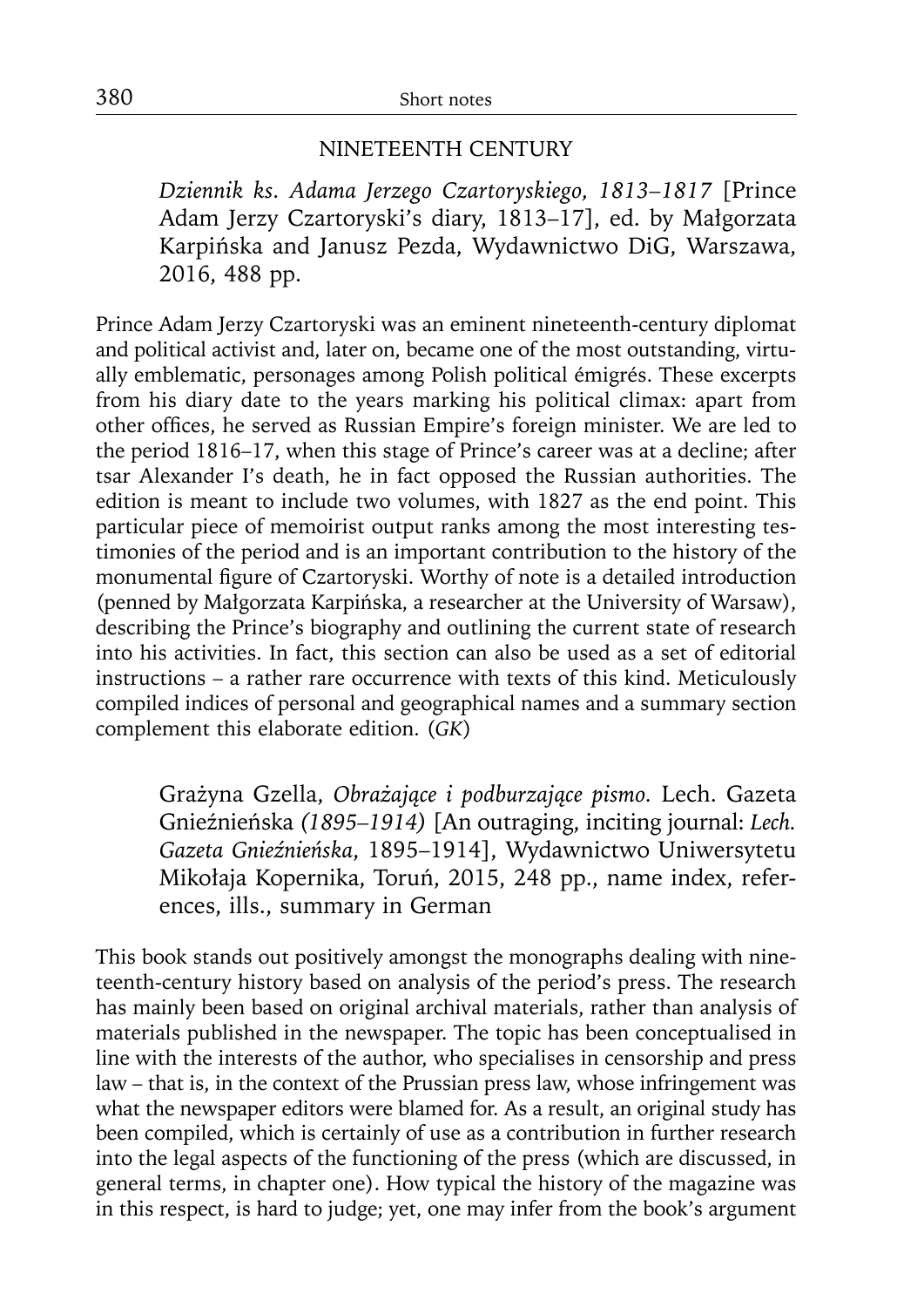#### NINETEENTH CENTURY

*Dziennik ks. Adama Jerzego Czartoryskiego, 1813–1817* [Prince Adam Jerzy Czartoryski's diary, 1813–17], ed. by Małgorzata Karpińska and Janusz Pezda, Wydawnictwo DiG, Warszawa, 2016, 488 pp.

Prince Adam Jerzy Czartoryski was an eminent nineteenth-century diplomat and political activist and, later on, became one of the most outstanding, virtually emblematic, personages among Polish political émigrés. These excerpts from his diary date to the years marking his political climax: apart from other offices, he served as Russian Empire's foreign minister. We are led to the period 1816–17, when this stage of Prince's career was at a decline; after tsar Alexander I's death, he in fact opposed the Russian authorities. The edition is meant to include two volumes, with 1827 as the end point. This particular piece of memoirist output ranks among the most interesting testimonies of the period and is an important contribution to the history of the monumental figure of Czartoryski. Worthy of note is a detailed introduction (penned by Małgorzata Karpińska, a researcher at the University of Warsaw), describing the Prince's biography and outlining the current state of research into his activities. In fact, this section can also be used as a set of editorial instructions – a rather rare occurrence with texts of this kind. Meticulously compiled indices of personal and geographical names and a summary section complement this elaborate edition. (*GK*)

Grażyna Gzella, *Obrażające i podburzające pismo.* Lech. Gazeta Gnieźnieńska *(1895–1914)* [An outraging, inciting journal: *Lech. Gazeta Gnieźnieńska*, 1895–1914], Wydawnictwo Uniwersytetu Mikołaja Kopernika, Toruń, 2015, 248 pp., name index, references, ills., summary in German

This book stands out positively amongst the monographs dealing with nineteenth-century history based on analysis of the period's press. The research has mainly been based on original archival materials, rather than analysis of materials published in the newspaper. The topic has been conceptualised in line with the interests of the author, who specialises in censorship and press law – that is, in the context of the Prussian press law, whose infringement was what the newspaper editors were blamed for. As a result, an original study has been compiled, which is certainly of use as a contribution in further research into the legal aspects of the functioning of the press (which are discussed, in general terms, in chapter one). How typical the history of the magazine was in this respect, is hard to judge; yet, one may infer from the book's argument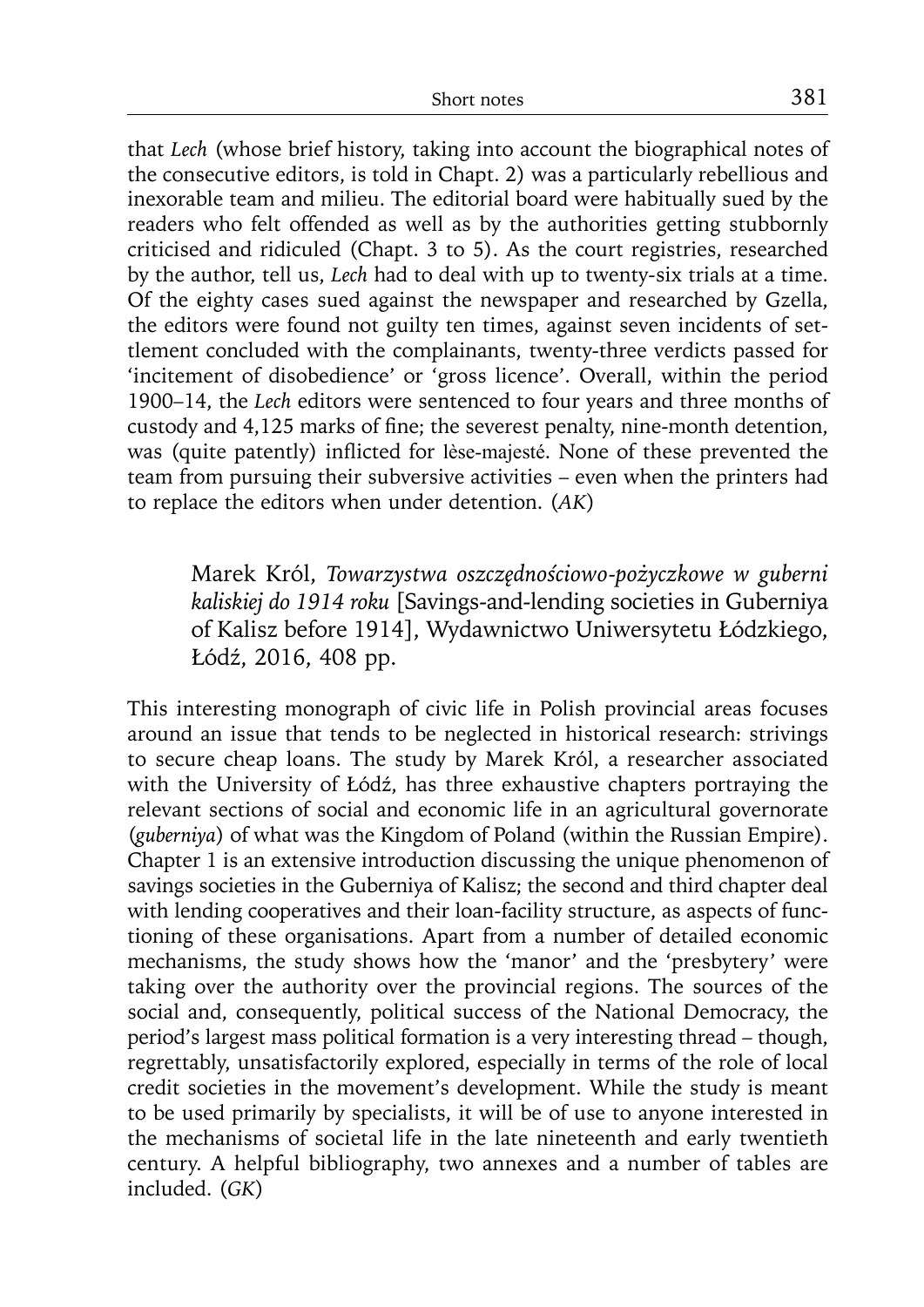that *Lech* (whose brief history, taking into account the biographical notes of the consecutive editors, is told in Chapt. 2) was a particularly rebellious and inexorable team and milieu. The editorial board were habitually sued by the readers who felt offended as well as by the authorities getting stubbornly criticised and ridiculed (Chapt. 3 to 5). As the court registries, researched by the author, tell us, *Lech* had to deal with up to twenty-six trials at a time. Of the eighty cases sued against the newspaper and researched by Gzella, the editors were found not guilty ten times, against seven incidents of settlement concluded with the complainants, twenty-three verdicts passed for 'incitement of disobedience' or 'gross licence'. Overall, within the period 1900–14, the *Lech* editors were sentenced to four years and three months of custody and 4,125 marks of fine; the severest penalty, nine-month detention, was (quite patently) inflicted for lèse-majesté. None of these prevented the team from pursuing their subversive activities – even when the printers had to replace the editors when under detention. (*AK*)

Marek Król, *Towarzystwa oszczędnościowo-pożyczkowe w guberni kaliskiej do 1914 roku* [Savings-and-lending societies in Guberniya of Kalisz before 1914], Wydawnictwo Uniwersytetu Łódzkiego, Łódź, 2016, 408 pp.

This interesting monograph of civic life in Polish provincial areas focuses around an issue that tends to be neglected in historical research: strivings to secure cheap loans. The study by Marek Król, a researcher associated with the University of Łódź, has three exhaustive chapters portraying the relevant sections of social and economic life in an agricultural governorate (*guberniya*) of what was the Kingdom of Poland (within the Russian Empire). Chapter 1 is an extensive introduction discussing the unique phenomenon of savings societies in the Guberniya of Kalisz; the second and third chapter deal with lending cooperatives and their loan-facility structure, as aspects of functioning of these organisations. Apart from a number of detailed economic mechanisms, the study shows how the 'manor' and the 'presbytery' were taking over the authority over the provincial regions. The sources of the social and, consequently, political success of the National Democracy, the period's largest mass political formation is a very interesting thread – though, regrettably, unsatisfactorily explored, especially in terms of the role of local credit societies in the movement's development. While the study is meant to be used primarily by specialists, it will be of use to anyone interested in the mechanisms of societal life in the late nineteenth and early twentieth century. A helpful bibliography, two annexes and a number of tables are included. (*GK*)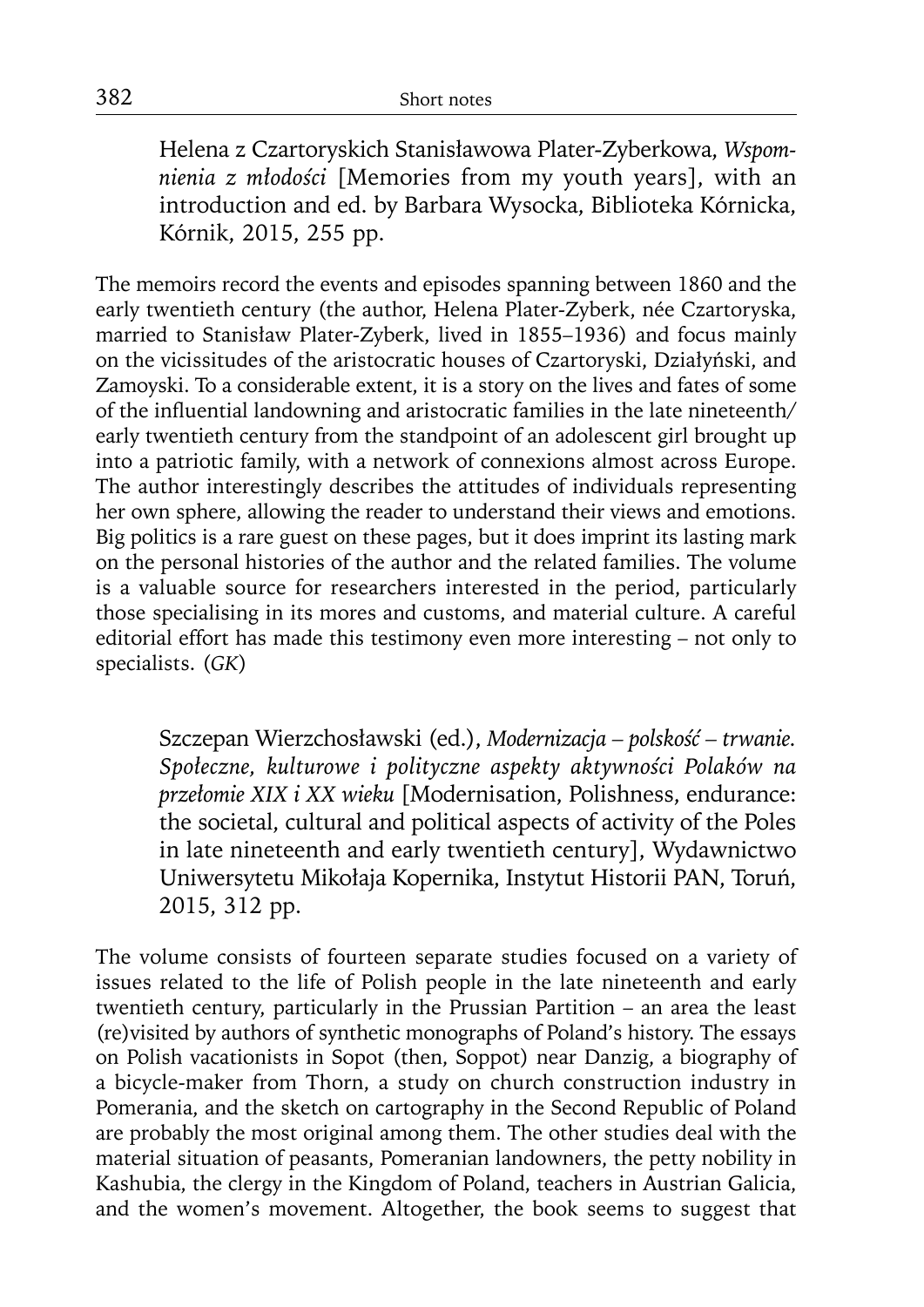Helena z Czartoryskich Stanisławowa Plater-Zyberkowa, *Wspomnienia z młodości* [Memories from my youth years], with an introduction and ed. by Barbara Wysocka, Biblioteka Kórnicka, Kórnik, 2015, 255 pp.

The memoirs record the events and episodes spanning between 1860 and the early twentieth century (the author, Helena Plater-Zyberk, née Czartoryska, married to Stanisław Plater-Zyberk, lived in 1855–1936) and focus mainly on the vicissitudes of the aristocratic houses of Czartoryski, Działyński, and Zamoyski. To a considerable extent, it is a story on the lives and fates of some of the influential landowning and aristocratic families in the late nineteenth/ early twentieth century from the standpoint of an adolescent girl brought up into a patriotic family, with a network of connexions almost across Europe. The author interestingly describes the attitudes of individuals representing her own sphere, allowing the reader to understand their views and emotions. Big politics is a rare guest on these pages, but it does imprint its lasting mark on the personal histories of the author and the related families. The volume is a valuable source for researchers interested in the period, particularly those specialising in its mores and customs, and material culture. A careful editorial effort has made this testimony even more interesting – not only to specialists. (*GK*)

Szczepan Wierzchosławski (ed.), *Modernizacja – polskość – trwanie. Społeczne, kulturowe i polityczne aspekty aktywności Polaków na przełomie XIX i XX wieku* [Modernisation, Polishness, endurance: the societal, cultural and political aspects of activity of the Poles in late nineteenth and early twentieth century], Wydawnictwo Uniwersytetu Mikołaja Kopernika, Instytut Historii PAN, Toruń, 2015, 312 pp.

The volume consists of fourteen separate studies focused on a variety of issues related to the life of Polish people in the late nineteenth and early twentieth century, particularly in the Prussian Partition – an area the least (re)visited by authors of synthetic monographs of Poland's history. The essays on Polish vacationists in Sopot (then, Soppot) near Danzig, a biography of a bicycle-maker from Thorn, a study on church construction industry in Pomerania, and the sketch on cartography in the Second Republic of Poland are probably the most original among them. The other studies deal with the material situation of peasants, Pomeranian landowners, the petty nobility in Kashubia, the clergy in the Kingdom of Poland, teachers in Austrian Galicia, and the women's movement. Altogether, the book seems to suggest that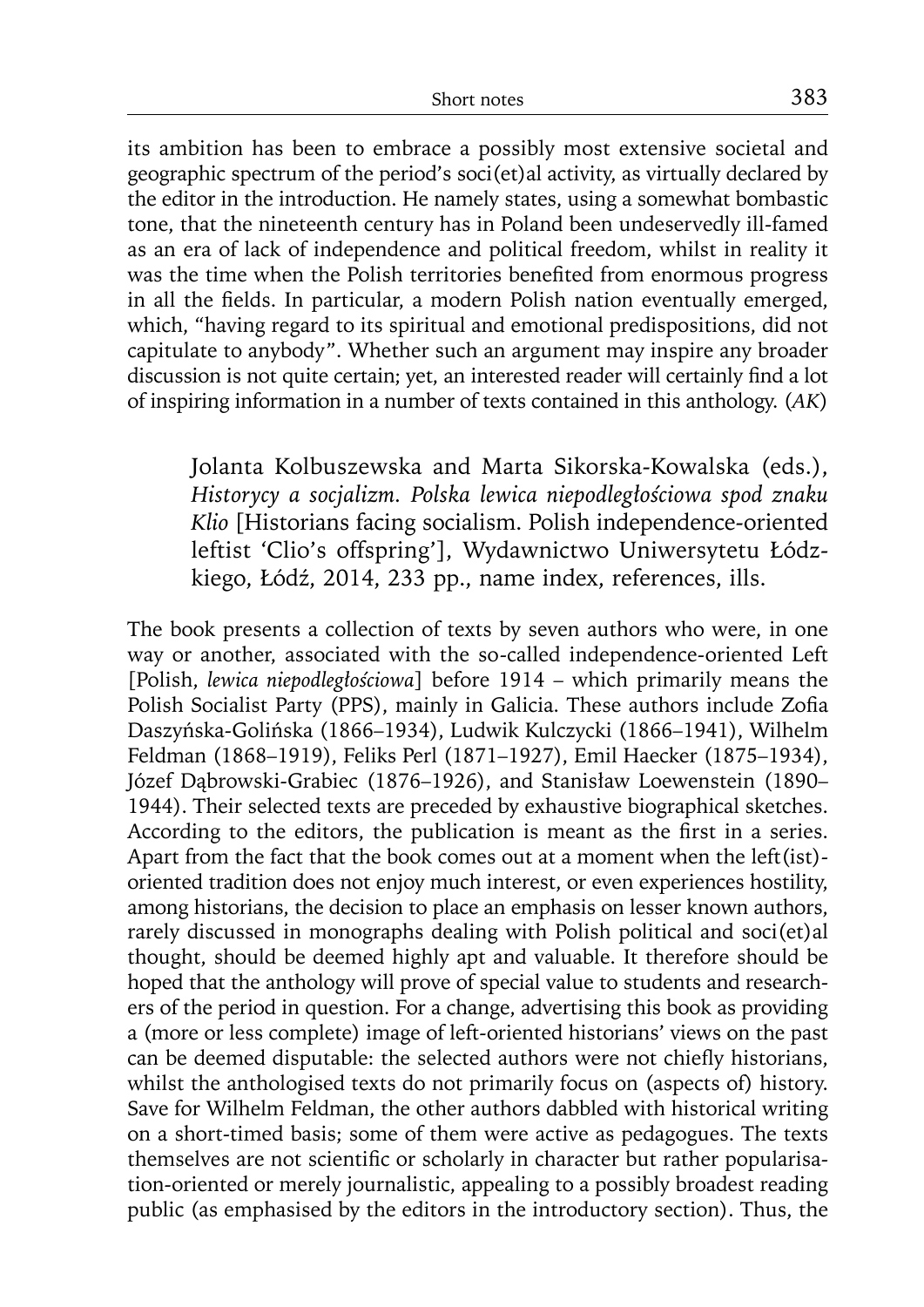its ambition has been to embrace a possibly most extensive societal and geographic spectrum of the period's soci(et)al activity, as virtually declared by the editor in the introduction. He namely states, using a somewhat bombastic tone, that the nineteenth century has in Poland been undeservedly ill-famed as an era of lack of independence and political freedom, whilst in reality it was the time when the Polish territories benefited from enormous progress in all the fields. In particular, a modern Polish nation eventually emerged, which, "having regard to its spiritual and emotional predispositions, did not capitulate to anybody". Whether such an argument may inspire any broader discussion is not quite certain; yet, an interested reader will certainly find a lot of inspiring information in a number of texts contained in this anthology. (*AK*)

Jolanta Kolbuszewska and Marta Sikorska-Kowalska (eds.), *Historycy a socjalizm. Polska lewica niepodległościowa spod znaku Klio* [Historians facing socialism. Polish independence-oriented leftist 'Clio's offspring'], Wydawnictwo Uniwersytetu Łódzkiego, Łódź, 2014, 233 pp., name index, references, ills.

The book presents a collection of texts by seven authors who were, in one way or another, associated with the so-called independence-oriented Left [Polish, *lewica niepodległościowa*] before 1914 – which primarily means the Polish Socialist Party (PPS), mainly in Galicia. These authors include Zofia Daszyńska-Golińska (1866–1934), Ludwik Kulczycki (1866–1941), Wilhelm Feldman (1868–1919), Feliks Perl (1871–1927), Emil Haecker (1875–1934), Józef Dąbrowski-Grabiec (1876–1926), and Stanisław Loewenstein (1890– 1944). Their selected texts are preceded by exhaustive biographical sketches. According to the editors, the publication is meant as the first in a series. Apart from the fact that the book comes out at a moment when the left(ist) oriented tradition does not enjoy much interest, or even experiences hostility, among historians, the decision to place an emphasis on lesser known authors, rarely discussed in monographs dealing with Polish political and soci(et)al thought, should be deemed highly apt and valuable. It therefore should be hoped that the anthology will prove of special value to students and researchers of the period in question. For a change, advertising this book as providing a (more or less complete) image of left-oriented historians' views on the past can be deemed disputable: the selected authors were not chiefly historians, whilst the anthologised texts do not primarily focus on (aspects of) history. Save for Wilhelm Feldman, the other authors dabbled with historical writing on a short-timed basis; some of them were active as pedagogues. The texts themselves are not scientific or scholarly in character but rather popularisation-oriented or merely journalistic, appealing to a possibly broadest reading public (as emphasised by the editors in the introductory section). Thus, the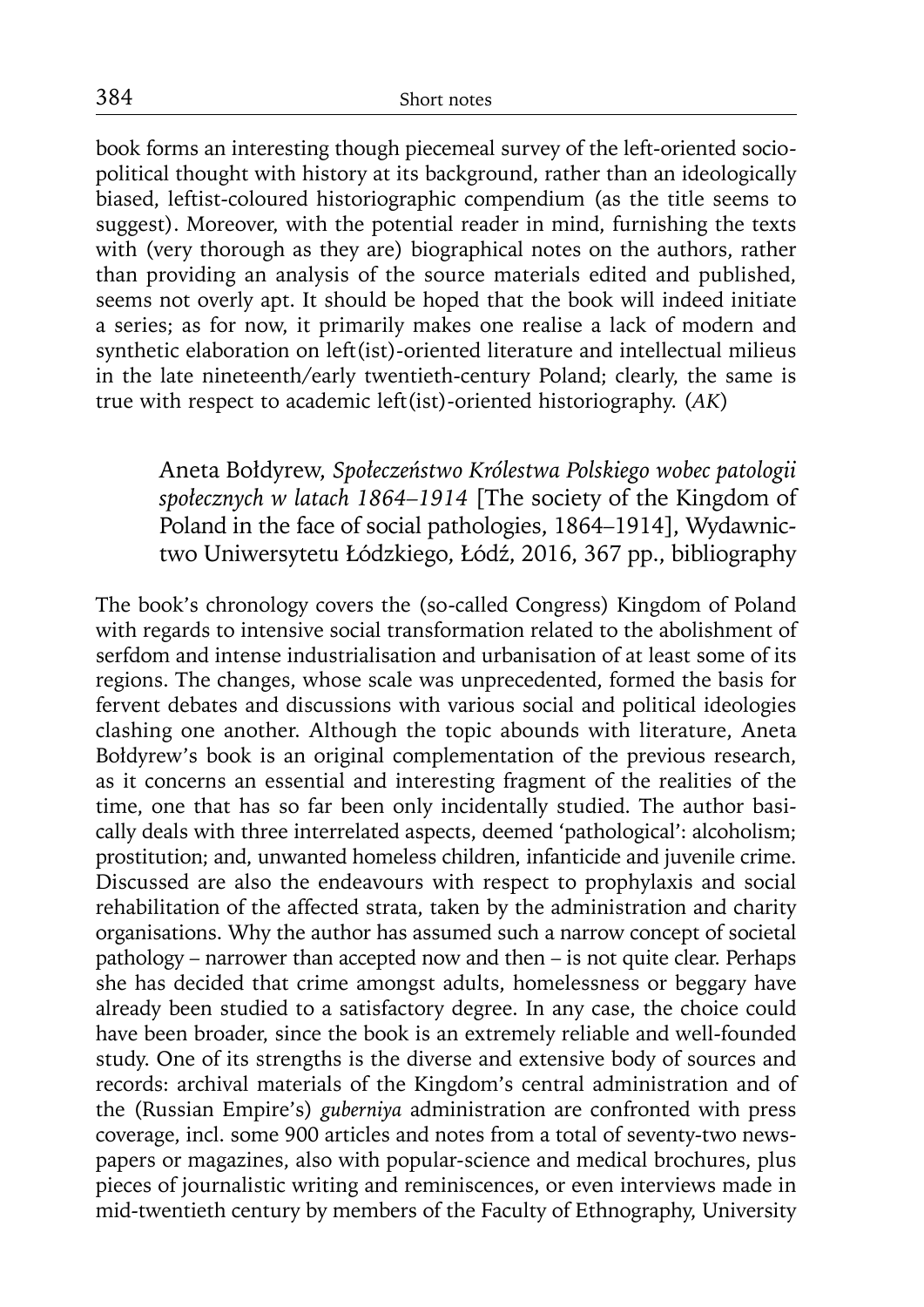book forms an interesting though piecemeal survey of the left-oriented sociopolitical thought with history at its background, rather than an ideologically biased, leftist-coloured historiographic compendium (as the title seems to suggest). Moreover, with the potential reader in mind, furnishing the texts with (very thorough as they are) biographical notes on the authors, rather than providing an analysis of the source materials edited and published, seems not overly apt. It should be hoped that the book will indeed initiate a series; as for now, it primarily makes one realise a lack of modern and synthetic elaboration on left(ist)-oriented literature and intellectual milieus in the late nineteenth/early twentieth-century Poland; clearly, the same is true with respect to academic left(ist)-oriented historiography. (*AK*)

Aneta Bołdyrew, *Społeczeństwo Królestwa Polskiego wobec patologii społecznych w latach 1864–1914* [The society of the Kingdom of Poland in the face of social pathologies, 1864–1914], Wydawnictwo Uniwersytetu Łódzkiego, Łódź, 2016, 367 pp., bibliography

The book's chronology covers the (so-called Congress) Kingdom of Poland with regards to intensive social transformation related to the abolishment of serfdom and intense industrialisation and urbanisation of at least some of its regions. The changes, whose scale was unprecedented, formed the basis for fervent debates and discussions with various social and political ideologies clashing one another. Although the topic abounds with literature, Aneta Bołdyrew's book is an original complementation of the previous research, as it concerns an essential and interesting fragment of the realities of the time, one that has so far been only incidentally studied. The author basically deals with three interrelated aspects, deemed 'pathological': alcoholism; prostitution; and, unwanted homeless children, infanticide and juvenile crime. Discussed are also the endeavours with respect to prophylaxis and social rehabilitation of the affected strata, taken by the administration and charity organisations. Why the author has assumed such a narrow concept of societal pathology – narrower than accepted now and then – is not quite clear. Perhaps she has decided that crime amongst adults, homelessness or beggary have already been studied to a satisfactory degree. In any case, the choice could have been broader, since the book is an extremely reliable and well-founded study. One of its strengths is the diverse and extensive body of sources and records: archival materials of the Kingdom's central administration and of the (Russian Empire's) *guberniya* administration are confronted with press coverage, incl. some 900 articles and notes from a total of seventy-two newspapers or magazines, also with popular-science and medical brochures, plus pieces of journalistic writing and reminiscences, or even interviews made in mid-twentieth century by members of the Faculty of Ethnography, University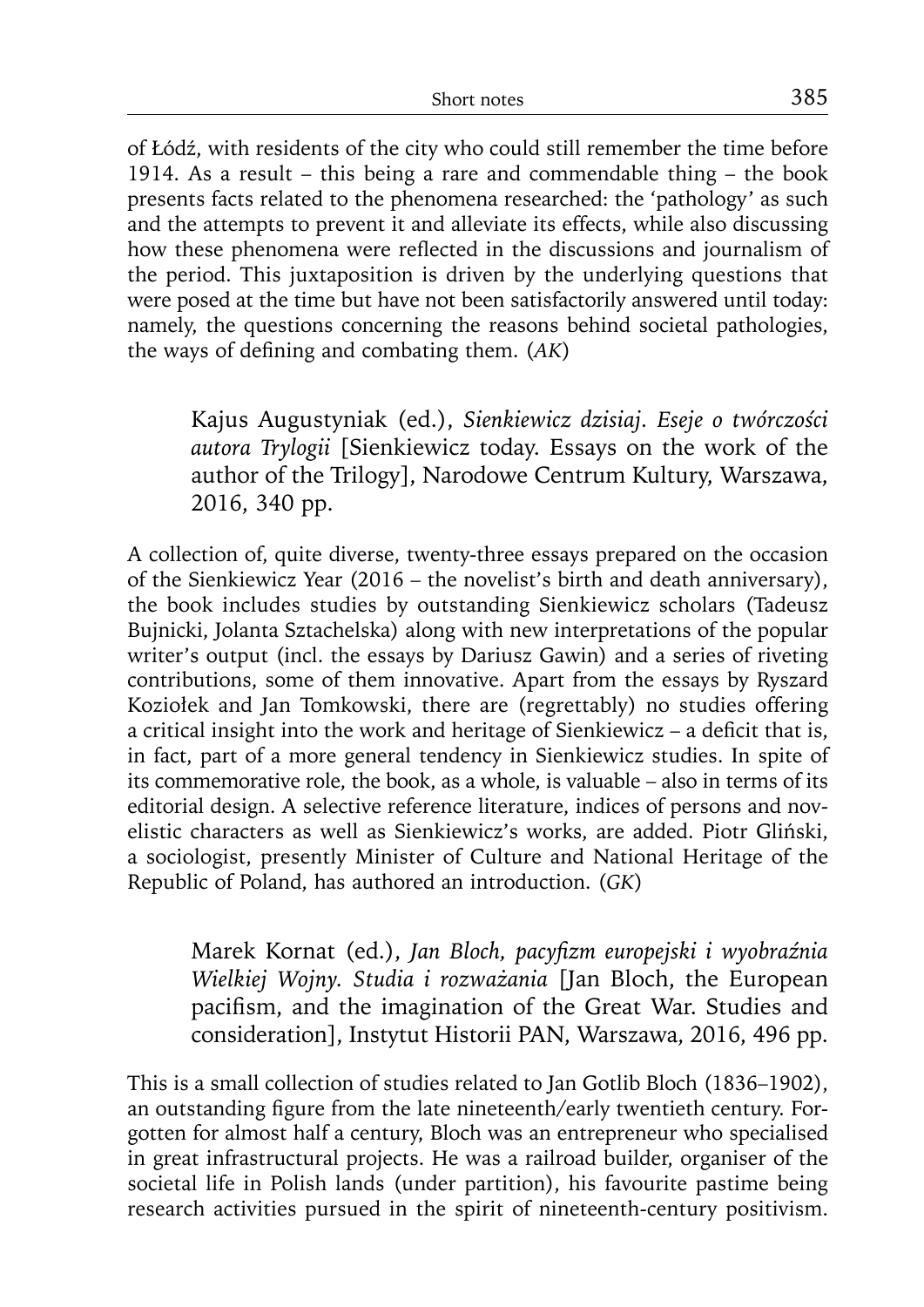of Łódź, with residents of the city who could still remember the time before 1914. As a result – this being a rare and commendable thing – the book presents facts related to the phenomena researched: the 'pathology' as such and the attempts to prevent it and alleviate its effects, while also discussing how these phenomena were reflected in the discussions and journalism of the period. This juxtaposition is driven by the underlying questions that were posed at the time but have not been satisfactorily answered until today: namely, the questions concerning the reasons behind societal pathologies, the ways of defining and combating them. (AK)

Kajus Augustyniak (ed.), *Sienkiewicz dzisiaj. Eseje o twórczości autora Trylogii* [Sienkiewicz today. Essays on the work of the author of the Trilogy], Narodowe Centrum Kultury, Warszawa, 2016, 340 pp.

A collection of, quite diverse, twenty-three essays prepared on the occasion of the Sienkiewicz Year (2016 – the novelist's birth and death anniversary), the book includes studies by outstanding Sienkiewicz scholars (Tadeusz Bujnicki, Jolanta Sztachelska) along with new interpretations of the popular writer's output (incl. the essays by Dariusz Gawin) and a series of riveting contributions, some of them innovative. Apart from the essays by Ryszard Koziołek and Jan Tomkowski, there are (regrettably) no studies offering a critical insight into the work and heritage of Sienkiewicz  $-$  a deficit that is, in fact, part of a more general tendency in Sienkiewicz studies. In spite of its commemorative role, the book, as a whole, is valuable – also in terms of its editorial design. A selective reference literature, indices of persons and novelistic characters as well as Sienkiewicz's works, are added. Piotr Gliński, a sociologist, presently Minister of Culture and National Heritage of the Republic of Poland, has authored an introduction. (*GK*)

Marek Kornat (ed.), Jan Bloch, pacyfizm europejski i wyobraźnia *Wielkiej Wojny. Studia i rozważania* [Jan Bloch, the European pacifism, and the imagination of the Great War. Studies and consideration], Instytut Historii PAN, Warszawa, 2016, 496 pp.

This is a small collection of studies related to Jan Gotlib Bloch (1836–1902), an outstanding figure from the late nineteenth/early twentieth century. Forgotten for almost half a century, Bloch was an entrepreneur who specialised in great infrastructural projects. He was a railroad builder, organiser of the societal life in Polish lands (under partition), his favourite pastime being research activities pursued in the spirit of nineteenth-century positivism.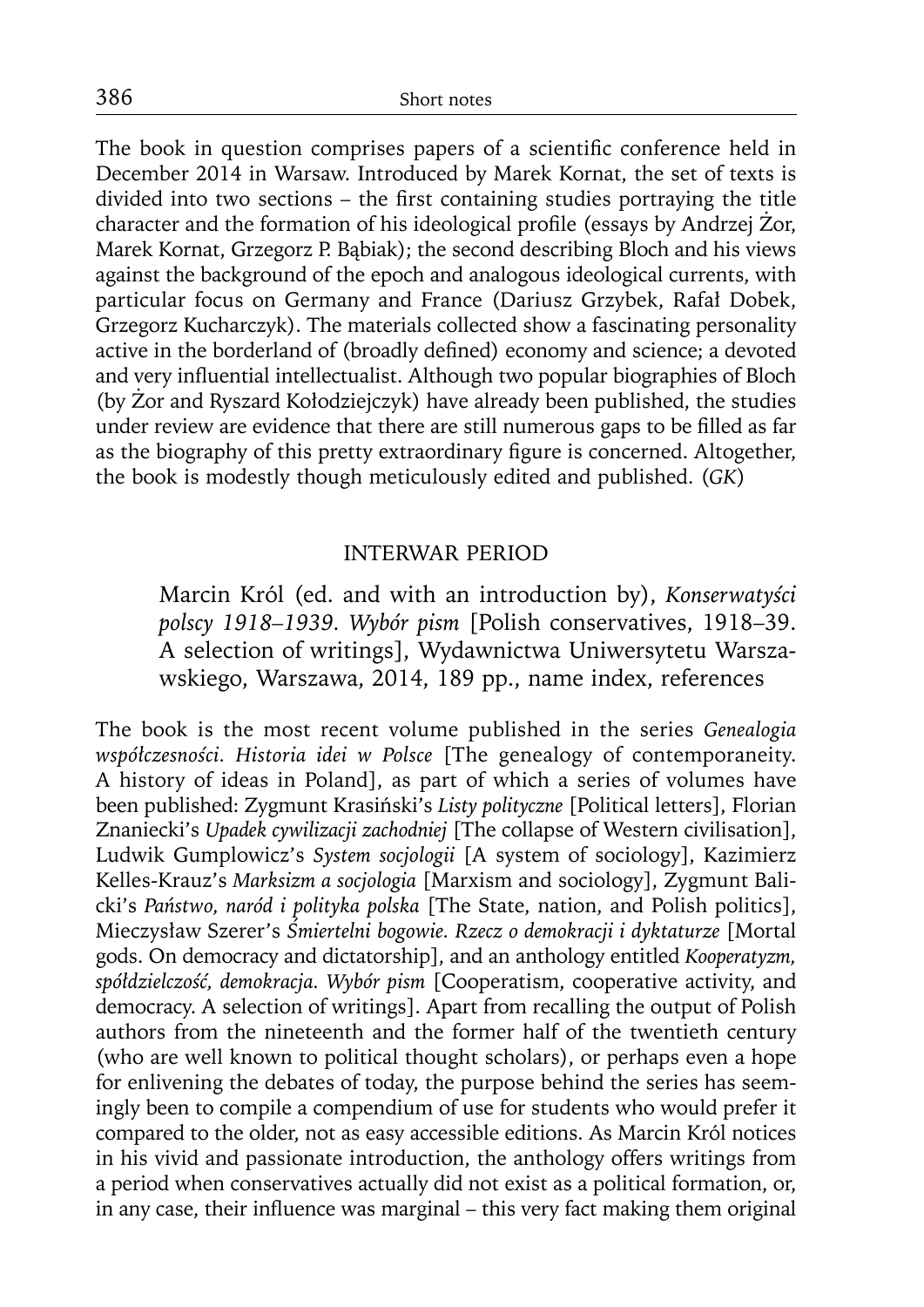The book in question comprises papers of a scientific conference held in December 2014 in Warsaw. Introduced by Marek Kornat, the set of texts is divided into two sections  $-$  the first containing studies portraying the title character and the formation of his ideological profile (essays by Andrzej Żor, Marek Kornat, Grzegorz P. Bąbiak); the second describing Bloch and his views against the background of the epoch and analogous ideological currents, with particular focus on Germany and France (Dariusz Grzybek, Rafał Dobek, Grzegorz Kucharczyk). The materials collected show a fascinating personality active in the borderland of (broadly defined) economy and science; a devoted and very influential intellectualist. Although two popular biographies of Bloch (by Żor and Ryszard Kołodziejczyk) have already been published, the studies under review are evidence that there are still numerous gaps to be filled as far as the biography of this pretty extraordinary figure is concerned. Altogether, the book is modestly though meticulously edited and published. (*GK*)

#### INTERWAR PERIOD

Marcin Król (ed. and with an introduction by), *Konserwatyści polscy 1918–1939. Wybór pism* [Polish conservatives, 1918–39. A selection of writings], Wydawnictwa Uniwersytetu Warszawskiego, Warszawa, 2014, 189 pp., name index, references

The book is the most recent volume published in the series *Genealogia współczesności. Historia idei w Polsce* [The genealogy of contemporaneity. A history of ideas in Poland], as part of which a series of volumes have been published: Zygmunt Krasiński's *Listy polityczne* [Political letters], Florian Znaniecki's *Upadek cywilizacji zachodniej* [The collapse of Western civilisation], Ludwik Gumplowicz's *System socjologii* [A system of sociology], Kazimierz Kelles-Krauz's *Marksizm a socjologia* [Marxism and sociology], Zygmunt Balicki's *Państwo, naród i polityka polska* [The State, nation, and Polish politics], Mieczysław Szerer's *Śmiertelni bogowie. Rzecz o demokracji i dyktaturze* [Mortal gods. On democracy and dictatorship], and an anthology entitled *Kooperatyzm, spółdzielczość, demokracja. Wybór pism* [Cooperatism, cooperative activity, and democracy. A selection of writings]. Apart from recalling the output of Polish authors from the nineteenth and the former half of the twentieth century (who are well known to political thought scholars), or perhaps even a hope for enlivening the debates of today, the purpose behind the series has seemingly been to compile a compendium of use for students who would prefer it compared to the older, not as easy accessible editions. As Marcin Król notices in his vivid and passionate introduction, the anthology offers writings from a period when conservatives actually did not exist as a political formation, or, in any case, their influence was marginal – this very fact making them original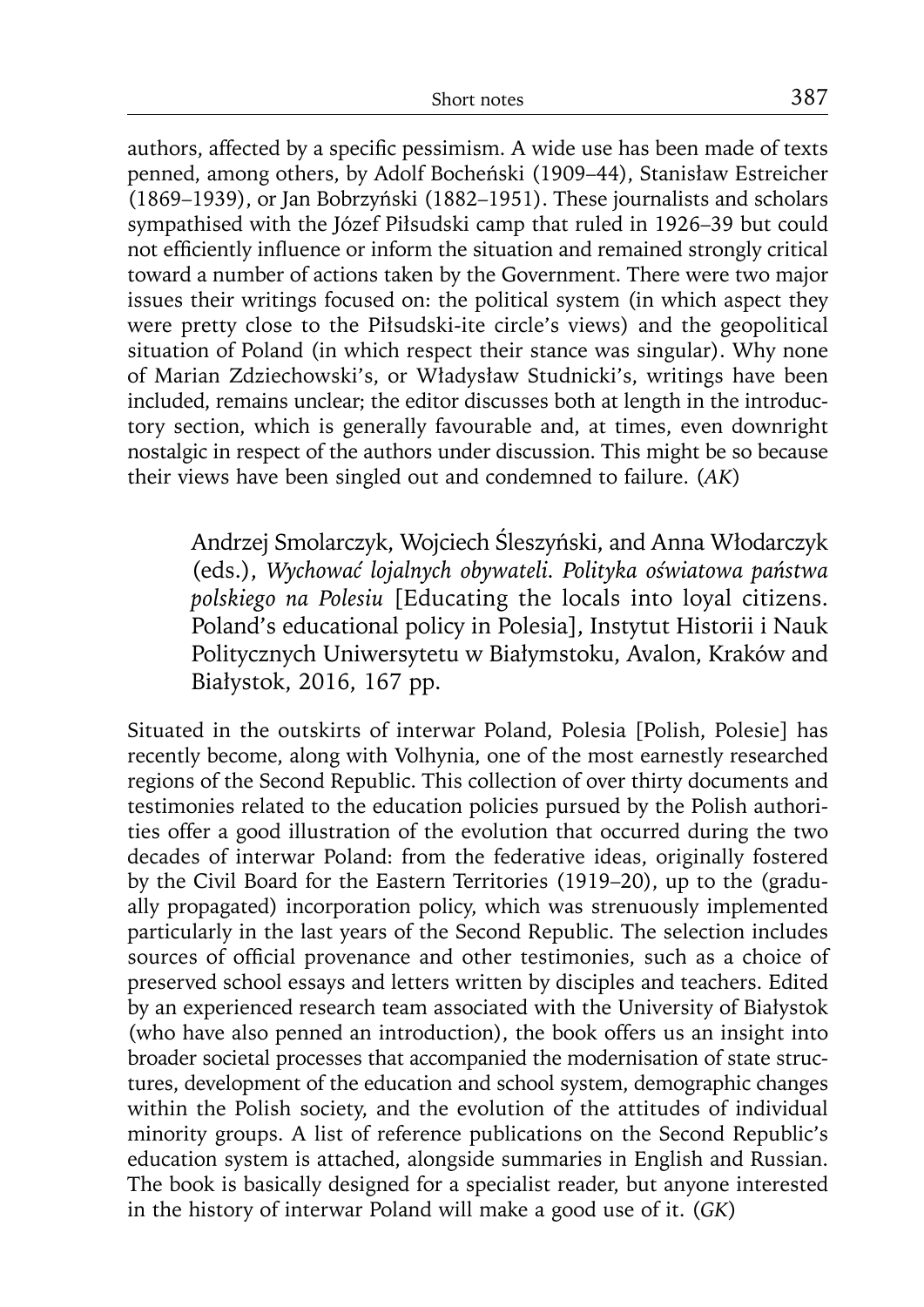authors, affected by a specific pessimism. A wide use has been made of texts penned, among others, by Adolf Bocheński (1909–44), Stanisław Estreicher (1869–1939), or Jan Bobrzyński (1882–1951). These journalists and scholars sympathised with the Józef Piłsudski camp that ruled in 1926–39 but could not efficiently influence or inform the situation and remained strongly critical toward a number of actions taken by the Government. There were two major issues their writings focused on: the political system (in which aspect they were pretty close to the Piłsudski-ite circle's views) and the geopolitical situation of Poland (in which respect their stance was singular). Why none of Marian Zdziechowski's, or Władysław Studnicki's, writings have been included, remains unclear; the editor discusses both at length in the introductory section, which is generally favourable and, at times, even downright nostalgic in respect of the authors under discussion. This might be so because their views have been singled out and condemned to failure. (*AK*)

Andrzej Smolarczyk, Wojciech Śleszyński, and Anna Włodarczyk (eds.), *Wychować lojalnych obywateli. Polityka oświatowa państwa polskiego na Polesiu* [Educating the locals into loyal citizens. Poland's educational policy in Polesia], Instytut Historii i Nauk Politycznych Uniwersytetu w Białymstoku, Avalon, Kraków and Białystok, 2016, 167 pp.

Situated in the outskirts of interwar Poland, Polesia [Polish, Polesie] has recently become, along with Volhynia, one of the most earnestly researched regions of the Second Republic. This collection of over thirty documents and testimonies related to the education policies pursued by the Polish authorities offer a good illustration of the evolution that occurred during the two decades of interwar Poland: from the federative ideas, originally fostered by the Civil Board for the Eastern Territories (1919–20), up to the (gradually propagated) incorporation policy, which was strenuously implemented particularly in the last years of the Second Republic. The selection includes sources of official provenance and other testimonies, such as a choice of preserved school essays and letters written by disciples and teachers. Edited by an experienced research team associated with the University of Białystok (who have also penned an introduction), the book offers us an insight into broader societal processes that accompanied the modernisation of state structures, development of the education and school system, demographic changes within the Polish society, and the evolution of the attitudes of individual minority groups. A list of reference publications on the Second Republic's education system is attached, alongside summaries in English and Russian. The book is basically designed for a specialist reader, but anyone interested in the history of interwar Poland will make a good use of it. (*GK*)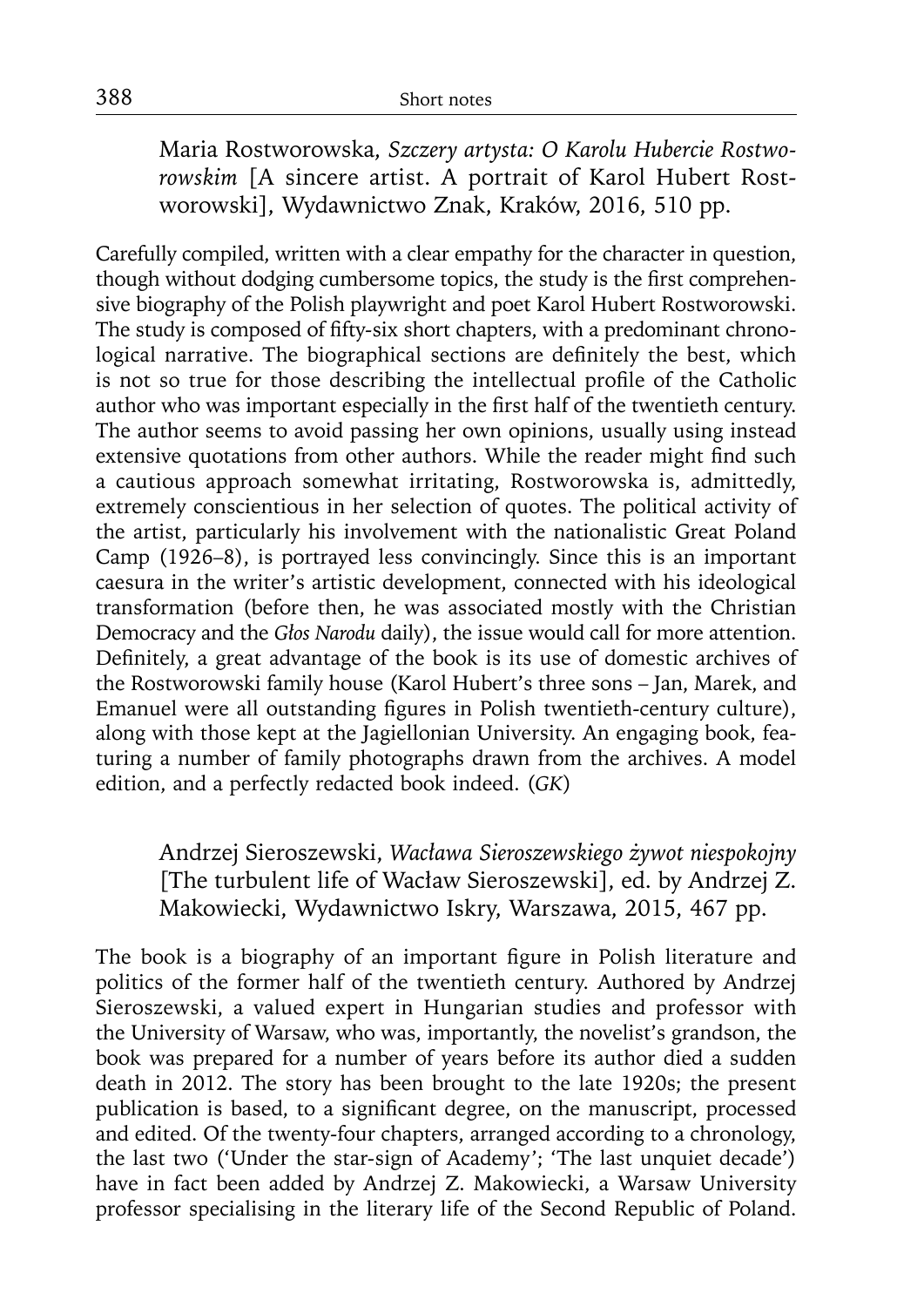Maria Rostworowska, *Szczery artysta: O Karolu Hubercie Rostworowskim* [A sincere artist. A portrait of Karol Hubert Rostworowski], Wydawnictwo Znak, Kraków, 2016, 510 pp.

Carefully compiled, written with a clear empathy for the character in question, though without dodging cumbersome topics, the study is the first comprehensive biography of the Polish playwright and poet Karol Hubert Rostworowski. The study is composed of fifty-six short chapters, with a predominant chronological narrative. The biographical sections are definitely the best, which is not so true for those describing the intellectual profile of the Catholic author who was important especially in the first half of the twentieth century. The author seems to avoid passing her own opinions, usually using instead extensive quotations from other authors. While the reader might find such a cautious approach somewhat irritating, Rostworowska is, admittedly, extremely conscientious in her selection of quotes. The political activity of the artist, particularly his involvement with the nationalistic Great Poland Camp (1926–8), is portrayed less convincingly. Since this is an important caesura in the writer's artistic development, connected with his ideological transformation (before then, he was associated mostly with the Christian Democracy and the *Głos Narodu* daily), the issue would call for more attention. Definitely, a great advantage of the book is its use of domestic archives of the Rostworowski family house (Karol Hubert's three sons – Jan, Marek, and Emanuel were all outstanding figures in Polish twentieth-century culture), along with those kept at the Jagiellonian University. An engaging book, featuring a number of family photographs drawn from the archives. A model edition, and a perfectly redacted book indeed. (*GK*)

Andrzej Sieroszewski, *Wacława Sieroszewskiego żywot niespokojny*  [The turbulent life of Wacław Sieroszewski], ed. by Andrzej Z. Makowiecki, Wydawnictwo Iskry, Warszawa, 2015, 467 pp.

The book is a biography of an important figure in Polish literature and politics of the former half of the twentieth century. Authored by Andrzej Sieroszewski, a valued expert in Hungarian studies and professor with the University of Warsaw, who was, importantly, the novelist's grandson, the book was prepared for a number of years before its author died a sudden death in 2012. The story has been brought to the late 1920s; the present publication is based, to a significant degree, on the manuscript, processed and edited. Of the twenty-four chapters, arranged according to a chronology, the last two ('Under the star-sign of Academy'; 'The last unquiet decade') have in fact been added by Andrzej Z. Makowiecki, a Warsaw University professor specialising in the literary life of the Second Republic of Poland.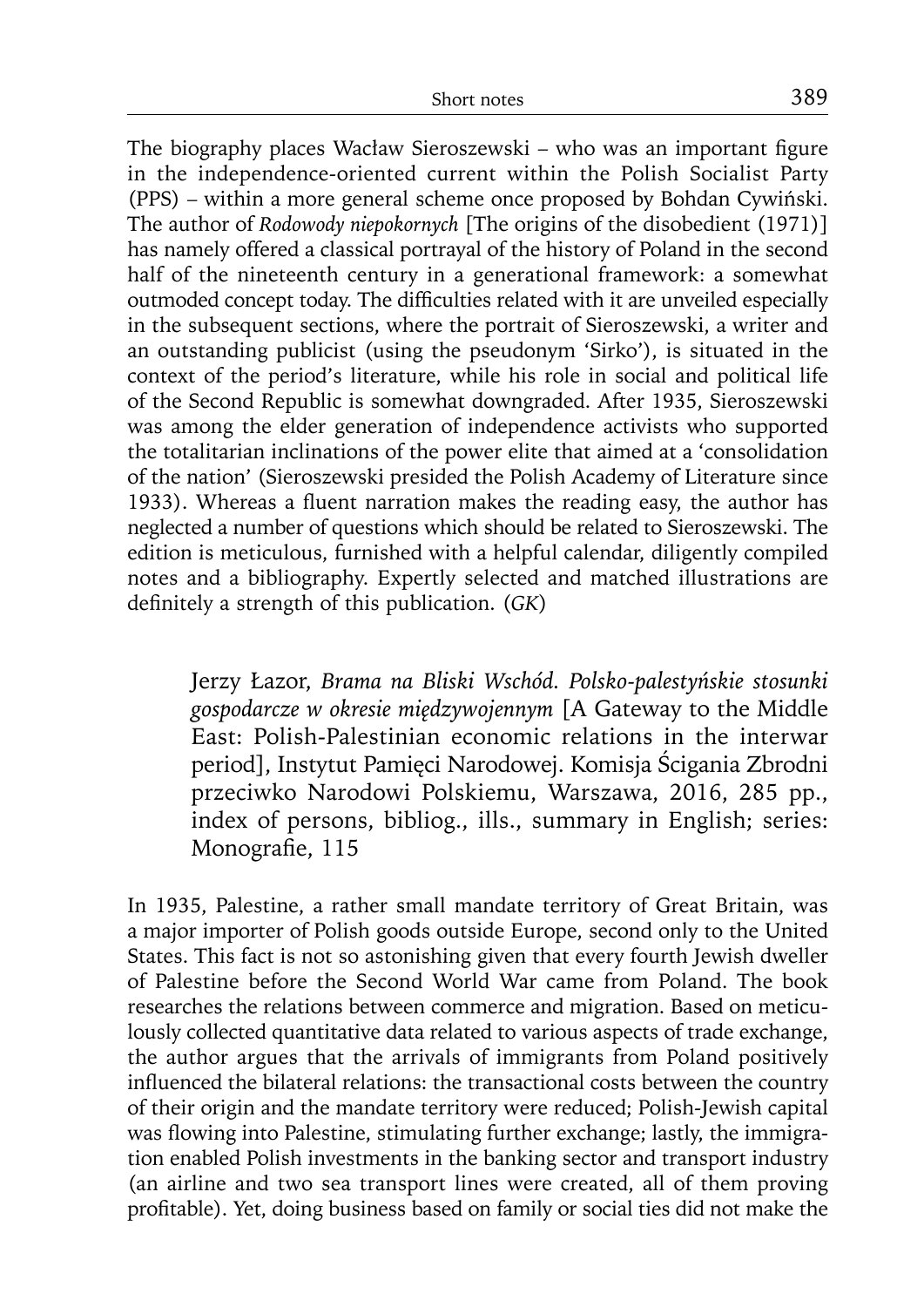The biography places Wacław Sieroszewski - who was an important figure in the independence-oriented current within the Polish Socialist Party (PPS) – within a more general scheme once proposed by Bohdan Cywiński. The author of *Rodowody niepokornych* [The origins of the disobedient (1971)] has namely offered a classical portrayal of the history of Poland in the second half of the nineteenth century in a generational framework: a somewhat outmoded concept today. The difficulties related with it are unveiled especially in the subsequent sections, where the portrait of Sieroszewski, a writer and an outstanding publicist (using the pseudonym 'Sirko'), is situated in the context of the period's literature, while his role in social and political life of the Second Republic is somewhat downgraded. After 1935, Sieroszewski was among the elder generation of independence activists who supported the totalitarian inclinations of the power elite that aimed at a 'consolidation of the nation' (Sieroszewski presided the Polish Academy of Literature since 1933). Whereas a fluent narration makes the reading easy, the author has neglected a number of questions which should be related to Sieroszewski. The edition is meticulous, furnished with a helpful calendar, diligently compiled notes and a bibliography. Expertly selected and matched illustrations are defi nitely a strength of this publication. (*GK*)

Jerzy Łazor, *Brama na Bliski Wschód. Polsko-palestyńskie stosunki gospodarcze w okresie międzywojennym* [A Gateway to the Middle East: Polish-Palestinian economic relations in the interwar period], Instytut Pamięci Narodowej. Komisja Ścigania Zbrodni przeciwko Narodowi Polskiemu, Warszawa, 2016, 285 pp., index of persons, bibliog., ills., summary in English; series: Monografie, 115

In 1935, Palestine, a rather small mandate territory of Great Britain, was a major importer of Polish goods outside Europe, second only to the United States. This fact is not so astonishing given that every fourth Jewish dweller of Palestine before the Second World War came from Poland. The book researches the relations between commerce and migration. Based on meticulously collected quantitative data related to various aspects of trade exchange, the author argues that the arrivals of immigrants from Poland positively influenced the bilateral relations: the transactional costs between the country of their origin and the mandate territory were reduced; Polish-Jewish capital was flowing into Palestine, stimulating further exchange; lastly, the immigration enabled Polish investments in the banking sector and transport industry (an airline and two sea transport lines were created, all of them proving profitable). Yet, doing business based on family or social ties did not make the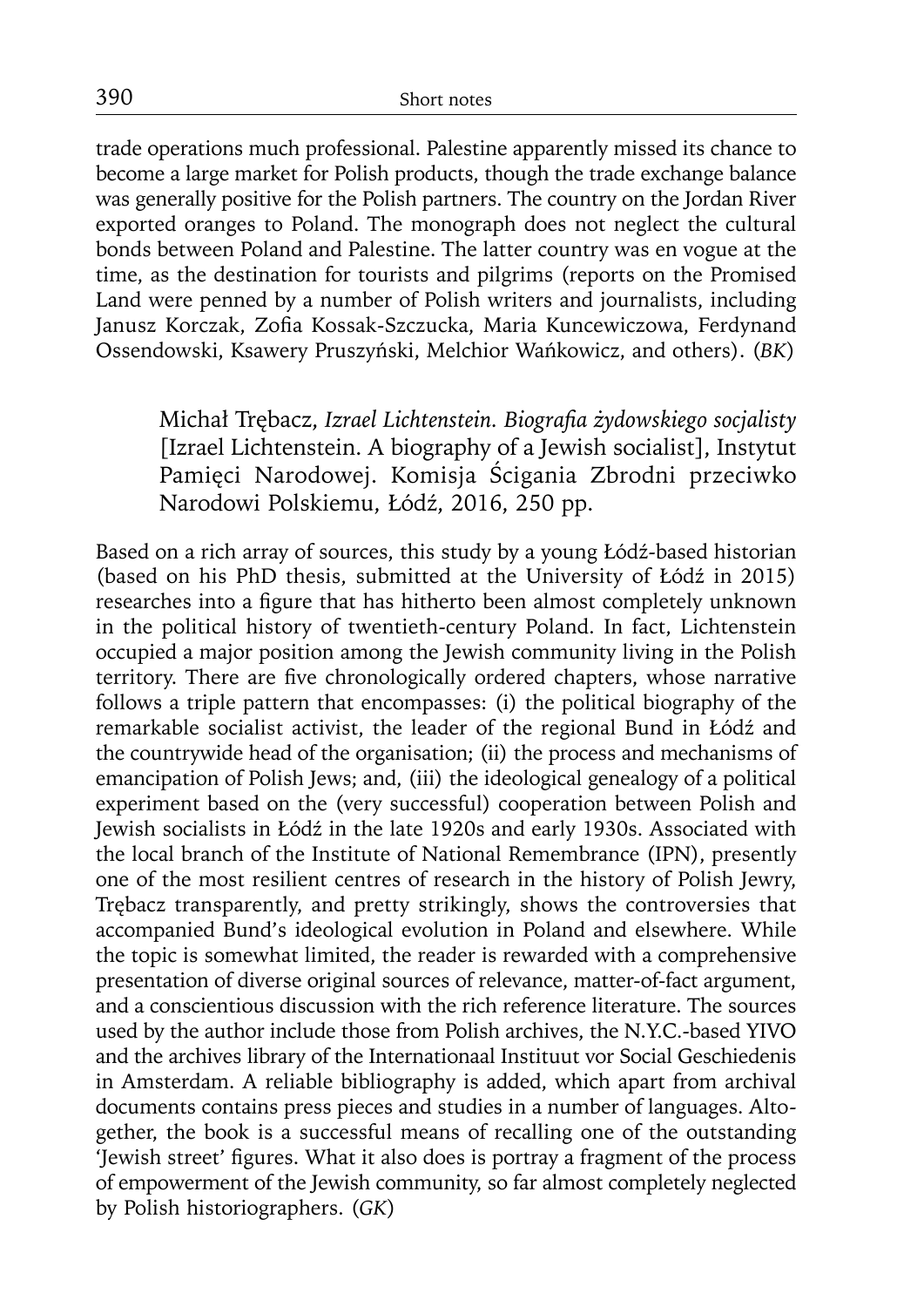trade operations much professional. Palestine apparently missed its chance to become a large market for Polish products, though the trade exchange balance was generally positive for the Polish partners. The country on the Jordan River exported oranges to Poland. The monograph does not neglect the cultural bonds between Poland and Palestine. The latter country was en vogue at the time, as the destination for tourists and pilgrims (reports on the Promised Land were penned by a number of Polish writers and journalists, including Janusz Korczak, Zofia Kossak-Szczucka, Maria Kuncewiczowa, Ferdynand Ossendowski, Ksawery Pruszyński, Melchior Wańkowicz, and others). (*BK*)

Michał Trębacz, *Izrael Lichtenstein. Biografi a żydowskiego socjalisty*  [Izrael Lichtenstein. A biography of a Jewish socialist], Instytut Pamięci Narodowej. Komisja Ścigania Zbrodni przeciwko Narodowi Polskiemu, Łódź, 2016, 250 pp.

Based on a rich array of sources, this study by a young Łódź-based historian (based on his PhD thesis, submitted at the University of Łódź in 2015) researches into a figure that has hitherto been almost completely unknown in the political history of twentieth-century Poland. In fact, Lichtenstein occupied a major position among the Jewish community living in the Polish territory. There are five chronologically ordered chapters, whose narrative follows a triple pattern that encompasses: (i) the political biography of the remarkable socialist activist, the leader of the regional Bund in Łódź and the countrywide head of the organisation; (ii) the process and mechanisms of emancipation of Polish Jews; and, (iii) the ideological genealogy of a political experiment based on the (very successful) cooperation between Polish and Jewish socialists in Łódź in the late 1920s and early 1930s. Associated with the local branch of the Institute of National Remembrance (IPN), presently one of the most resilient centres of research in the history of Polish Jewry, Trębacz transparently, and pretty strikingly, shows the controversies that accompanied Bund's ideological evolution in Poland and elsewhere. While the topic is somewhat limited, the reader is rewarded with a comprehensive presentation of diverse original sources of relevance, matter-of-fact argument, and a conscientious discussion with the rich reference literature. The sources used by the author include those from Polish archives, the N.Y.C.-based YIVO and the archives library of the Internationaal Instituut vor Social Geschiedenis in Amsterdam. A reliable bibliography is added, which apart from archival documents contains press pieces and studies in a number of languages. Altogether, the book is a successful means of recalling one of the outstanding 'Jewish street' figures. What it also does is portray a fragment of the process of empowerment of the Jewish community, so far almost completely neglected by Polish historiographers. (*GK*)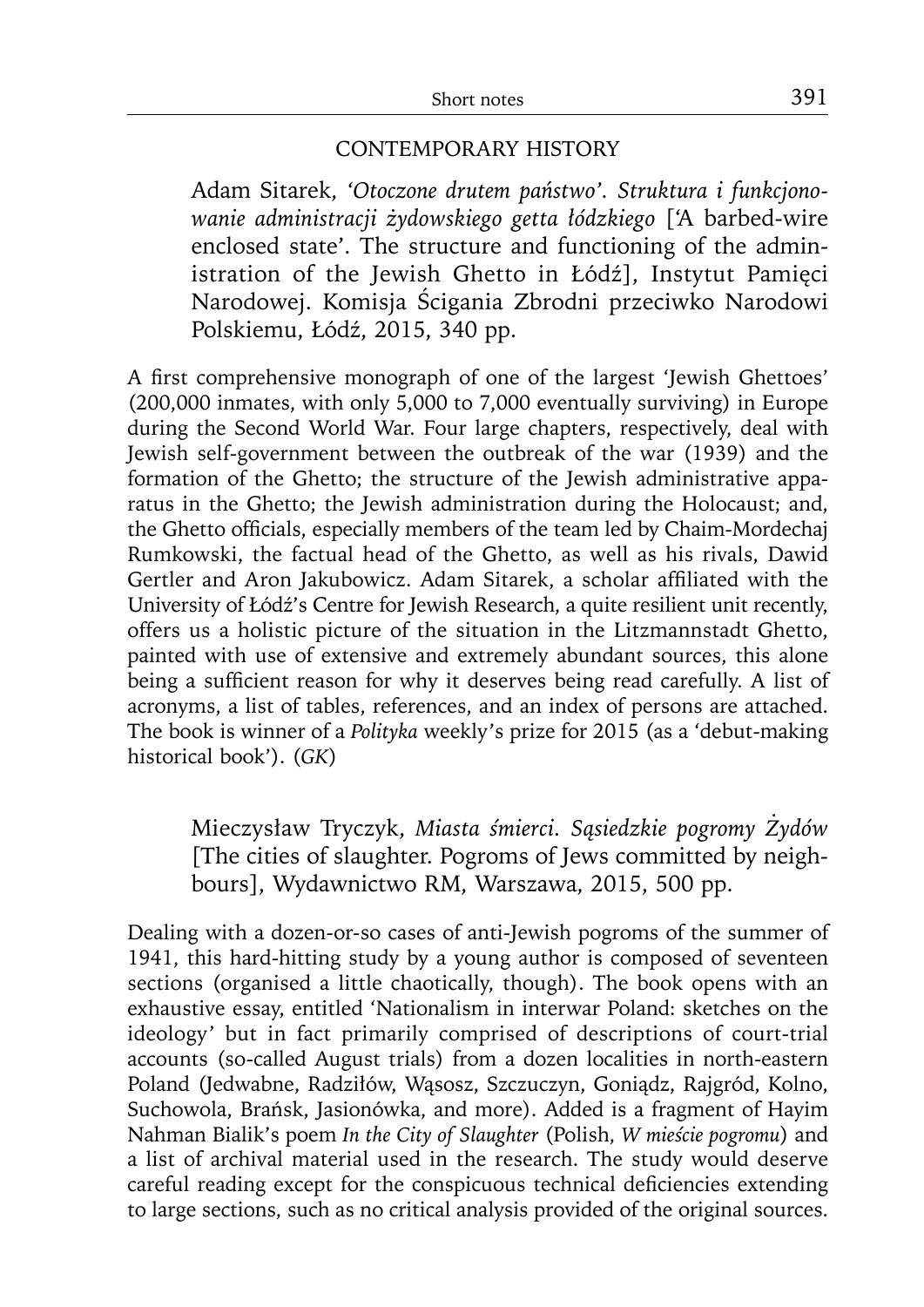## CONTEMPORARY HISTORY

Adam Sitarek, *'Otoczone drutem państwo'. Struktura i funkcjonowanie administracji żydowskiego getta łódzkiego* ['A barbed-wire enclosed state'. The structure and functioning of the administration of the Jewish Ghetto in Łódź], Instytut Pamięci Narodowej. Komisja Ścigania Zbrodni przeciwko Narodowi Polskiemu, Łódź, 2015, 340 pp.

A first comprehensive monograph of one of the largest 'Jewish Ghettoes' (200,000 inmates, with only 5,000 to 7,000 eventually surviving) in Europe during the Second World War. Four large chapters, respectively, deal with Jewish self-government between the outbreak of the war (1939) and the formation of the Ghetto; the structure of the Jewish administrative apparatus in the Ghetto; the Jewish administration during the Holocaust; and, the Ghetto officials, especially members of the team led by Chaim-Mordechaj Rumkowski, the factual head of the Ghetto, as well as his rivals, Dawid Gertler and Aron Jakubowicz. Adam Sitarek, a scholar affiliated with the University of Łódź's Centre for Jewish Research, a quite resilient unit recently, offers us a holistic picture of the situation in the Litzmannstadt Ghetto, painted with use of extensive and extremely abundant sources, this alone being a sufficient reason for why it deserves being read carefully. A list of acronyms, a list of tables, references, and an index of persons are attached. The book is winner of a *Polityka* weekly's prize for 2015 (as a 'debut-making historical book'). (*GK*)

Mieczysław Tryczyk, *Miasta śmierci. Sąsiedzkie pogromy Żydów*  [The cities of slaughter. Pogroms of Jews committed by neighbours], Wydawnictwo RM, Warszawa, 2015, 500 pp.

Dealing with a dozen-or-so cases of anti-Jewish pogroms of the summer of 1941, this hard-hitting study by a young author is composed of seventeen sections (organised a little chaotically, though). The book opens with an exhaustive essay, entitled 'Nationalism in interwar Poland: sketches on the ideology' but in fact primarily comprised of descriptions of court-trial accounts (so-called August trials) from a dozen localities in north-eastern Poland (Jedwabne, Radziłów, Wąsosz, Szczuczyn, Goniądz, Rajgród, Kolno, Suchowola, Brańsk, Jasionówka, and more). Added is a fragment of Hayim Nahman Bialik's poem *In the City of Slaughter* (Polish, *W mieście pogromu*) and a list of archival material used in the research. The study would deserve careful reading except for the conspicuous technical deficiencies extending to large sections, such as no critical analysis provided of the original sources.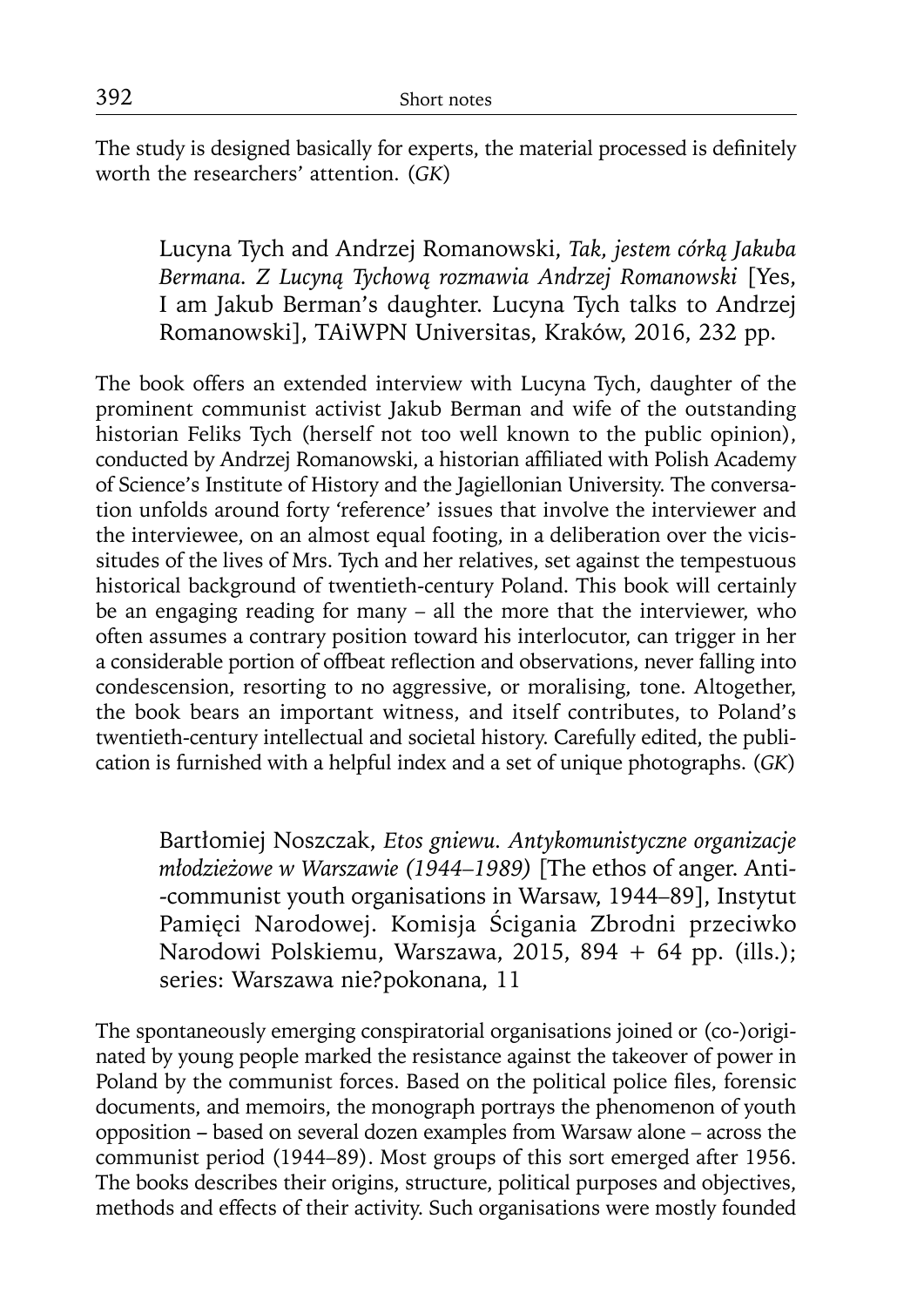The study is designed basically for experts, the material processed is definitely worth the researchers' attention. (*GK*)

Lucyna Tych and Andrzej Romanowski, *Tak, jestem córką Jakuba Bermana. Z Lucyną Tychową rozmawia Andrzej Romanowski* [Yes, I am Jakub Berman's daughter. Lucyna Tych talks to Andrzej Romanowski], TAiWPN Universitas, Kraków, 2016, 232 pp.

The book offers an extended interview with Lucyna Tych, daughter of the prominent communist activist Jakub Berman and wife of the outstanding historian Feliks Tych (herself not too well known to the public opinion), conducted by Andrzej Romanowski, a historian affiliated with Polish Academy of Science's Institute of History and the Jagiellonian University. The conversation unfolds around forty 'reference' issues that involve the interviewer and the interviewee, on an almost equal footing, in a deliberation over the vicissitudes of the lives of Mrs. Tych and her relatives, set against the tempestuous historical background of twentieth-century Poland. This book will certainly be an engaging reading for many – all the more that the interviewer, who often assumes a contrary position toward his interlocutor, can trigger in her a considerable portion of offbeat reflection and observations, never falling into condescension, resorting to no aggressive, or moralising, tone. Altogether, the book bears an important witness, and itself contributes, to Poland's twentieth-century intellectual and societal history. Carefully edited, the publication is furnished with a helpful index and a set of unique photographs. (*GK*)

Bartłomiej Noszczak, *Etos gniewu. Antykomunistyczne organizacje młodzieżowe w Warszawie (1944–1989)* [The ethos of anger. Anti- -communist youth organisations in Warsaw, 1944–89], Instytut Pamięci Narodowej. Komisja Ścigania Zbrodni przeciwko Narodowi Polskiemu, Warszawa, 2015, 894 + 64 pp. (ills.); series: Warszawa nie?pokonana, 11

The spontaneously emerging conspiratorial organisations joined or (co-)originated by young people marked the resistance against the takeover of power in Poland by the communist forces. Based on the political police files, forensic documents, and memoirs, the monograph portrays the phenomenon of youth opposition **–** based on several dozen examples from Warsaw alone – across the communist period (1944–89). Most groups of this sort emerged after 1956. The books describes their origins, structure, political purposes and objectives, methods and effects of their activity. Such organisations were mostly founded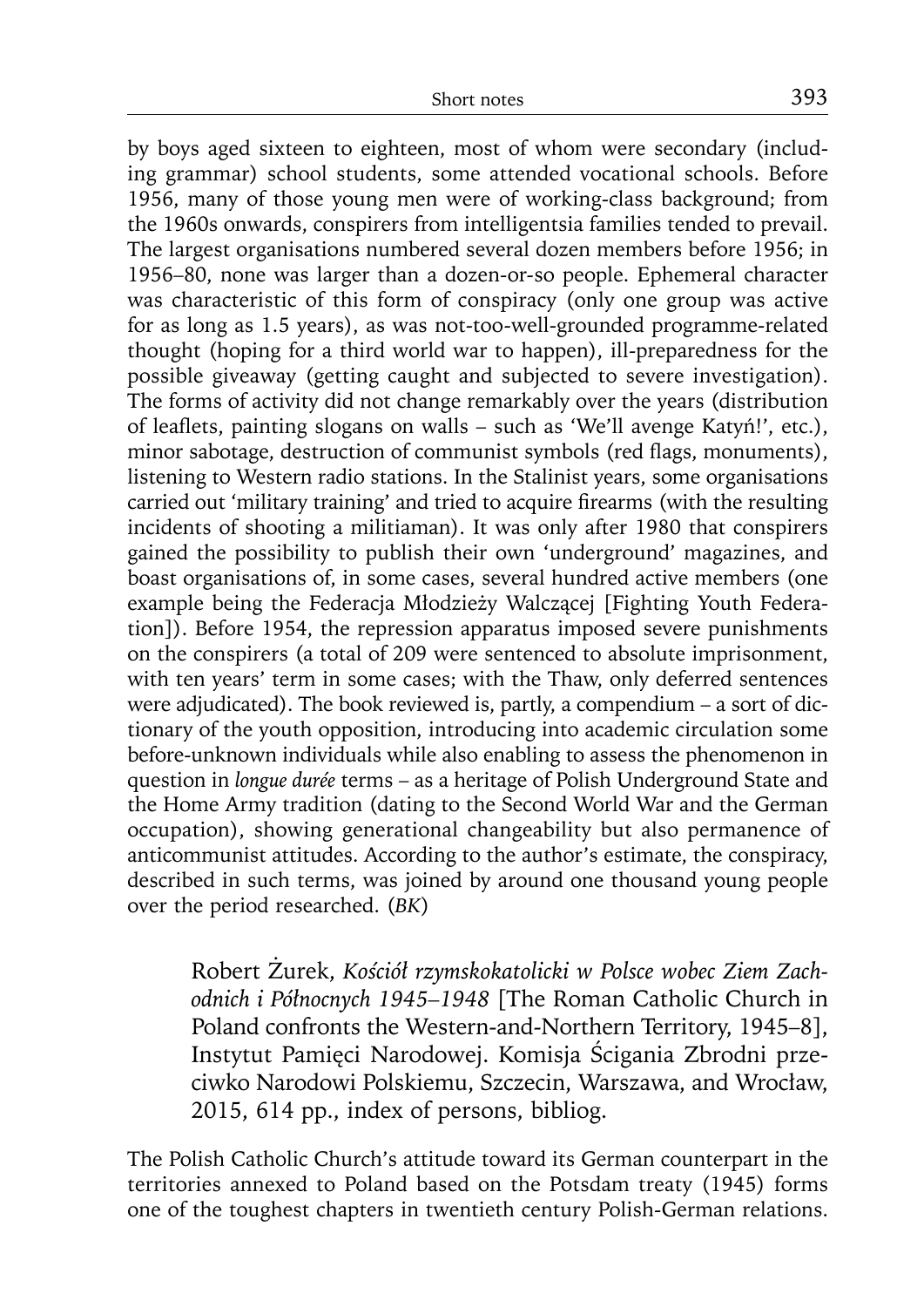by boys aged sixteen to eighteen, most of whom were secondary (including grammar) school students, some attended vocational schools. Before 1956, many of those young men were of working-class background; from the 1960s onwards, conspirers from intelligentsia families tended to prevail. The largest organisations numbered several dozen members before 1956; in 1956–80, none was larger than a dozen-or-so people. Ephemeral character was characteristic of this form of conspiracy (only one group was active for as long as 1.5 years), as was not-too-well-grounded programme-related thought (hoping for a third world war to happen), ill-preparedness for the possible giveaway (getting caught and subjected to severe investigation). The forms of activity did not change remarkably over the years (distribution of leafl ets, painting slogans on walls – such as 'We'll avenge Katyń!', etc.), minor sabotage, destruction of communist symbols (red flags, monuments), listening to Western radio stations. In the Stalinist years, some organisations carried out 'military training' and tried to acquire firearms (with the resulting incidents of shooting a militiaman). It was only after 1980 that conspirers gained the possibility to publish their own 'underground' magazines, and boast organisations of, in some cases, several hundred active members (one example being the Federacja Młodzieży Walczącej [Fighting Youth Federation]). Before 1954, the repression apparatus imposed severe punishments on the conspirers (a total of 209 were sentenced to absolute imprisonment, with ten years' term in some cases; with the Thaw, only deferred sentences were adjudicated). The book reviewed is, partly, a compendium – a sort of dictionary of the youth opposition, introducing into academic circulation some before-unknown individuals while also enabling to assess the phenomenon in question in *longue durée* terms – as a heritage of Polish Underground State and the Home Army tradition (dating to the Second World War and the German occupation), showing generational changeability but also permanence of anticommunist attitudes. According to the author's estimate, the conspiracy, described in such terms, was joined by around one thousand young people over the period researched. (*BK*)

Robert Żurek, *Kościół rzymskokatolicki w Polsce wobec Ziem Zachodnich i Północnych 1945–1948* [The Roman Catholic Church in Poland confronts the Western-and-Northern Territory, 1945–8], Instytut Pamięci Narodowej. Komisja Ścigania Zbrodni przeciwko Narodowi Polskiemu, Szczecin, Warszawa, and Wrocław, 2015, 614 pp., index of persons, bibliog.

The Polish Catholic Church's attitude toward its German counterpart in the territories annexed to Poland based on the Potsdam treaty (1945) forms one of the toughest chapters in twentieth century Polish-German relations.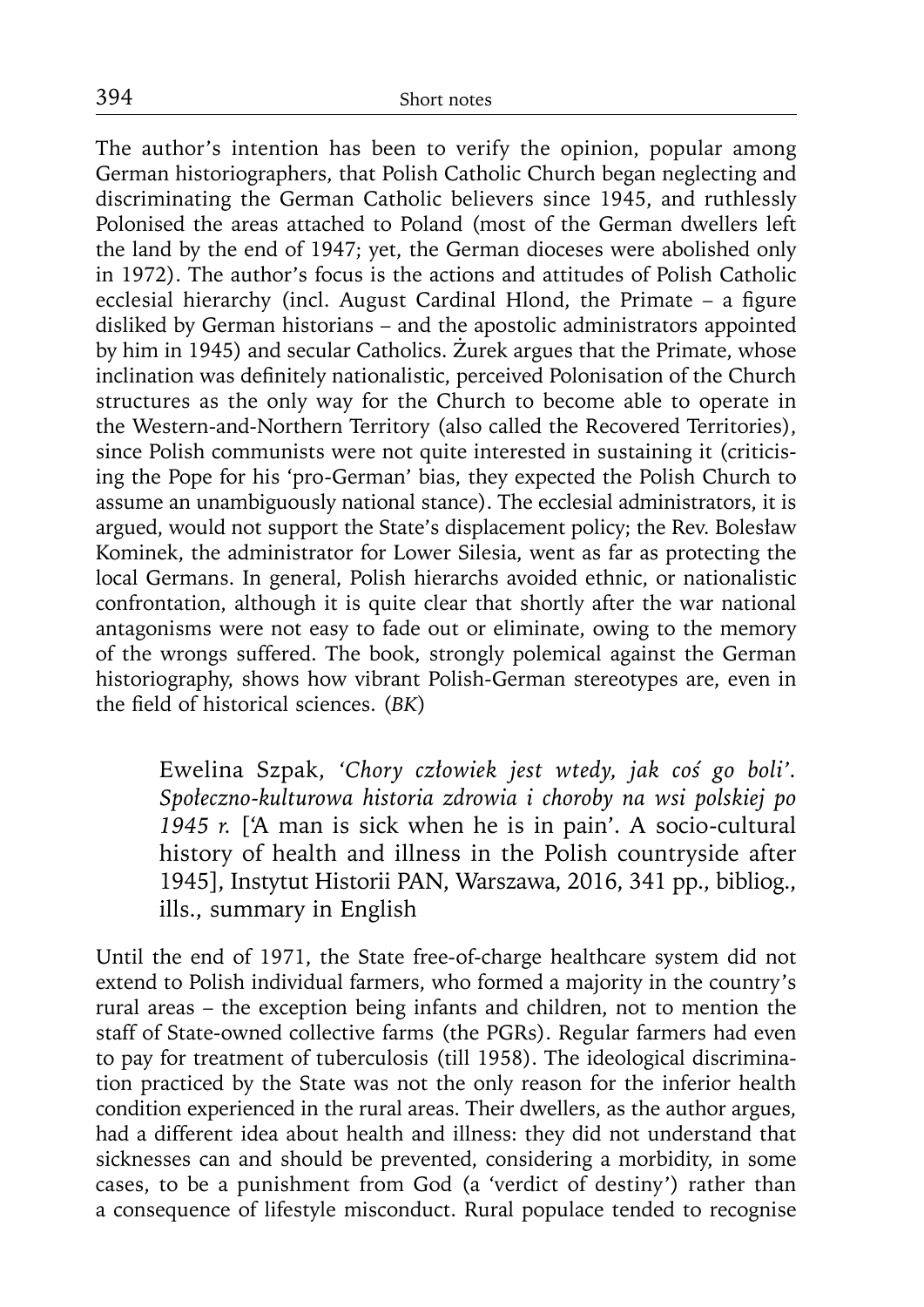The author's intention has been to verify the opinion, popular among German historiographers, that Polish Catholic Church began neglecting and discriminating the German Catholic believers since 1945, and ruthlessly Polonised the areas attached to Poland (most of the German dwellers left the land by the end of 1947; yet, the German dioceses were abolished only in 1972). The author's focus is the actions and attitudes of Polish Catholic ecclesial hierarchy (incl. August Cardinal Hlond, the Primate - a figure disliked by German historians – and the apostolic administrators appointed by him in 1945) and secular Catholics. Żurek argues that the Primate, whose inclination was definitely nationalistic, perceived Polonisation of the Church structures as the only way for the Church to become able to operate in the Western-and-Northern Territory (also called the Recovered Territories), since Polish communists were not quite interested in sustaining it (criticising the Pope for his 'pro-German' bias, they expected the Polish Church to assume an unambiguously national stance). The ecclesial administrators, it is argued, would not support the State's displacement policy; the Rev. Bolesław Kominek, the administrator for Lower Silesia, went as far as protecting the local Germans. In general, Polish hierarchs avoided ethnic, or nationalistic confrontation, although it is quite clear that shortly after the war national antagonisms were not easy to fade out or eliminate, owing to the memory of the wrongs suffered. The book, strongly polemical against the German historiography, shows how vibrant Polish-German stereotypes are, even in the field of historical sciences. (BK)

Ewelina Szpak, *'Chory człowiek jest wtedy, jak coś go boli'. Społeczno-kulturowa historia zdrowia i choroby na wsi polskiej po 1945 r.* ['A man is sick when he is in pain'. A socio-cultural history of health and illness in the Polish countryside after 1945], Instytut Historii PAN, Warszawa, 2016, 341 pp., bibliog., ills., summary in English

Until the end of 1971, the State free-of-charge healthcare system did not extend to Polish individual farmers, who formed a majority in the country's rural areas – the exception being infants and children, not to mention the staff of State-owned collective farms (the PGRs). Regular farmers had even to pay for treatment of tuberculosis (till 1958). The ideological discrimination practiced by the State was not the only reason for the inferior health condition experienced in the rural areas. Their dwellers, as the author argues, had a different idea about health and illness: they did not understand that sicknesses can and should be prevented, considering a morbidity, in some cases, to be a punishment from God (a 'verdict of destiny') rather than a consequence of lifestyle misconduct. Rural populace tended to recognise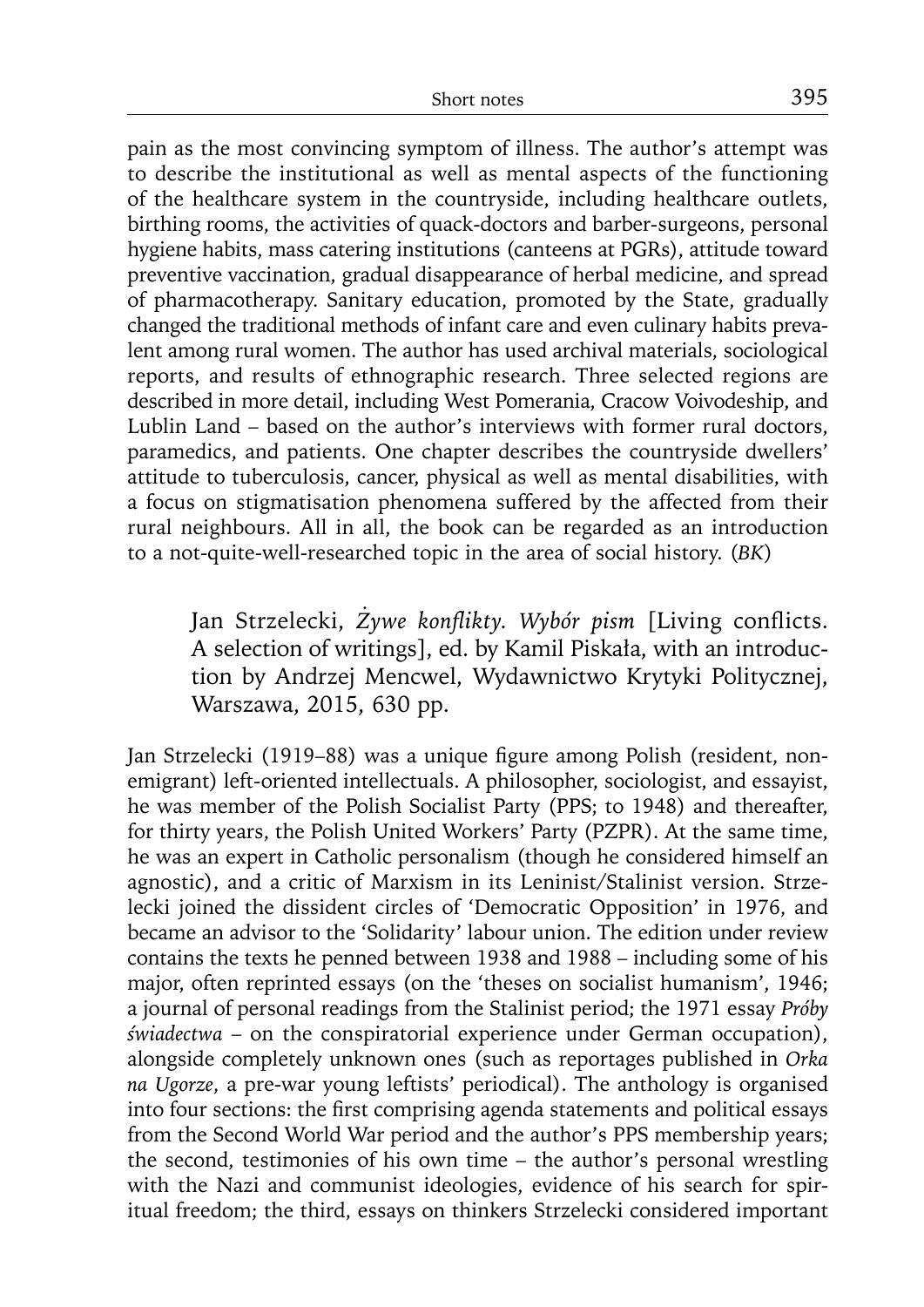pain as the most convincing symptom of illness. The author's attempt was to describe the institutional as well as mental aspects of the functioning of the healthcare system in the countryside, including healthcare outlets, birthing rooms, the activities of quack-doctors and barber-surgeons, personal hygiene habits, mass catering institutions (canteens at PGRs), attitude toward preventive vaccination, gradual disappearance of herbal medicine, and spread of pharmacotherapy. Sanitary education, promoted by the State, gradually changed the traditional methods of infant care and even culinary habits prevalent among rural women. The author has used archival materials, sociological reports, and results of ethnographic research. Three selected regions are described in more detail, including West Pomerania, Cracow Voivodeship, and Lublin Land – based on the author's interviews with former rural doctors, paramedics, and patients. One chapter describes the countryside dwellers' attitude to tuberculosis, cancer, physical as well as mental disabilities, with a focus on stigmatisation phenomena suffered by the affected from their rural neighbours. All in all, the book can be regarded as an introduction to a not-quite-well-researched topic in the area of social history. (*BK*)

Jan Strzelecki, Żywe konflikty. Wybór pism [Living conflicts. A selection of writings], ed. by Kamil Piskała, with an introduction by Andrzej Mencwel, Wydawnictwo Krytyki Politycznej, Warszawa, 2015, 630 pp.

Jan Strzelecki (1919–88) was a unique figure among Polish (resident, nonemigrant) left-oriented intellectuals. A philosopher, sociologist, and essayist, he was member of the Polish Socialist Party (PPS; to 1948) and thereafter, for thirty years, the Polish United Workers' Party (PZPR). At the same time, he was an expert in Catholic personalism (though he considered himself an agnostic), and a critic of Marxism in its Leninist/Stalinist version. Strzelecki joined the dissident circles of 'Democratic Opposition' in 1976, and became an advisor to the 'Solidarity' labour union. The edition under review contains the texts he penned between 1938 and 1988 – including some of his major, often reprinted essays (on the 'theses on socialist humanism', 1946; a journal of personal readings from the Stalinist period; the 1971 essay *Próby świadectwa* – on the conspiratorial experience under German occupation), alongside completely unknown ones (such as reportages published in *Orka na Ugorze*, a pre-war young leftists' periodical). The anthology is organised into four sections: the first comprising agenda statements and political essays from the Second World War period and the author's PPS membership years; the second, testimonies of his own time – the author's personal wrestling with the Nazi and communist ideologies, evidence of his search for spiritual freedom; the third, essays on thinkers Strzelecki considered important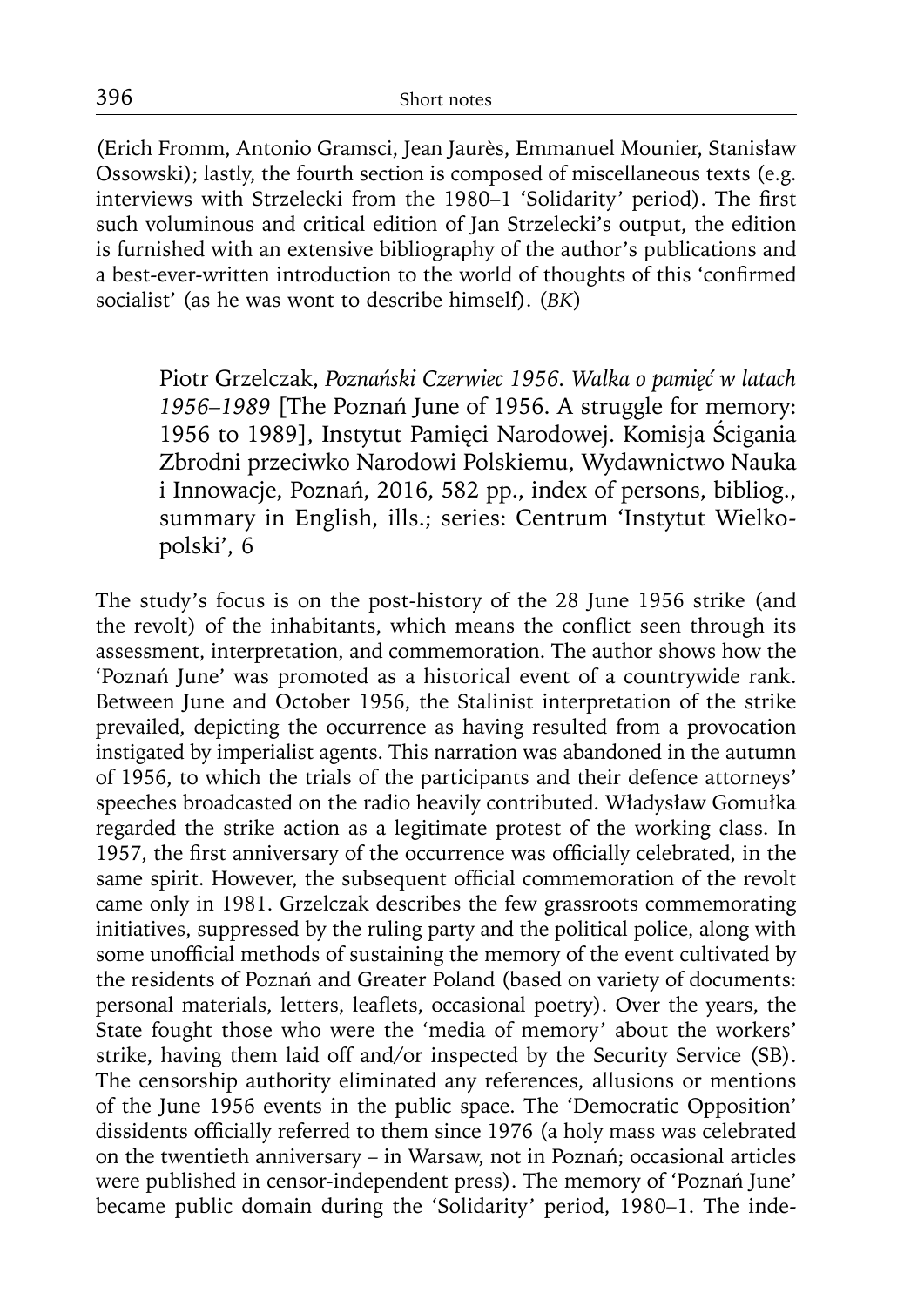(Erich Fromm, Antonio Gramsci, Jean Jaurès, Emmanuel Mounier, Stanisław Ossowski); lastly, the fourth section is composed of miscellaneous texts (e.g. interviews with Strzelecki from the 1980–1 'Solidarity' period). The first such voluminous and critical edition of Jan Strzelecki's output, the edition is furnished with an extensive bibliography of the author's publications and a best-ever-written introduction to the world of thoughts of this 'confirmed socialist' (as he was wont to describe himself). (*BK*)

Piotr Grzelczak, *Poznański Czerwiec 1956. Walka o pamięć w latach 1956–1989* [The Poznań June of 1956. A struggle for memory: 1956 to 1989], Instytut Pamięci Narodowej. Komisja Ścigania Zbrodni przeciwko Narodowi Polskiemu, Wydawnictwo Nauka i Innowacje, Poznań, 2016, 582 pp., index of persons, bibliog., summary in English, ills.; series: Centrum 'Instytut Wielkopolski', 6

The study's focus is on the post-history of the 28 June 1956 strike (and the revolt) of the inhabitants, which means the conflict seen through its assessment, interpretation, and commemoration. The author shows how the 'Poznań June' was promoted as a historical event of a countrywide rank. Between June and October 1956, the Stalinist interpretation of the strike prevailed, depicting the occurrence as having resulted from a provocation instigated by imperialist agents. This narration was abandoned in the autumn of 1956, to which the trials of the participants and their defence attorneys' speeches broadcasted on the radio heavily contributed. Władysław Gomułka regarded the strike action as a legitimate protest of the working class. In 1957, the first anniversary of the occurrence was officially celebrated, in the same spirit. However, the subsequent official commemoration of the revolt came only in 1981. Grzelczak describes the few grassroots commemorating initiatives, suppressed by the ruling party and the political police, along with some unofficial methods of sustaining the memory of the event cultivated by the residents of Poznań and Greater Poland (based on variety of documents: personal materials, letters, leaflets, occasional poetry). Over the years, the State fought those who were the 'media of memory' about the workers' strike, having them laid off and/or inspected by the Security Service (SB). The censorship authority eliminated any references, allusions or mentions of the June 1956 events in the public space. The 'Democratic Opposition' dissidents officially referred to them since 1976 (a holy mass was celebrated on the twentieth anniversary – in Warsaw, not in Poznań; occasional articles were published in censor-independent press). The memory of 'Poznań June' became public domain during the 'Solidarity' period, 1980–1. The inde-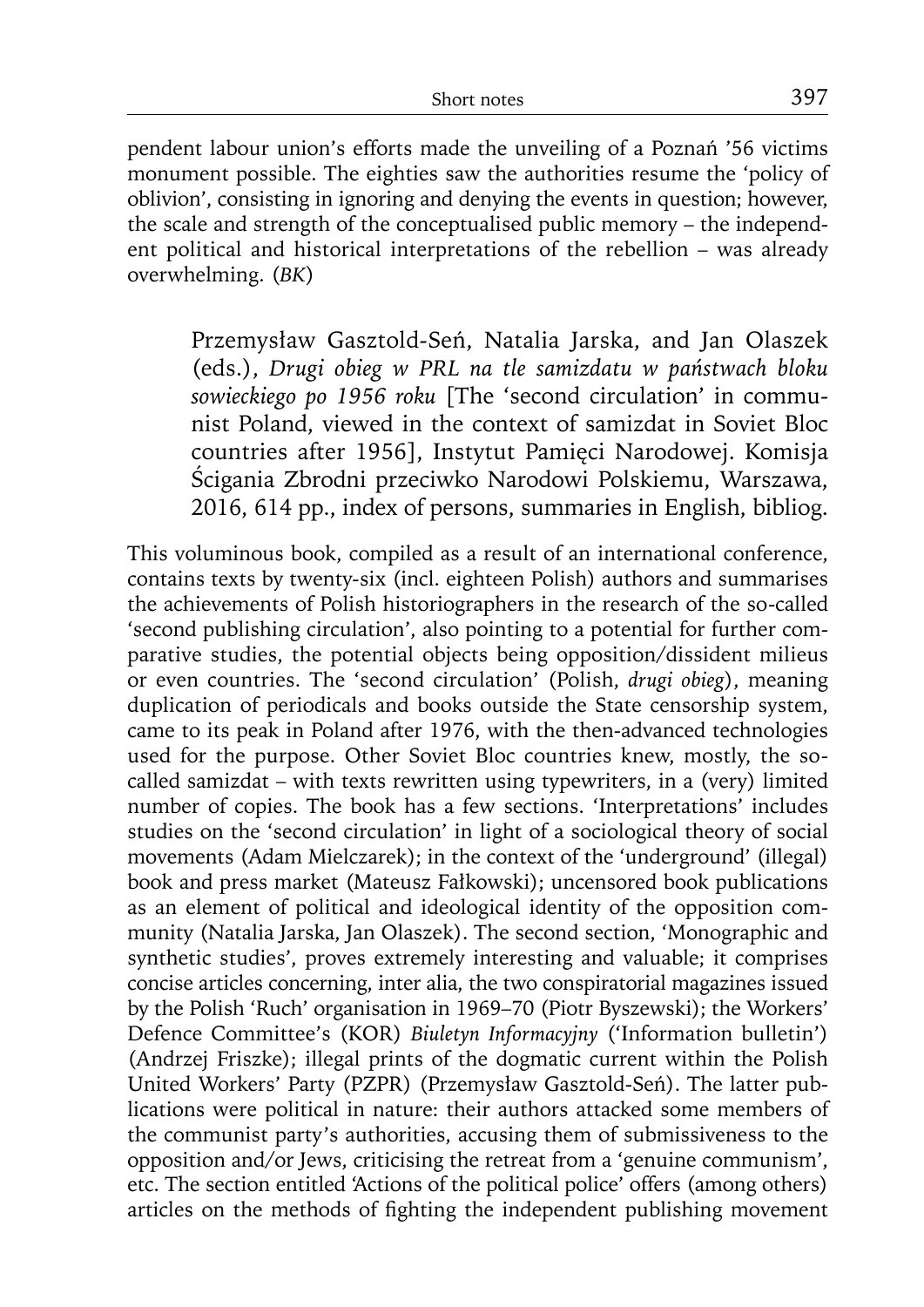pendent labour union's efforts made the unveiling of a Poznań '56 victims monument possible. The eighties saw the authorities resume the 'policy of oblivion', consisting in ignoring and denying the events in question; however, the scale and strength of the conceptualised public memory – the independent political and historical interpretations of the rebellion – was already overwhelming. (*BK*)

Przemysław Gasztold-Seń, Natalia Jarska, and Jan Olaszek (eds.), *Drugi obieg w PRL na tle samizdatu w państwach bloku sowieckiego po 1956 roku* [The 'second circulation' in communist Poland, viewed in the context of samizdat in Soviet Bloc countries after 1956], Instytut Pamięci Narodowej. Komisja Ścigania Zbrodni przeciwko Narodowi Polskiemu, Warszawa, 2016, 614 pp., index of persons, summaries in English, bibliog.

This voluminous book, compiled as a result of an international conference, contains texts by twenty-six (incl. eighteen Polish) authors and summarises the achievements of Polish historiographers in the research of the so-called 'second publishing circulation', also pointing to a potential for further comparative studies, the potential objects being opposition/dissident milieus or even countries. The 'second circulation' (Polish, *drugi obieg*), meaning duplication of periodicals and books outside the State censorship system, came to its peak in Poland after 1976, with the then-advanced technologies used for the purpose. Other Soviet Bloc countries knew, mostly, the socalled samizdat – with texts rewritten using typewriters, in a (very) limited number of copies. The book has a few sections. 'Interpretations' includes studies on the 'second circulation' in light of a sociological theory of social movements (Adam Mielczarek); in the context of the 'underground' (illegal) book and press market (Mateusz Fałkowski); uncensored book publications as an element of political and ideological identity of the opposition community (Natalia Jarska, Jan Olaszek). The second section, 'Monographic and synthetic studies', proves extremely interesting and valuable; it comprises concise articles concerning, inter alia, the two conspiratorial magazines issued by the Polish 'Ruch' organisation in 1969–70 (Piotr Byszewski); the Workers' Defence Committee's (KOR) *Biuletyn Informacyjny* ('Information bulletin') (Andrzej Friszke); illegal prints of the dogmatic current within the Polish United Workers' Party (PZPR) (Przemysław Gasztold-Seń). The latter publications were political in nature: their authors attacked some members of the communist party's authorities, accusing them of submissiveness to the opposition and/or Jews, criticising the retreat from a 'genuine communism', etc. The section entitled 'Actions of the political police' offers (among others) articles on the methods of fighting the independent publishing movement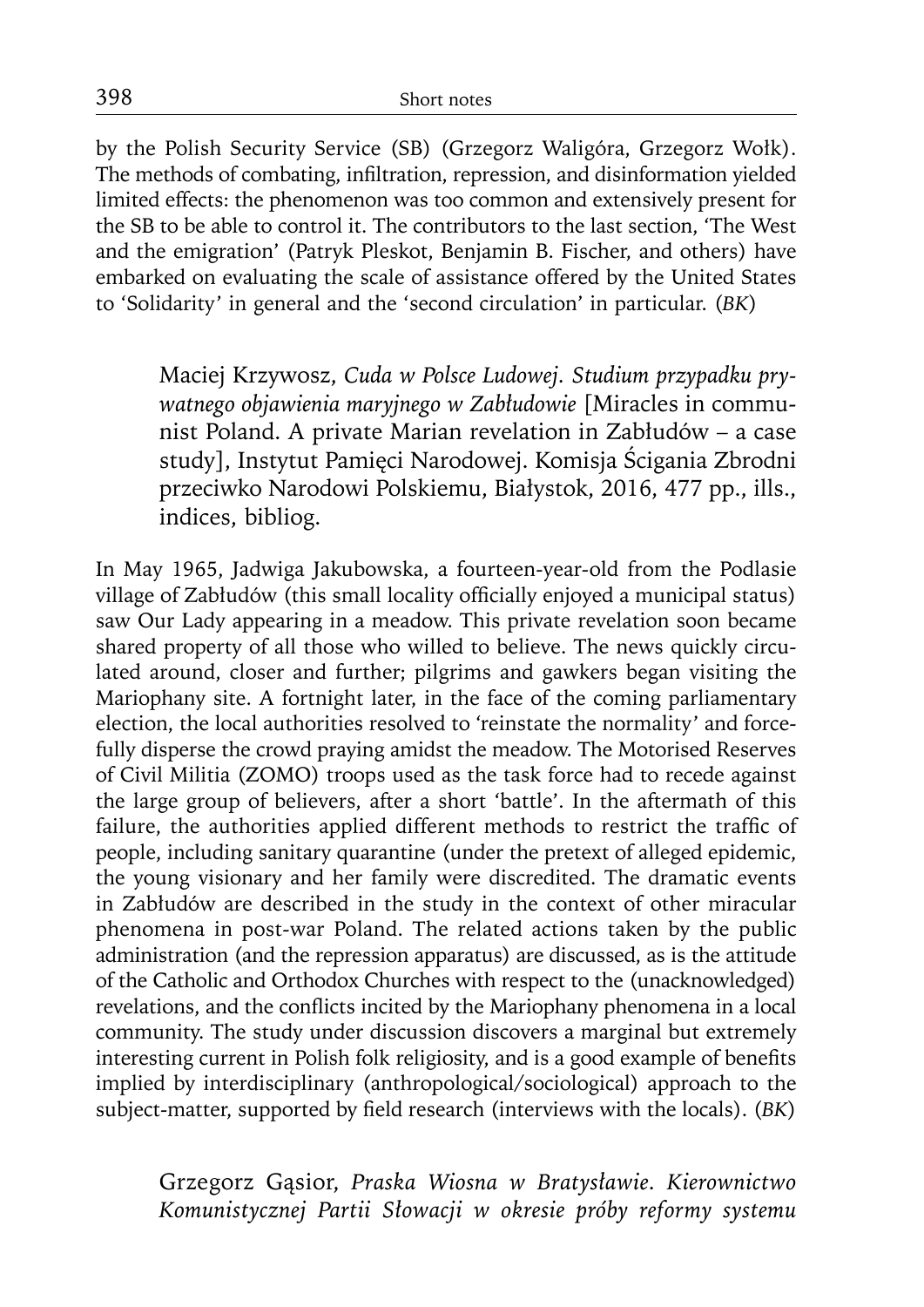by the Polish Security Service (SB) (Grzegorz Waligóra, Grzegorz Wołk). The methods of combating, infiltration, repression, and disinformation yielded limited effects: the phenomenon was too common and extensively present for the SB to be able to control it. The contributors to the last section, 'The West and the emigration' (Patryk Pleskot, Benjamin B. Fischer, and others) have embarked on evaluating the scale of assistance offered by the United States to 'Solidarity' in general and the 'second circulation' in particular. (*BK*)

Maciej Krzywosz, *Cuda w Polsce Ludowej. Studium przypadku prywatnego objawienia maryjnego w Zabłudowie* [Miracles in communist Poland. A private Marian revelation in Zabłudów – a case study], Instytut Pamięci Narodowej. Komisja Ścigania Zbrodni przeciwko Narodowi Polskiemu, Białystok, 2016, 477 pp., ills., indices, bibliog.

In May 1965, Jadwiga Jakubowska, a fourteen-year-old from the Podlasie village of Zabłudów (this small locality officially enjoyed a municipal status) saw Our Lady appearing in a meadow. This private revelation soon became shared property of all those who willed to believe. The news quickly circulated around, closer and further; pilgrims and gawkers began visiting the Mariophany site. A fortnight later, in the face of the coming parliamentary election, the local authorities resolved to 'reinstate the normality' and forcefully disperse the crowd praying amidst the meadow. The Motorised Reserves of Civil Militia (ZOMO) troops used as the task force had to recede against the large group of believers, after a short 'battle'. In the aftermath of this failure, the authorities applied different methods to restrict the traffic of people, including sanitary quarantine (under the pretext of alleged epidemic, the young visionary and her family were discredited. The dramatic events in Zabłudów are described in the study in the context of other miracular phenomena in post-war Poland. The related actions taken by the public administration (and the repression apparatus) are discussed, as is the attitude of the Catholic and Orthodox Churches with respect to the (unacknowledged) revelations, and the conflicts incited by the Mariophany phenomena in a local community. The study under discussion discovers a marginal but extremely interesting current in Polish folk religiosity, and is a good example of benefits implied by interdisciplinary (anthropological/sociological) approach to the subject-matter, supported by field research (interviews with the locals). (BK)

Grzegorz Gąsior, *Praska Wiosna w Bratysławie. Kierownictwo Komunistycznej Partii Słowacji w okresie próby reformy systemu*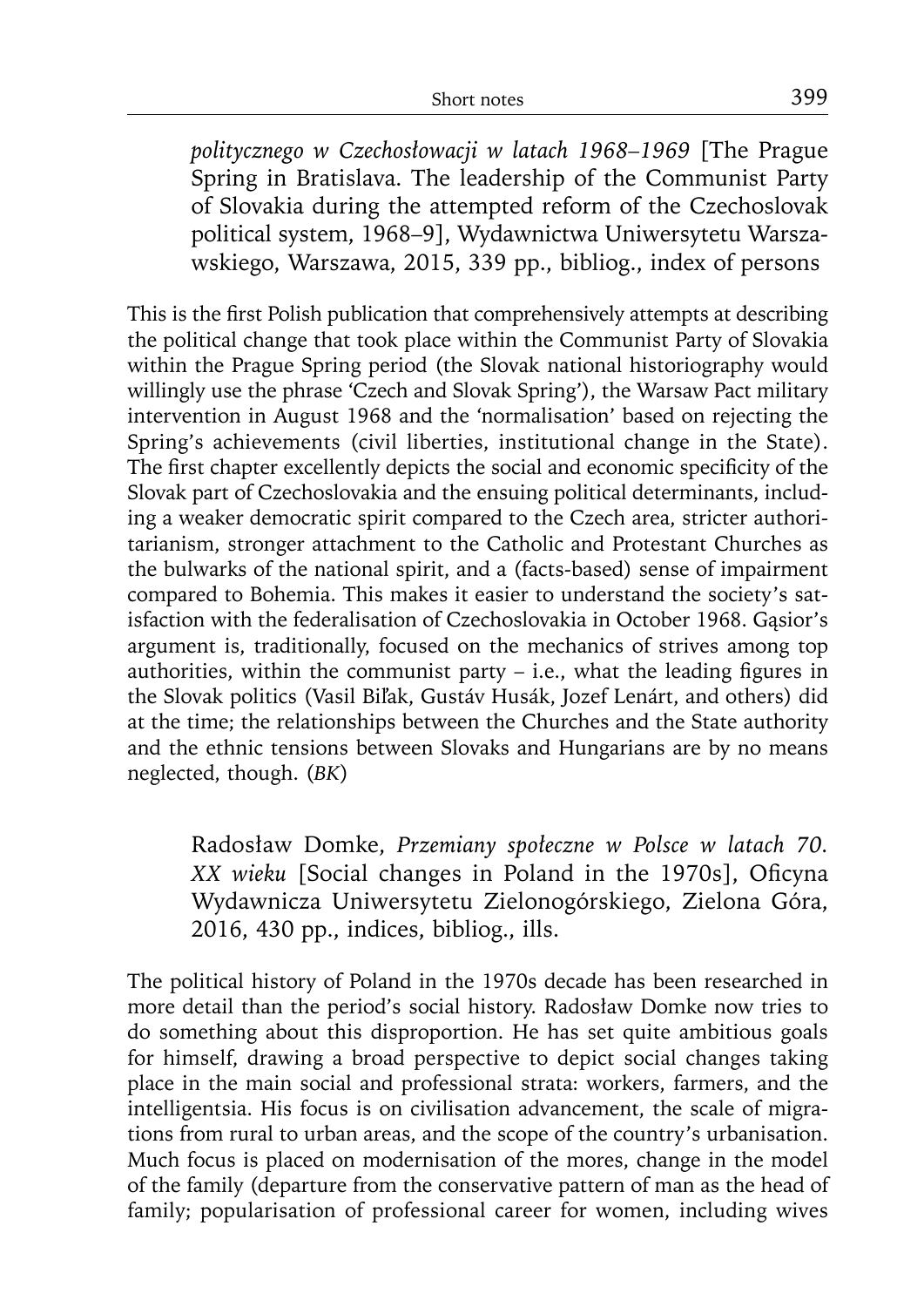*politycznego w Czechosłowacji w latach 1968–1969* [The Prague Spring in Bratislava. The leadership of the Communist Party of Slovakia during the attempted reform of the Czechoslovak political system, 1968–9], Wydawnictwa Uniwersytetu Warszawskiego, Warszawa, 2015, 339 pp., bibliog., index of persons

This is the first Polish publication that comprehensively attempts at describing the political change that took place within the Communist Party of Slovakia within the Prague Spring period (the Slovak national historiography would willingly use the phrase 'Czech and Slovak Spring'), the Warsaw Pact military intervention in August 1968 and the 'normalisation' based on rejecting the Spring's achievements (civil liberties, institutional change in the State). The first chapter excellently depicts the social and economic specificity of the Slovak part of Czechoslovakia and the ensuing political determinants, including a weaker democratic spirit compared to the Czech area, stricter authoritarianism, stronger attachment to the Catholic and Protestant Churches as the bulwarks of the national spirit, and a (facts-based) sense of impairment compared to Bohemia. This makes it easier to understand the society's satisfaction with the federalisation of Czechoslovakia in October 1968. Gąsior's argument is, traditionally, focused on the mechanics of strives among top authorities, within the communist party  $-$  i.e., what the leading figures in the Slovak politics (Vasil Biľak, Gustáv Husák, Jozef Lenárt, and others) did at the time; the relationships between the Churches and the State authority and the ethnic tensions between Slovaks and Hungarians are by no means neglected, though. (*BK*)

Radosław Domke, *Przemiany społeczne w Polsce w latach 70. XX wieku* [Social changes in Poland in the 1970s], Oficyna Wydawnicza Uniwersytetu Zielonogórskiego, Zielona Góra, 2016, 430 pp., indices, bibliog., ills.

The political history of Poland in the 1970s decade has been researched in more detail than the period's social history. Radosław Domke now tries to do something about this disproportion. He has set quite ambitious goals for himself, drawing a broad perspective to depict social changes taking place in the main social and professional strata: workers, farmers, and the intelligentsia. His focus is on civilisation advancement, the scale of migrations from rural to urban areas, and the scope of the country's urbanisation. Much focus is placed on modernisation of the mores, change in the model of the family (departure from the conservative pattern of man as the head of family; popularisation of professional career for women, including wives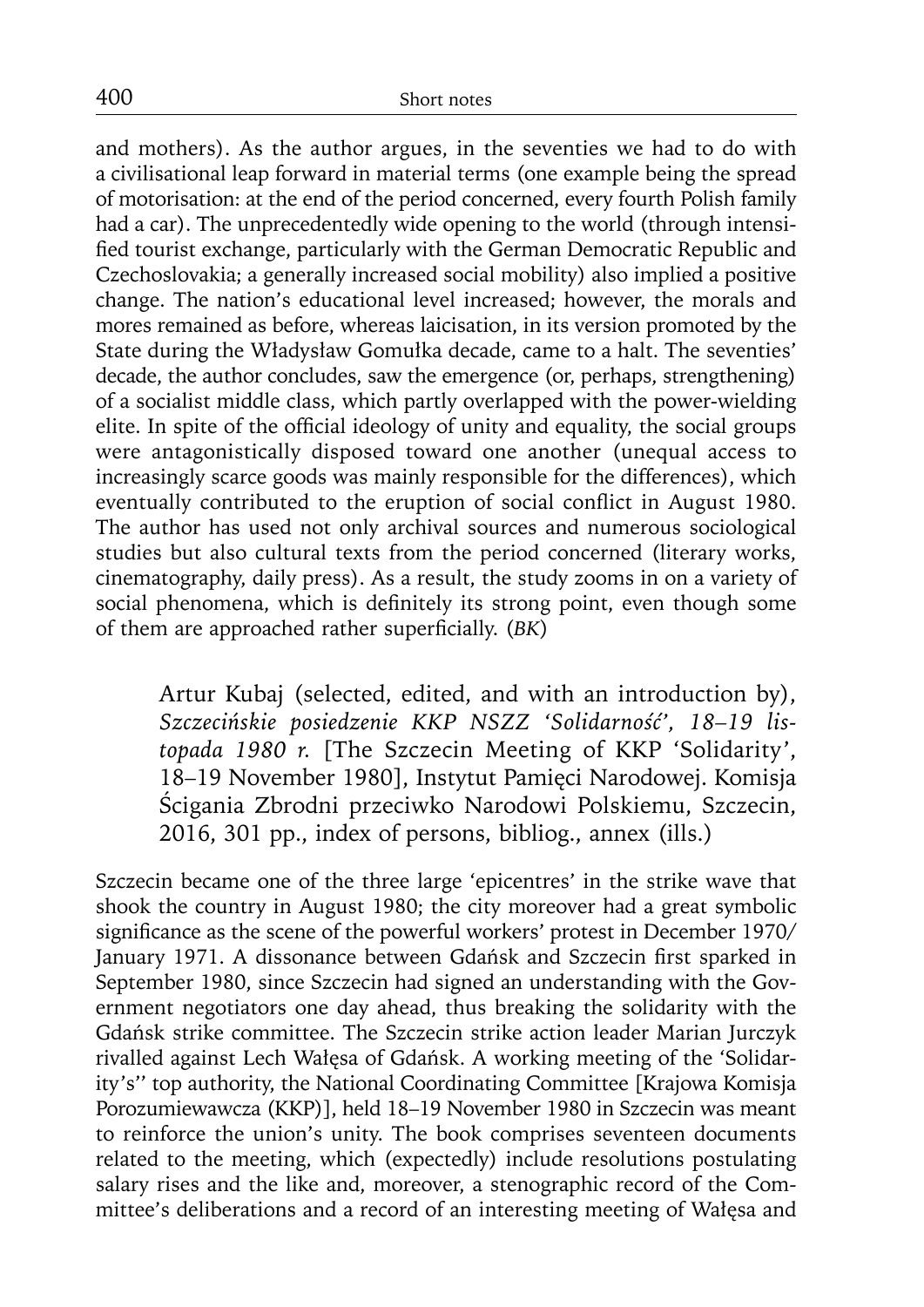and mothers). As the author argues, in the seventies we had to do with a civilisational leap forward in material terms (one example being the spread of motorisation: at the end of the period concerned, every fourth Polish family had a car). The unprecedentedly wide opening to the world (through intensified tourist exchange, particularly with the German Democratic Republic and Czechoslovakia; a generally increased social mobility) also implied a positive change. The nation's educational level increased; however, the morals and mores remained as before, whereas laicisation, in its version promoted by the State during the Władysław Gomułka decade, came to a halt. The seventies' decade, the author concludes, saw the emergence (or, perhaps, strengthening) of a socialist middle class, which partly overlapped with the power-wielding elite. In spite of the official ideology of unity and equality, the social groups were antagonistically disposed toward one another (unequal access to increasingly scarce goods was mainly responsible for the differences), which eventually contributed to the eruption of social conflict in August 1980. The author has used not only archival sources and numerous sociological studies but also cultural texts from the period concerned (literary works, cinematography, daily press). As a result, the study zooms in on a variety of social phenomena, which is definitely its strong point, even though some of them are approached rather superficially. (BK)

Artur Kubaj (selected, edited, and with an introduction by), *Szczecińskie posiedzenie KKP NSZZ 'Solidarność', 18–19 listopada 1980 r.* [The Szczecin Meeting of KKP 'Solidarity', 18–19 November 1980], Instytut Pamięci Narodowej. Komisja Ścigania Zbrodni przeciwko Narodowi Polskiemu, Szczecin, 2016, 301 pp., index of persons, bibliog., annex (ills.)

Szczecin became one of the three large 'epicentres' in the strike wave that shook the country in August 1980; the city moreover had a great symbolic significance as the scene of the powerful workers' protest in December 1970/ January 1971. A dissonance between Gdańsk and Szczecin first sparked in September 1980, since Szczecin had signed an understanding with the Government negotiators one day ahead, thus breaking the solidarity with the Gdańsk strike committee. The Szczecin strike action leader Marian Jurczyk rivalled against Lech Wałęsa of Gdańsk. A working meeting of the 'Solidarity's'' top authority, the National Coordinating Committee [Krajowa Komisja Porozumiewawcza (KKP)], held 18–19 November 1980 in Szczecin was meant to reinforce the union's unity. The book comprises seventeen documents related to the meeting, which (expectedly) include resolutions postulating salary rises and the like and, moreover, a stenographic record of the Committee's deliberations and a record of an interesting meeting of Wałęsa and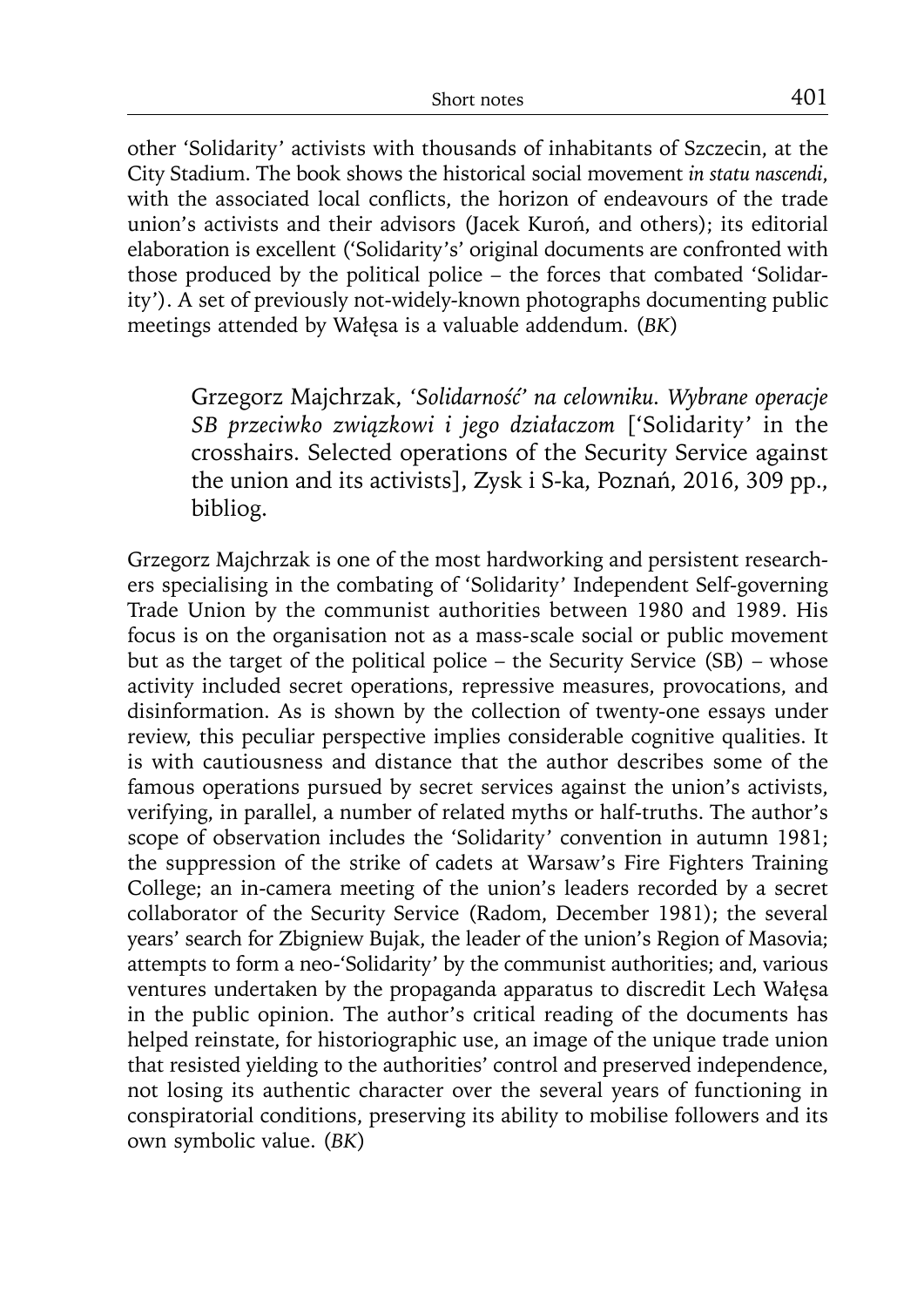other 'Solidarity' activists with thousands of inhabitants of Szczecin, at the City Stadium. The book shows the historical social movement *in statu nascendi*, with the associated local conflicts, the horizon of endeavours of the trade union's activists and their advisors (Jacek Kuroń, and others); its editorial elaboration is excellent ('Solidarity's' original documents are confronted with those produced by the political police – the forces that combated 'Solidarity'). A set of previously not-widely-known photographs documenting public meetings attended by Wałęsa is a valuable addendum. (*BK*)

Grzegorz Majchrzak, *'Solidarność' na celowniku. Wybrane operacje SB przeciwko związkowi i jego działaczom* ['Solidarity' in the crosshairs. Selected operations of the Security Service against the union and its activists], Zysk i S-ka, Poznań, 2016, 309 pp., bibliog.

Grzegorz Majchrzak is one of the most hardworking and persistent researchers specialising in the combating of 'Solidarity' Independent Self-governing Trade Union by the communist authorities between 1980 and 1989. His focus is on the organisation not as a mass-scale social or public movement but as the target of the political police – the Security Service (SB) – whose activity included secret operations, repressive measures, provocations, and disinformation. As is shown by the collection of twenty-one essays under review, this peculiar perspective implies considerable cognitive qualities. It is with cautiousness and distance that the author describes some of the famous operations pursued by secret services against the union's activists, verifying, in parallel, a number of related myths or half-truths. The author's scope of observation includes the 'Solidarity' convention in autumn 1981; the suppression of the strike of cadets at Warsaw's Fire Fighters Training College; an in-camera meeting of the union's leaders recorded by a secret collaborator of the Security Service (Radom, December 1981); the several years' search for Zbigniew Bujak, the leader of the union's Region of Masovia; attempts to form a neo-'Solidarity' by the communist authorities; and, various ventures undertaken by the propaganda apparatus to discredit Lech Wałęsa in the public opinion. The author's critical reading of the documents has helped reinstate, for historiographic use, an image of the unique trade union that resisted yielding to the authorities' control and preserved independence, not losing its authentic character over the several years of functioning in conspiratorial conditions, preserving its ability to mobilise followers and its own symbolic value. (*BK*)